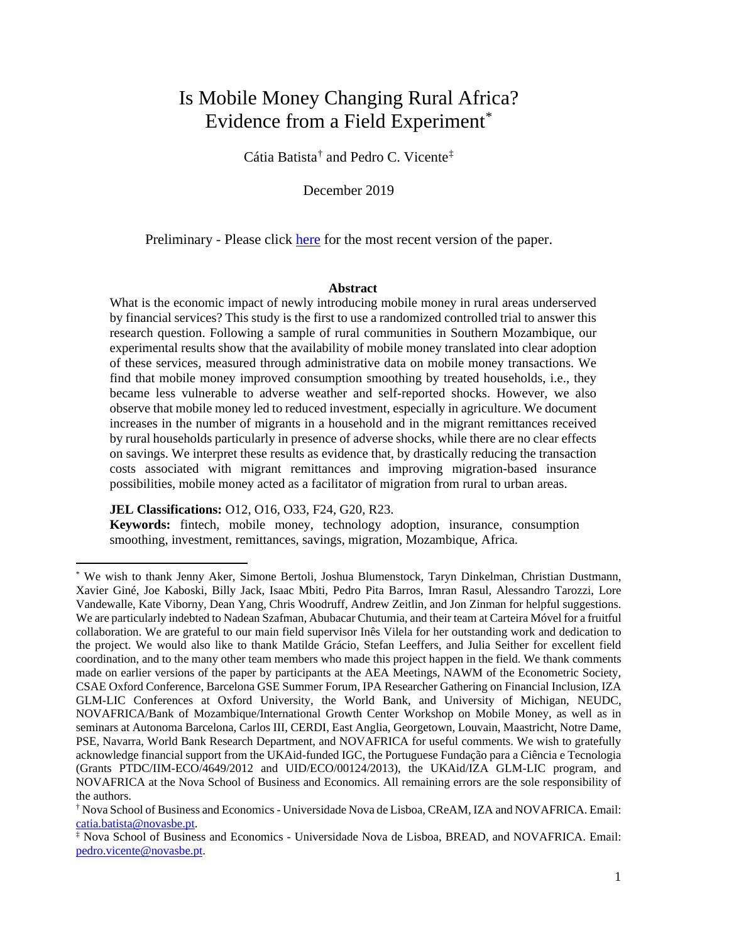# Is Mobile Money Changing Rural Africa? Evidence from a Field Experiment[\\*](#page-0-0)

Cátia Batista[†](#page-0-1) and Pedro C. Vicente[‡](#page-0-2)

December 2019

Preliminary - Please click [here](http://www.catiabatista.org/batista_vicente_mm_experiment.pdf) for the most recent version of the paper.

## **Abstract**

What is the economic impact of newly introducing mobile money in rural areas underserved by financial services? This study is the first to use a randomized controlled trial to answer this research question. Following a sample of rural communities in Southern Mozambique, our experimental results show that the availability of mobile money translated into clear adoption of these services, measured through administrative data on mobile money transactions. We find that mobile money improved consumption smoothing by treated households, i.e., they became less vulnerable to adverse weather and self-reported shocks. However, we also observe that mobile money led to reduced investment, especially in agriculture. We document increases in the number of migrants in a household and in the migrant remittances received by rural households particularly in presence of adverse shocks, while there are no clear effects on savings. We interpret these results as evidence that, by drastically reducing the transaction costs associated with migrant remittances and improving migration-based insurance possibilities, mobile money acted as a facilitator of migration from rural to urban areas.

**JEL Classifications:** O12, O16, O33, F24, G20, R23.

**Keywords:** fintech, mobile money, technology adoption, insurance, consumption smoothing, investment, remittances, savings, migration, Mozambique, Africa.

<span id="page-0-0"></span><sup>\*</sup> We wish to thank Jenny Aker, Simone Bertoli, Joshua Blumenstock, Taryn Dinkelman, Christian Dustmann, Xavier Giné, Joe Kaboski, Billy Jack, Isaac Mbiti, Pedro Pita Barros, Imran Rasul, Alessandro Tarozzi, Lore Vandewalle, Kate Viborny, Dean Yang, Chris Woodruff, Andrew Zeitlin, and Jon Zinman for helpful suggestions. We are particularly indebted to Nadean Szafman, Abubacar Chutumia, and their team at Carteira Móvel for a fruitful collaboration. We are grateful to our main field supervisor Inês Vilela for her outstanding work and dedication to the project. We would also like to thank Matilde Grácio, Stefan Leeffers, and Julia Seither for excellent field coordination, and to the many other team members who made this project happen in the field. We thank comments made on earlier versions of the paper by participants at the AEA Meetings, NAWM of the Econometric Society, CSAE Oxford Conference, Barcelona GSE Summer Forum, IPA Researcher Gathering on Financial Inclusion, IZA GLM-LIC Conferences at Oxford University, the World Bank, and University of Michigan, NEUDC, NOVAFRICA/Bank of Mozambique/International Growth Center Workshop on Mobile Money, as well as in seminars at Autonoma Barcelona, Carlos III, CERDI, East Anglia, Georgetown, Louvain, Maastricht, Notre Dame, PSE, Navarra, World Bank Research Department, and NOVAFRICA for useful comments. We wish to gratefully acknowledge financial support from the UKAid-funded IGC, the Portuguese Fundação para a Ciência e Tecnologia (Grants PTDC/IIM-ECO/4649/2012 and UID/ECO/00124/2013), the UKAid/IZA GLM-LIC program, and NOVAFRICA at the Nova School of Business and Economics. All remaining errors are the sole responsibility of the authors.

<span id="page-0-1"></span><sup>†</sup> Nova School of Business and Economics - Universidade Nova de Lisboa, CReAM, IZA and NOVAFRICA. Email: [catia.batista@novasbe.pt.](mailto:catia.batista@novasbe.pt)

<span id="page-0-2"></span><sup>‡</sup> Nova School of Business and Economics - Universidade Nova de Lisboa, BREAD, and NOVAFRICA. Email: [pedro.vicente@novasbe.pt.](mailto:pedro.vicente@novasbe.pt)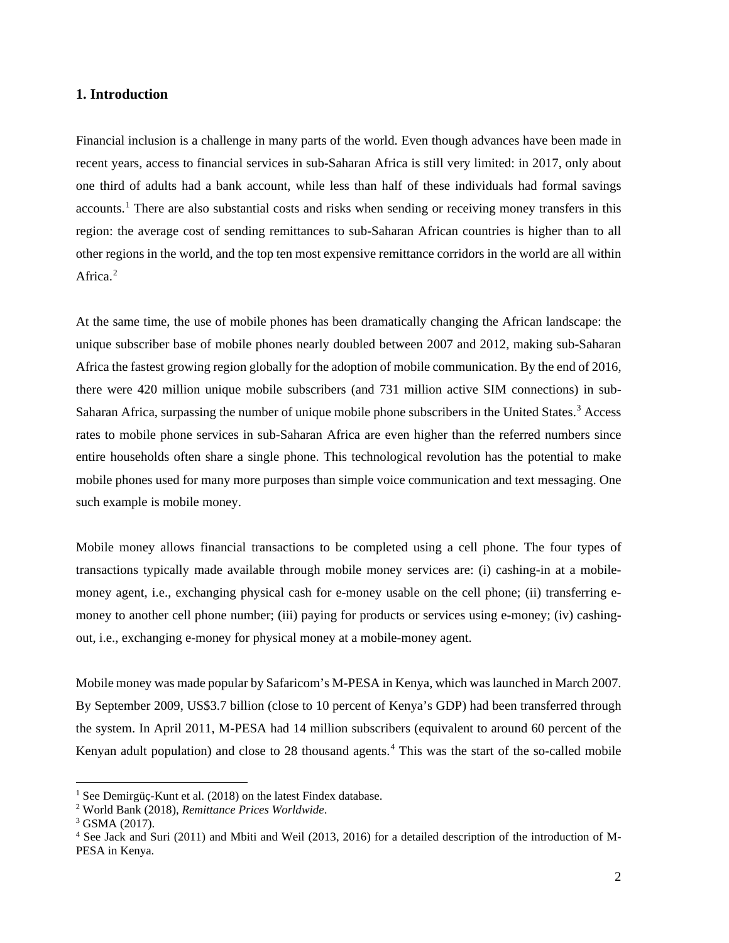## **1. Introduction**

Financial inclusion is a challenge in many parts of the world. Even though advances have been made in recent years, access to financial services in sub-Saharan Africa is still very limited: in 2017, only about one third of adults had a bank account, while less than half of these individuals had formal savings accounts.<sup>[1](#page-1-0)</sup> There are also substantial costs and risks when sending or receiving money transfers in this region: the average cost of sending remittances to sub-Saharan African countries is higher than to all other regions in the world, and the top ten most expensive remittance corridors in the world are all within Africa.<sup>[2](#page-1-1)</sup>

At the same time, the use of mobile phones has been dramatically changing the African landscape: the unique subscriber base of mobile phones nearly doubled between 2007 and 2012, making sub-Saharan Africa the fastest growing region globally for the adoption of mobile communication. By the end of 2016, there were 420 million unique mobile subscribers (and 731 million active SIM connections) in sub-Saharan Africa, surpassing the number of unique mobile phone subscribers in the United States.<sup>[3](#page-1-2)</sup> Access rates to mobile phone services in sub-Saharan Africa are even higher than the referred numbers since entire households often share a single phone. This technological revolution has the potential to make mobile phones used for many more purposes than simple voice communication and text messaging. One such example is mobile money.

Mobile money allows financial transactions to be completed using a cell phone. The four types of transactions typically made available through mobile money services are: (i) cashing-in at a mobilemoney agent, i.e., exchanging physical cash for e-money usable on the cell phone; (ii) transferring emoney to another cell phone number; (iii) paying for products or services using e-money; (iv) cashingout, i.e., exchanging e-money for physical money at a mobile-money agent.

Mobile money was made popular by Safaricom's M-PESA in Kenya, which was launched in March 2007. By September 2009, US\$3.7 billion (close to 10 percent of Kenya's GDP) had been transferred through the system. In April 2011, M-PESA had 14 million subscribers (equivalent to around 60 percent of the Kenyan adult population) and close to 28 thousand agents.<sup>[4](#page-1-3)</sup> This was the start of the so-called mobile

<span id="page-1-0"></span><sup>&</sup>lt;sup>1</sup> See Demirgüç-Kunt et al. (2018) on the latest Findex database.

<span id="page-1-1"></span><sup>2</sup> World Bank (2018), *Remittance Prices Worldwide*.

<span id="page-1-2"></span><sup>3</sup> GSMA (2017).

<span id="page-1-3"></span><sup>4</sup> See Jack and Suri (2011) and Mbiti and Weil (2013, 2016) for a detailed description of the introduction of M-PESA in Kenya.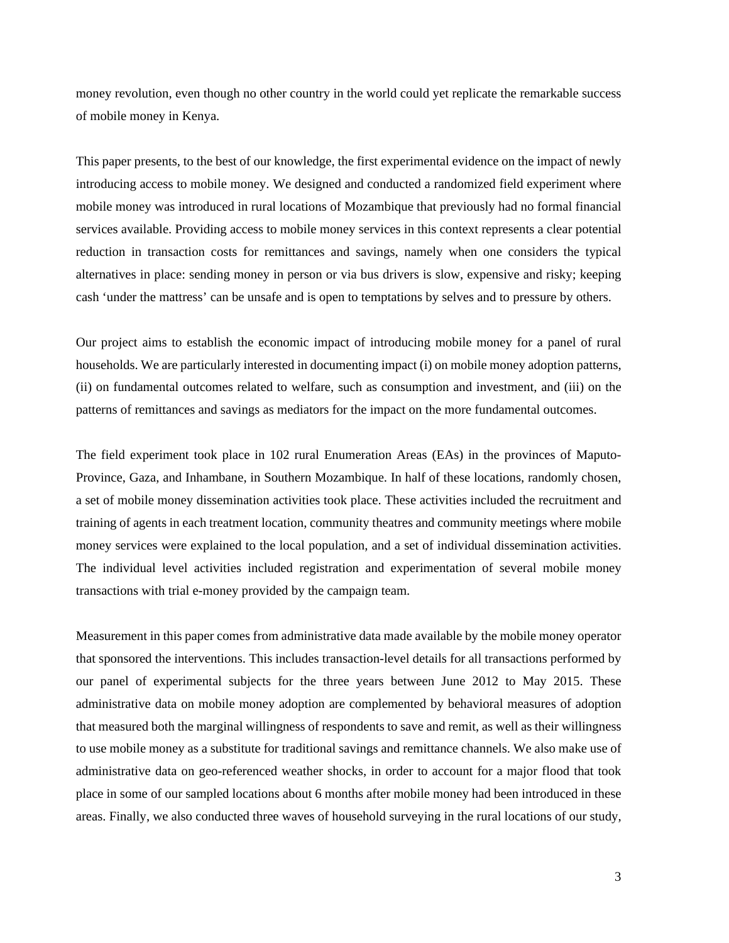money revolution, even though no other country in the world could yet replicate the remarkable success of mobile money in Kenya.

This paper presents, to the best of our knowledge, the first experimental evidence on the impact of newly introducing access to mobile money. We designed and conducted a randomized field experiment where mobile money was introduced in rural locations of Mozambique that previously had no formal financial services available. Providing access to mobile money services in this context represents a clear potential reduction in transaction costs for remittances and savings, namely when one considers the typical alternatives in place: sending money in person or via bus drivers is slow, expensive and risky; keeping cash 'under the mattress' can be unsafe and is open to temptations by selves and to pressure by others.

Our project aims to establish the economic impact of introducing mobile money for a panel of rural households. We are particularly interested in documenting impact (i) on mobile money adoption patterns, (ii) on fundamental outcomes related to welfare, such as consumption and investment, and (iii) on the patterns of remittances and savings as mediators for the impact on the more fundamental outcomes.

The field experiment took place in 102 rural Enumeration Areas (EAs) in the provinces of Maputo-Province, Gaza, and Inhambane, in Southern Mozambique. In half of these locations, randomly chosen, a set of mobile money dissemination activities took place. These activities included the recruitment and training of agents in each treatment location, community theatres and community meetings where mobile money services were explained to the local population, and a set of individual dissemination activities. The individual level activities included registration and experimentation of several mobile money transactions with trial e-money provided by the campaign team.

Measurement in this paper comes from administrative data made available by the mobile money operator that sponsored the interventions. This includes transaction-level details for all transactions performed by our panel of experimental subjects for the three years between June 2012 to May 2015. These administrative data on mobile money adoption are complemented by behavioral measures of adoption that measured both the marginal willingness of respondents to save and remit, as well as their willingness to use mobile money as a substitute for traditional savings and remittance channels. We also make use of administrative data on geo-referenced weather shocks, in order to account for a major flood that took place in some of our sampled locations about 6 months after mobile money had been introduced in these areas. Finally, we also conducted three waves of household surveying in the rural locations of our study,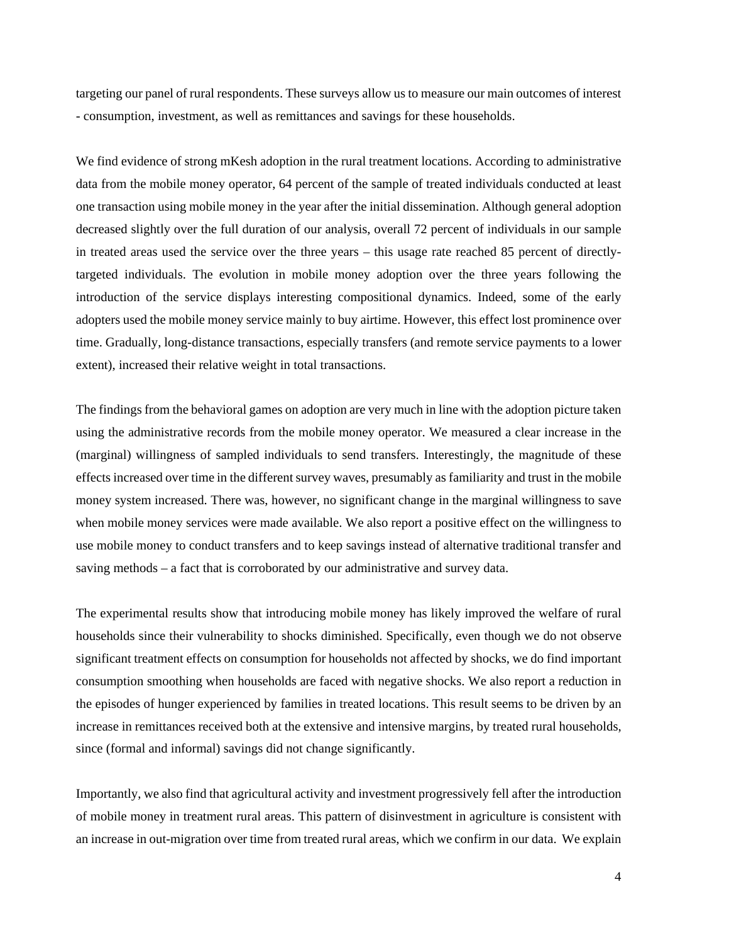targeting our panel of rural respondents. These surveys allow us to measure our main outcomes of interest - consumption, investment, as well as remittances and savings for these households.

We find evidence of strong mKesh adoption in the rural treatment locations. According to administrative data from the mobile money operator, 64 percent of the sample of treated individuals conducted at least one transaction using mobile money in the year after the initial dissemination. Although general adoption decreased slightly over the full duration of our analysis, overall 72 percent of individuals in our sample in treated areas used the service over the three years – this usage rate reached 85 percent of directlytargeted individuals. The evolution in mobile money adoption over the three years following the introduction of the service displays interesting compositional dynamics. Indeed, some of the early adopters used the mobile money service mainly to buy airtime. However, this effect lost prominence over time. Gradually, long-distance transactions, especially transfers (and remote service payments to a lower extent), increased their relative weight in total transactions.

The findings from the behavioral games on adoption are very much in line with the adoption picture taken using the administrative records from the mobile money operator. We measured a clear increase in the (marginal) willingness of sampled individuals to send transfers. Interestingly, the magnitude of these effects increased over time in the different survey waves, presumably as familiarity and trust in the mobile money system increased. There was, however, no significant change in the marginal willingness to save when mobile money services were made available. We also report a positive effect on the willingness to use mobile money to conduct transfers and to keep savings instead of alternative traditional transfer and saving methods – a fact that is corroborated by our administrative and survey data.

The experimental results show that introducing mobile money has likely improved the welfare of rural households since their vulnerability to shocks diminished. Specifically, even though we do not observe significant treatment effects on consumption for households not affected by shocks, we do find important consumption smoothing when households are faced with negative shocks. We also report a reduction in the episodes of hunger experienced by families in treated locations. This result seems to be driven by an increase in remittances received both at the extensive and intensive margins, by treated rural households, since (formal and informal) savings did not change significantly.

Importantly, we also find that agricultural activity and investment progressively fell after the introduction of mobile money in treatment rural areas. This pattern of disinvestment in agriculture is consistent with an increase in out-migration over time from treated rural areas, which we confirm in our data. We explain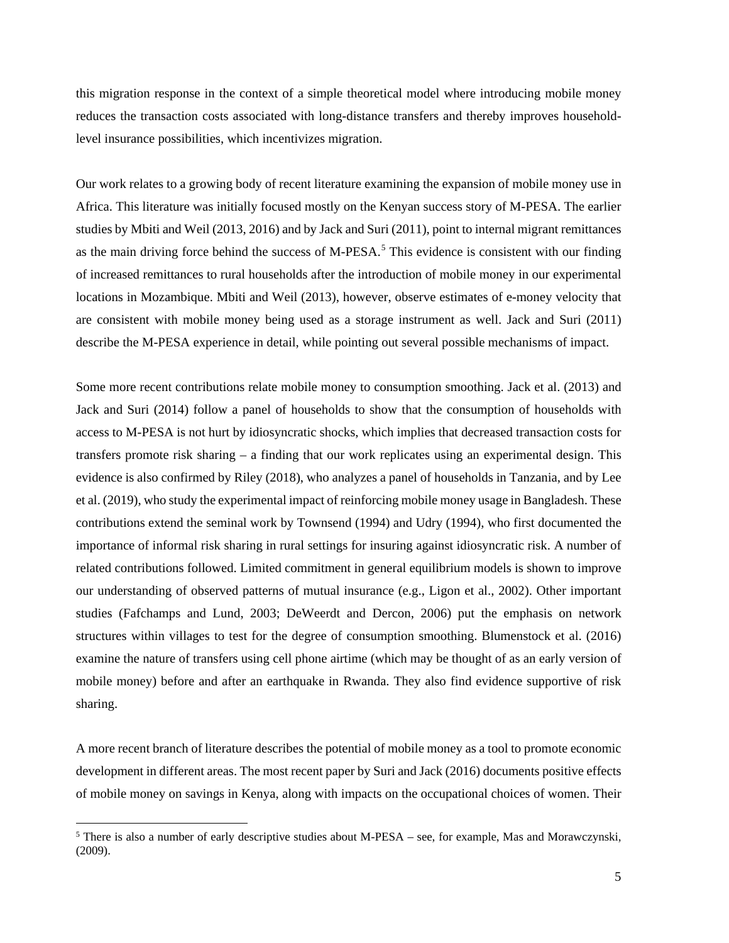this migration response in the context of a simple theoretical model where introducing mobile money reduces the transaction costs associated with long-distance transfers and thereby improves householdlevel insurance possibilities, which incentivizes migration.

Our work relates to a growing body of recent literature examining the expansion of mobile money use in Africa. This literature was initially focused mostly on the Kenyan success story of M-PESA. The earlier studies by Mbiti and Weil (2013, 2016) and by Jack and Suri (2011), point to internal migrant remittances as the main driving force behind the success of M-PESA.<sup>[5](#page-4-0)</sup> This evidence is consistent with our finding of increased remittances to rural households after the introduction of mobile money in our experimental locations in Mozambique. Mbiti and Weil (2013), however, observe estimates of e-money velocity that are consistent with mobile money being used as a storage instrument as well. Jack and Suri (2011) describe the M-PESA experience in detail, while pointing out several possible mechanisms of impact.

Some more recent contributions relate mobile money to consumption smoothing. Jack et al. (2013) and Jack and Suri (2014) follow a panel of households to show that the consumption of households with access to M-PESA is not hurt by idiosyncratic shocks, which implies that decreased transaction costs for transfers promote risk sharing – a finding that our work replicates using an experimental design. This evidence is also confirmed by Riley (2018), who analyzes a panel of households in Tanzania, and by Lee et al. (2019), who study the experimental impact of reinforcing mobile money usage in Bangladesh. These contributions extend the seminal work by Townsend (1994) and Udry (1994), who first documented the importance of informal risk sharing in rural settings for insuring against idiosyncratic risk. A number of related contributions followed. Limited commitment in general equilibrium models is shown to improve our understanding of observed patterns of mutual insurance (e.g., Ligon et al., 2002). Other important studies (Fafchamps and Lund, 2003; DeWeerdt and Dercon, 2006) put the emphasis on network structures within villages to test for the degree of consumption smoothing. Blumenstock et al. (2016) examine the nature of transfers using cell phone airtime (which may be thought of as an early version of mobile money) before and after an earthquake in Rwanda. They also find evidence supportive of risk sharing.

A more recent branch of literature describes the potential of mobile money as a tool to promote economic development in different areas. The most recent paper by Suri and Jack (2016) documents positive effects of mobile money on savings in Kenya, along with impacts on the occupational choices of women. Their

<span id="page-4-0"></span><sup>5</sup> There is also a number of early descriptive studies about M-PESA – see, for example, Mas and Morawczynski, (2009).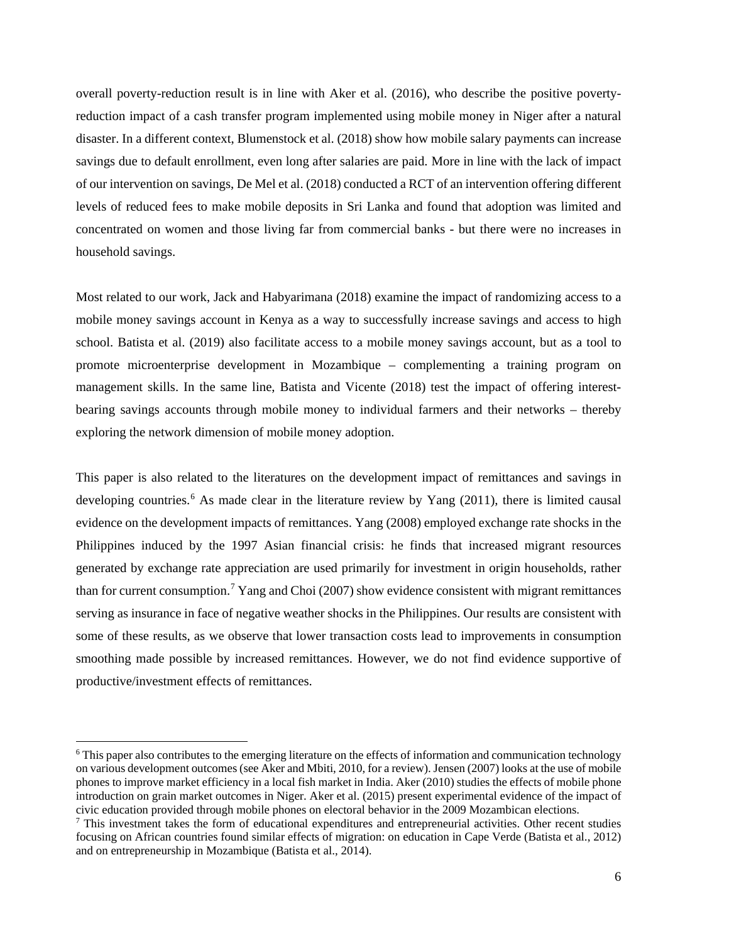overall poverty-reduction result is in line with Aker et al. (2016), who describe the positive povertyreduction impact of a cash transfer program implemented using mobile money in Niger after a natural disaster. In a different context, Blumenstock et al. (2018) show how mobile salary payments can increase savings due to default enrollment, even long after salaries are paid. More in line with the lack of impact of our intervention on savings, De Mel et al. (2018) conducted a RCT of an intervention offering different levels of reduced fees to make mobile deposits in Sri Lanka and found that adoption was limited and concentrated on women and those living far from commercial banks - but there were no increases in household savings.

Most related to our work, Jack and Habyarimana (2018) examine the impact of randomizing access to a mobile money savings account in Kenya as a way to successfully increase savings and access to high school. Batista et al. (2019) also facilitate access to a mobile money savings account, but as a tool to promote microenterprise development in Mozambique – complementing a training program on management skills. In the same line, Batista and Vicente (2018) test the impact of offering interestbearing savings accounts through mobile money to individual farmers and their networks – thereby exploring the network dimension of mobile money adoption.

This paper is also related to the literatures on the development impact of remittances and savings in developing countries.<sup>[6](#page-5-0)</sup> As made clear in the literature review by Yang (2011), there is limited causal evidence on the development impacts of remittances. Yang (2008) employed exchange rate shocks in the Philippines induced by the 1997 Asian financial crisis: he finds that increased migrant resources generated by exchange rate appreciation are used primarily for investment in origin households, rather than for current consumption.<sup>[7](#page-5-1)</sup> Yang and Choi (2007) show evidence consistent with migrant remittances serving as insurance in face of negative weather shocks in the Philippines. Our results are consistent with some of these results, as we observe that lower transaction costs lead to improvements in consumption smoothing made possible by increased remittances. However, we do not find evidence supportive of productive/investment effects of remittances.

<span id="page-5-0"></span><sup>&</sup>lt;sup>6</sup> This paper also contributes to the emerging literature on the effects of information and communication technology on various development outcomes (see Aker and Mbiti, 2010, for a review). Jensen (2007) looks at the use of mobile phones to improve market efficiency in a local fish market in India. Aker (2010) studies the effects of mobile phone introduction on grain market outcomes in Niger. Aker et al. (2015) present experimental evidence of the impact of civic education provided through mobile phones on electoral behavior in the 2009 Mozambican elections.

<span id="page-5-1"></span> $<sup>7</sup>$  This investment takes the form of educational expenditures and entrepreneurial activities. Other recent studies</sup> focusing on African countries found similar effects of migration: on education in Cape Verde (Batista et al., 2012) and on entrepreneurship in Mozambique (Batista et al., 2014).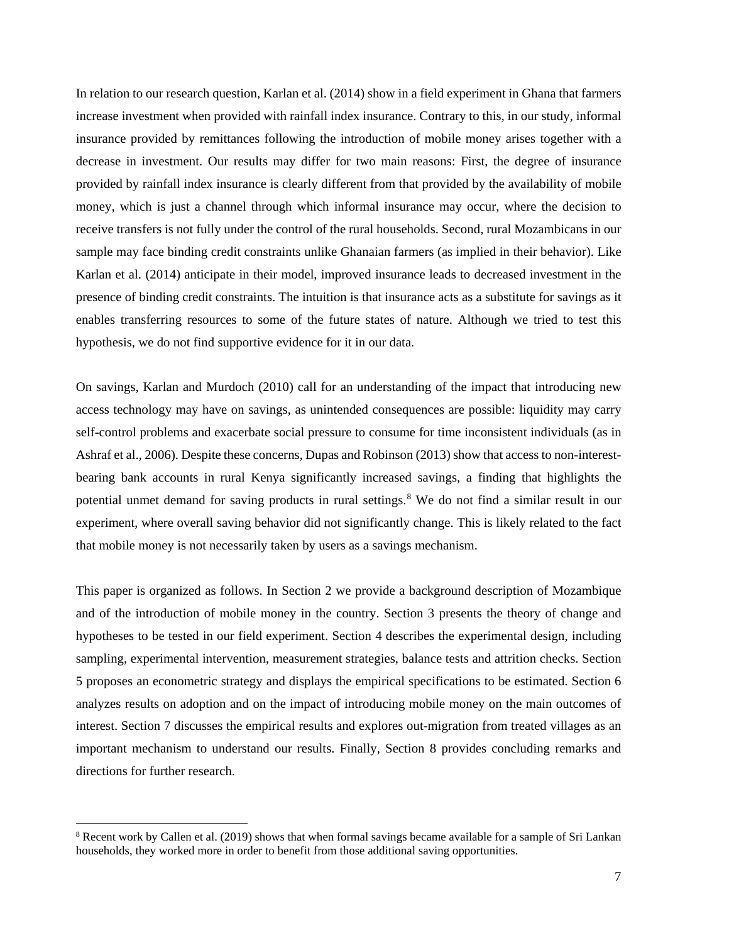In relation to our research question, Karlan et al. (2014) show in a field experiment in Ghana that farmers increase investment when provided with rainfall index insurance. Contrary to this, in our study, informal insurance provided by remittances following the introduction of mobile money arises together with a decrease in investment. Our results may differ for two main reasons: First, the degree of insurance provided by rainfall index insurance is clearly different from that provided by the availability of mobile money, which is just a channel through which informal insurance may occur, where the decision to receive transfers is not fully under the control of the rural households. Second, rural Mozambicans in our sample may face binding credit constraints unlike Ghanaian farmers (as implied in their behavior). Like Karlan et al. (2014) anticipate in their model, improved insurance leads to decreased investment in the presence of binding credit constraints. The intuition is that insurance acts as a substitute for savings as it enables transferring resources to some of the future states of nature. Although we tried to test this hypothesis, we do not find supportive evidence for it in our data.

On savings, Karlan and Murdoch (2010) call for an understanding of the impact that introducing new access technology may have on savings, as unintended consequences are possible: liquidity may carry self-control problems and exacerbate social pressure to consume for time inconsistent individuals (as in Ashraf et al., 2006). Despite these concerns, Dupas and Robinson (2013) show that access to non-interestbearing bank accounts in rural Kenya significantly increased savings, a finding that highlights the potential unmet demand for saving products in rural settings.<sup>[8](#page-6-0)</sup> We do not find a similar result in our experiment, where overall saving behavior did not significantly change. This is likely related to the fact that mobile money is not necessarily taken by users as a savings mechanism.

This paper is organized as follows. In Section 2 we provide a background description of Mozambique and of the introduction of mobile money in the country. Section 3 presents the theory of change and hypotheses to be tested in our field experiment. Section 4 describes the experimental design, including sampling, experimental intervention, measurement strategies, balance tests and attrition checks. Section 5 proposes an econometric strategy and displays the empirical specifications to be estimated. Section 6 analyzes results on adoption and on the impact of introducing mobile money on the main outcomes of interest. Section 7 discusses the empirical results and explores out-migration from treated villages as an important mechanism to understand our results. Finally, Section 8 provides concluding remarks and directions for further research.

<span id="page-6-0"></span><sup>&</sup>lt;sup>8</sup> Recent work by Callen et al. (2019) shows that when formal savings became available for a sample of Sri Lankan households, they worked more in order to benefit from those additional saving opportunities.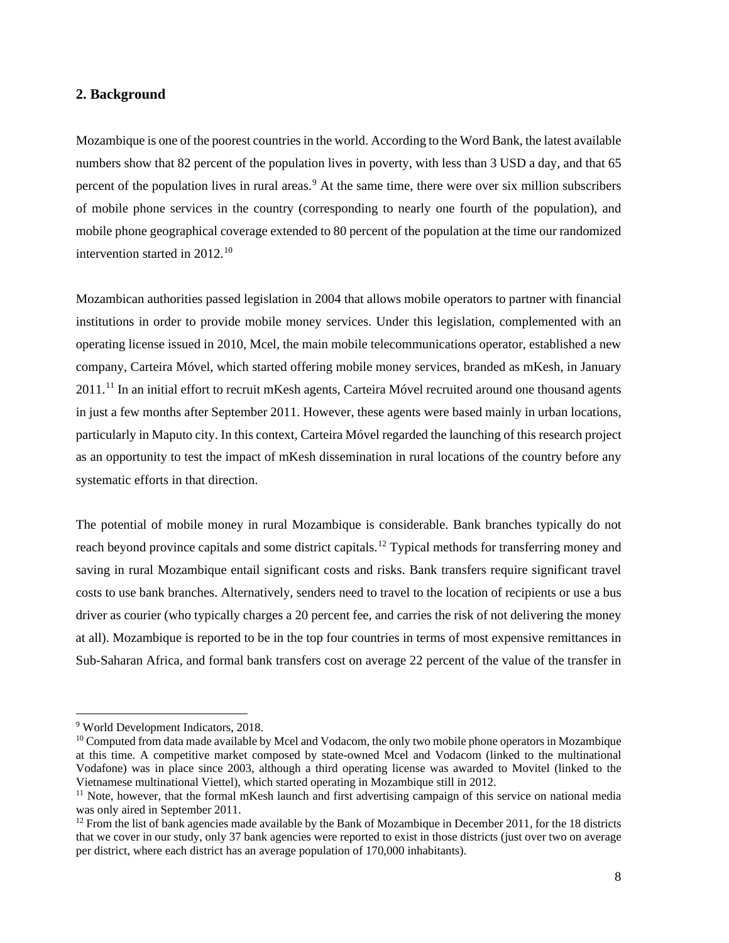## **2. Background**

Mozambique is one of the poorest countries in the world. According to the Word Bank, the latest available numbers show that 82 percent of the population lives in poverty, with less than 3 USD a day, and that 65 percent of the population lives in rural areas.<sup>[9](#page-7-0)</sup> At the same time, there were over six million subscribers of mobile phone services in the country (corresponding to nearly one fourth of the population), and mobile phone geographical coverage extended to 80 percent of the population at the time our randomized intervention started in  $2012$ .<sup>[10](#page-7-1)</sup>

Mozambican authorities passed legislation in 2004 that allows mobile operators to partner with financial institutions in order to provide mobile money services. Under this legislation, complemented with an operating license issued in 2010, Mcel, the main mobile telecommunications operator, established a new company, Carteira Móvel, which started offering mobile money services, branded as mKesh, in January 20[11](#page-7-2).<sup>11</sup> In an initial effort to recruit mKesh agents, Carteira Móvel recruited around one thousand agents in just a few months after September 2011. However, these agents were based mainly in urban locations, particularly in Maputo city. In this context, Carteira Móvel regarded the launching of this research project as an opportunity to test the impact of mKesh dissemination in rural locations of the country before any systematic efforts in that direction.

The potential of mobile money in rural Mozambique is considerable. Bank branches typically do not reach beyond province capitals and some district capitals.<sup>[12](#page-7-3)</sup> Typical methods for transferring money and saving in rural Mozambique entail significant costs and risks. Bank transfers require significant travel costs to use bank branches. Alternatively, senders need to travel to the location of recipients or use a bus driver as courier (who typically charges a 20 percent fee, and carries the risk of not delivering the money at all). Mozambique is reported to be in the top four countries in terms of most expensive remittances in Sub-Saharan Africa, and formal bank transfers cost on average 22 percent of the value of the transfer in

<span id="page-7-0"></span><sup>9</sup> World Development Indicators, 2018.

<span id="page-7-1"></span><sup>&</sup>lt;sup>10</sup> Computed from data made available by Mcel and Vodacom, the only two mobile phone operators in Mozambique at this time. A competitive market composed by state-owned Mcel and Vodacom (linked to the multinational Vodafone) was in place since 2003, although a third operating license was awarded to Movitel (linked to the Vietnamese multinational Viettel), which started operating in Mozambique still in 2012.

<span id="page-7-2"></span><sup>&</sup>lt;sup>11</sup> Note, however, that the formal mKesh launch and first advertising campaign of this service on national media was only aired in September 2011.

<span id="page-7-3"></span> $12$  From the list of bank agencies made available by the Bank of Mozambique in December 2011, for the 18 districts that we cover in our study, only 37 bank agencies were reported to exist in those districts (just over two on average per district, where each district has an average population of 170,000 inhabitants).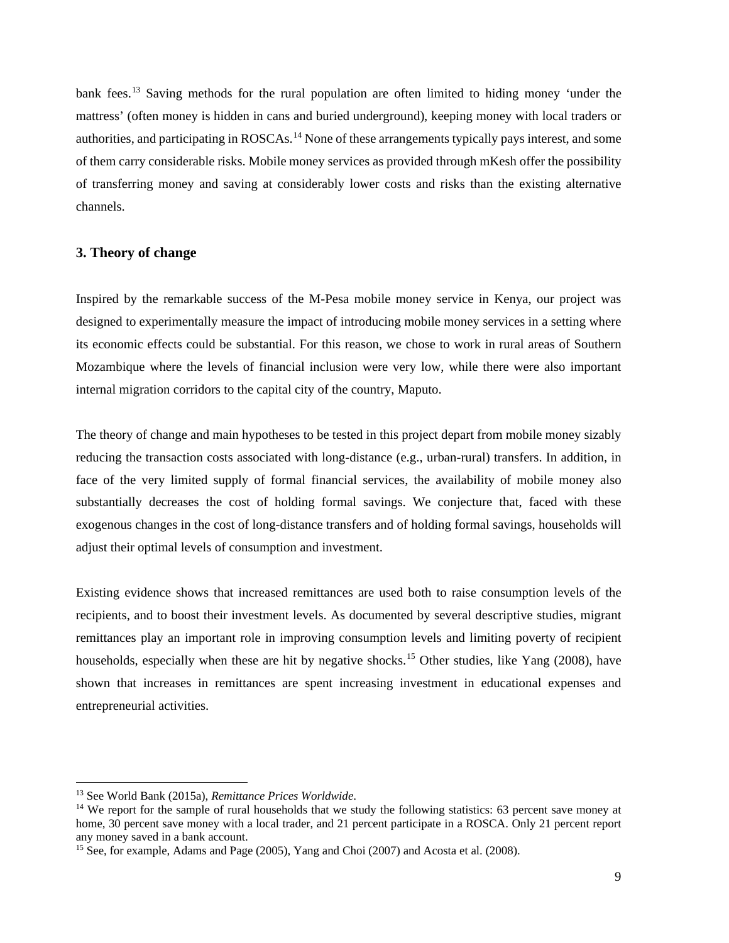bank fees.<sup>[13](#page-8-0)</sup> Saving methods for the rural population are often limited to hiding money 'under the mattress' (often money is hidden in cans and buried underground), keeping money with local traders or authorities, and participating in ROSCAs.<sup>[14](#page-8-1)</sup> None of these arrangements typically pays interest, and some of them carry considerable risks. Mobile money services as provided through mKesh offer the possibility of transferring money and saving at considerably lower costs and risks than the existing alternative channels.

## **3. Theory of change**

Inspired by the remarkable success of the M-Pesa mobile money service in Kenya, our project was designed to experimentally measure the impact of introducing mobile money services in a setting where its economic effects could be substantial. For this reason, we chose to work in rural areas of Southern Mozambique where the levels of financial inclusion were very low, while there were also important internal migration corridors to the capital city of the country, Maputo.

The theory of change and main hypotheses to be tested in this project depart from mobile money sizably reducing the transaction costs associated with long-distance (e.g., urban-rural) transfers. In addition, in face of the very limited supply of formal financial services, the availability of mobile money also substantially decreases the cost of holding formal savings. We conjecture that, faced with these exogenous changes in the cost of long-distance transfers and of holding formal savings, households will adjust their optimal levels of consumption and investment.

Existing evidence shows that increased remittances are used both to raise consumption levels of the recipients, and to boost their investment levels. As documented by several descriptive studies, migrant remittances play an important role in improving consumption levels and limiting poverty of recipient households, especially when these are hit by negative shocks.<sup>[15](#page-8-2)</sup> Other studies, like Yang (2008), have shown that increases in remittances are spent increasing investment in educational expenses and entrepreneurial activities.

<span id="page-8-0"></span><sup>13</sup> See World Bank (2015a), *Remittance Prices Worldwide*.

<span id="page-8-1"></span><sup>&</sup>lt;sup>14</sup> We report for the sample of rural households that we study the following statistics: 63 percent save money at home, 30 percent save money with a local trader, and 21 percent participate in a ROSCA. Only 21 percent report any money saved in a bank account.

<span id="page-8-2"></span><sup>&</sup>lt;sup>15</sup> See, for example, Adams and Page (2005), Yang and Choi (2007) and Acosta et al. (2008).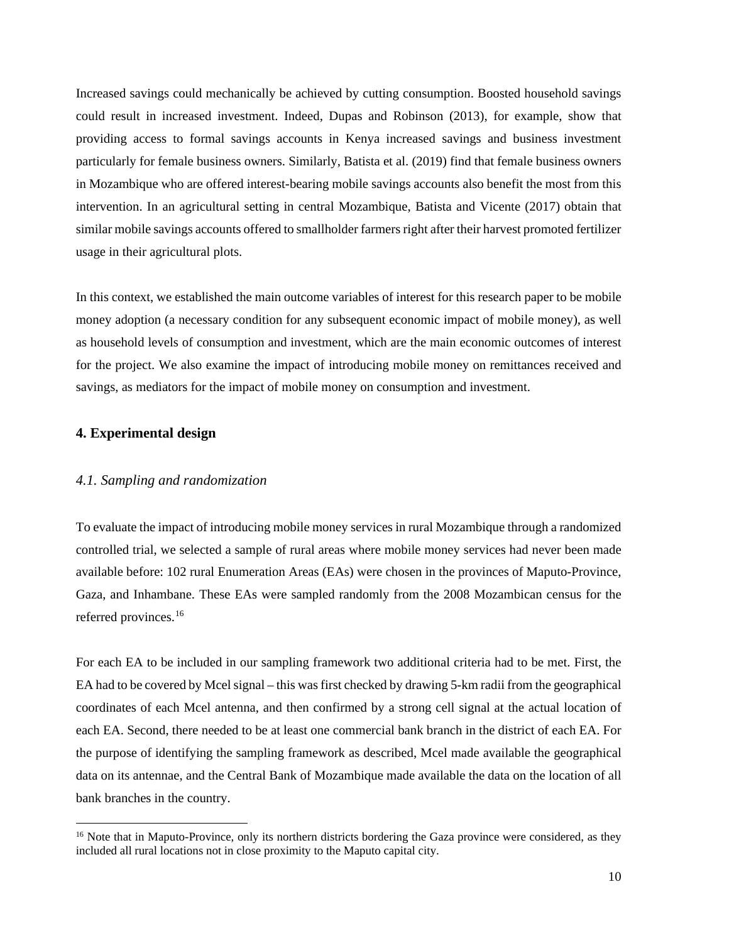Increased savings could mechanically be achieved by cutting consumption. Boosted household savings could result in increased investment. Indeed, Dupas and Robinson (2013), for example, show that providing access to formal savings accounts in Kenya increased savings and business investment particularly for female business owners. Similarly, Batista et al. (2019) find that female business owners in Mozambique who are offered interest-bearing mobile savings accounts also benefit the most from this intervention. In an agricultural setting in central Mozambique, Batista and Vicente (2017) obtain that similar mobile savings accounts offered to smallholder farmers right after their harvest promoted fertilizer usage in their agricultural plots.

In this context, we established the main outcome variables of interest for this research paper to be mobile money adoption (a necessary condition for any subsequent economic impact of mobile money), as well as household levels of consumption and investment, which are the main economic outcomes of interest for the project. We also examine the impact of introducing mobile money on remittances received and savings, as mediators for the impact of mobile money on consumption and investment.

## **4. Experimental design**

#### *4.1. Sampling and randomization*

To evaluate the impact of introducing mobile money services in rural Mozambique through a randomized controlled trial, we selected a sample of rural areas where mobile money services had never been made available before: 102 rural Enumeration Areas (EAs) were chosen in the provinces of Maputo-Province, Gaza, and Inhambane. These EAs were sampled randomly from the 2008 Mozambican census for the referred provinces.[16](#page-9-0)

For each EA to be included in our sampling framework two additional criteria had to be met. First, the EA had to be covered by Mcel signal – this was first checked by drawing 5-km radii from the geographical coordinates of each Mcel antenna, and then confirmed by a strong cell signal at the actual location of each EA. Second, there needed to be at least one commercial bank branch in the district of each EA. For the purpose of identifying the sampling framework as described, Mcel made available the geographical data on its antennae, and the Central Bank of Mozambique made available the data on the location of all bank branches in the country.

<span id="page-9-0"></span><sup>&</sup>lt;sup>16</sup> Note that in Maputo-Province, only its northern districts bordering the Gaza province were considered, as they included all rural locations not in close proximity to the Maputo capital city.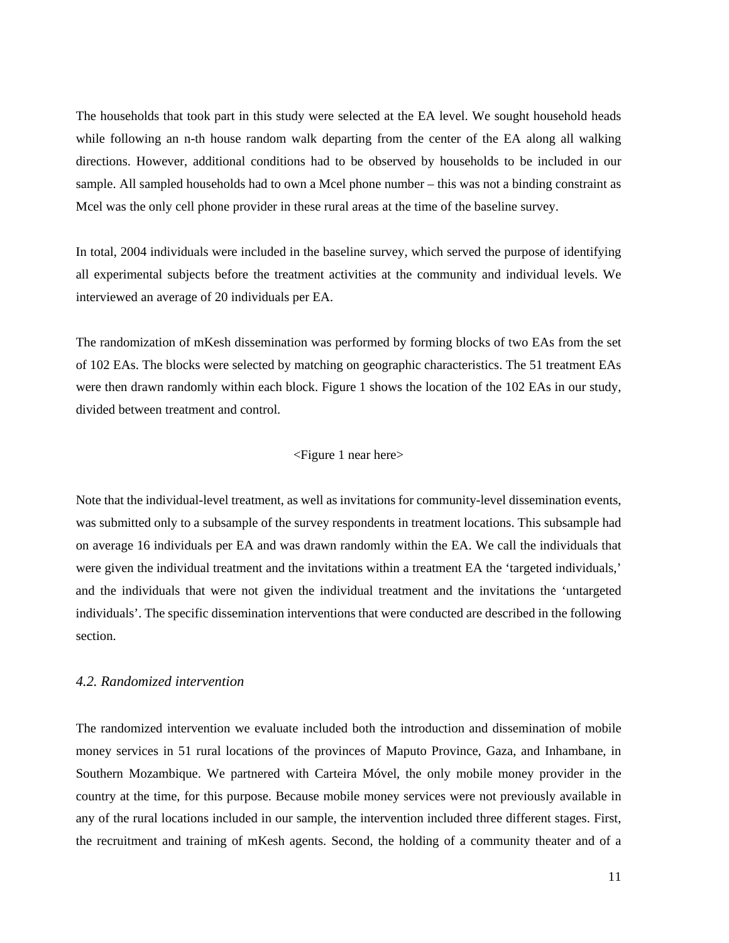The households that took part in this study were selected at the EA level. We sought household heads while following an n-th house random walk departing from the center of the EA along all walking directions. However, additional conditions had to be observed by households to be included in our sample. All sampled households had to own a Mcel phone number – this was not a binding constraint as Mcel was the only cell phone provider in these rural areas at the time of the baseline survey.

In total, 2004 individuals were included in the baseline survey, which served the purpose of identifying all experimental subjects before the treatment activities at the community and individual levels. We interviewed an average of 20 individuals per EA.

The randomization of mKesh dissemination was performed by forming blocks of two EAs from the set of 102 EAs. The blocks were selected by matching on geographic characteristics. The 51 treatment EAs were then drawn randomly within each block. Figure 1 shows the location of the 102 EAs in our study, divided between treatment and control.

#### <Figure 1 near here>

Note that the individual-level treatment, as well as invitations for community-level dissemination events, was submitted only to a subsample of the survey respondents in treatment locations. This subsample had on average 16 individuals per EA and was drawn randomly within the EA. We call the individuals that were given the individual treatment and the invitations within a treatment EA the 'targeted individuals,' and the individuals that were not given the individual treatment and the invitations the 'untargeted individuals'. The specific dissemination interventions that were conducted are described in the following section.

## *4.2. Randomized intervention*

The randomized intervention we evaluate included both the introduction and dissemination of mobile money services in 51 rural locations of the provinces of Maputo Province, Gaza, and Inhambane, in Southern Mozambique. We partnered with Carteira Móvel, the only mobile money provider in the country at the time, for this purpose. Because mobile money services were not previously available in any of the rural locations included in our sample, the intervention included three different stages. First, the recruitment and training of mKesh agents. Second, the holding of a community theater and of a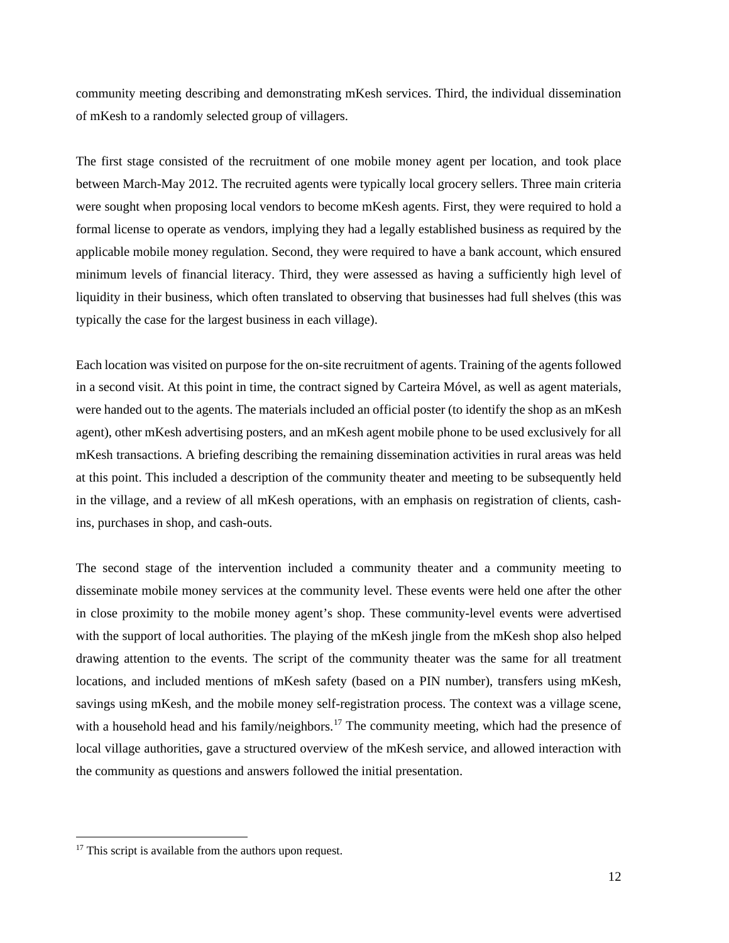community meeting describing and demonstrating mKesh services. Third, the individual dissemination of mKesh to a randomly selected group of villagers.

The first stage consisted of the recruitment of one mobile money agent per location, and took place between March-May 2012. The recruited agents were typically local grocery sellers. Three main criteria were sought when proposing local vendors to become mKesh agents. First, they were required to hold a formal license to operate as vendors, implying they had a legally established business as required by the applicable mobile money regulation. Second, they were required to have a bank account, which ensured minimum levels of financial literacy. Third, they were assessed as having a sufficiently high level of liquidity in their business, which often translated to observing that businesses had full shelves (this was typically the case for the largest business in each village).

Each location was visited on purpose for the on-site recruitment of agents. Training of the agents followed in a second visit. At this point in time, the contract signed by Carteira Móvel, as well as agent materials, were handed out to the agents. The materials included an official poster (to identify the shop as an mKesh agent), other mKesh advertising posters, and an mKesh agent mobile phone to be used exclusively for all mKesh transactions. A briefing describing the remaining dissemination activities in rural areas was held at this point. This included a description of the community theater and meeting to be subsequently held in the village, and a review of all mKesh operations, with an emphasis on registration of clients, cashins, purchases in shop, and cash-outs.

The second stage of the intervention included a community theater and a community meeting to disseminate mobile money services at the community level. These events were held one after the other in close proximity to the mobile money agent's shop. These community-level events were advertised with the support of local authorities. The playing of the mKesh jingle from the mKesh shop also helped drawing attention to the events. The script of the community theater was the same for all treatment locations, and included mentions of mKesh safety (based on a PIN number), transfers using mKesh, savings using mKesh, and the mobile money self-registration process. The context was a village scene, with a household head and his family/neighbors.<sup>[17](#page-11-0)</sup> The community meeting, which had the presence of local village authorities, gave a structured overview of the mKesh service, and allowed interaction with the community as questions and answers followed the initial presentation.

<span id="page-11-0"></span><sup>&</sup>lt;sup>17</sup> This script is available from the authors upon request.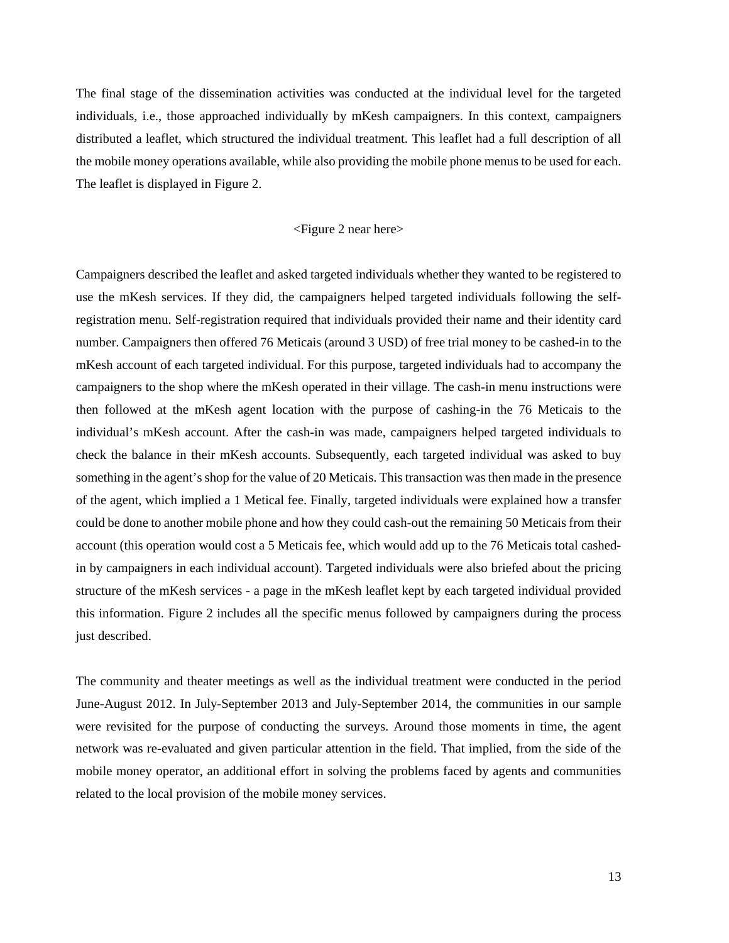The final stage of the dissemination activities was conducted at the individual level for the targeted individuals, i.e., those approached individually by mKesh campaigners. In this context, campaigners distributed a leaflet, which structured the individual treatment. This leaflet had a full description of all the mobile money operations available, while also providing the mobile phone menus to be used for each. The leaflet is displayed in Figure 2.

#### <Figure 2 near here>

Campaigners described the leaflet and asked targeted individuals whether they wanted to be registered to use the mKesh services. If they did, the campaigners helped targeted individuals following the selfregistration menu. Self-registration required that individuals provided their name and their identity card number. Campaigners then offered 76 Meticais (around 3 USD) of free trial money to be cashed-in to the mKesh account of each targeted individual. For this purpose, targeted individuals had to accompany the campaigners to the shop where the mKesh operated in their village. The cash-in menu instructions were then followed at the mKesh agent location with the purpose of cashing-in the 76 Meticais to the individual's mKesh account. After the cash-in was made, campaigners helped targeted individuals to check the balance in their mKesh accounts. Subsequently, each targeted individual was asked to buy something in the agent's shop for the value of 20 Meticais. This transaction was then made in the presence of the agent, which implied a 1 Metical fee. Finally, targeted individuals were explained how a transfer could be done to another mobile phone and how they could cash-out the remaining 50 Meticais from their account (this operation would cost a 5 Meticais fee, which would add up to the 76 Meticais total cashedin by campaigners in each individual account). Targeted individuals were also briefed about the pricing structure of the mKesh services - a page in the mKesh leaflet kept by each targeted individual provided this information. Figure 2 includes all the specific menus followed by campaigners during the process just described.

The community and theater meetings as well as the individual treatment were conducted in the period June-August 2012. In July-September 2013 and July-September 2014, the communities in our sample were revisited for the purpose of conducting the surveys. Around those moments in time, the agent network was re-evaluated and given particular attention in the field. That implied, from the side of the mobile money operator, an additional effort in solving the problems faced by agents and communities related to the local provision of the mobile money services.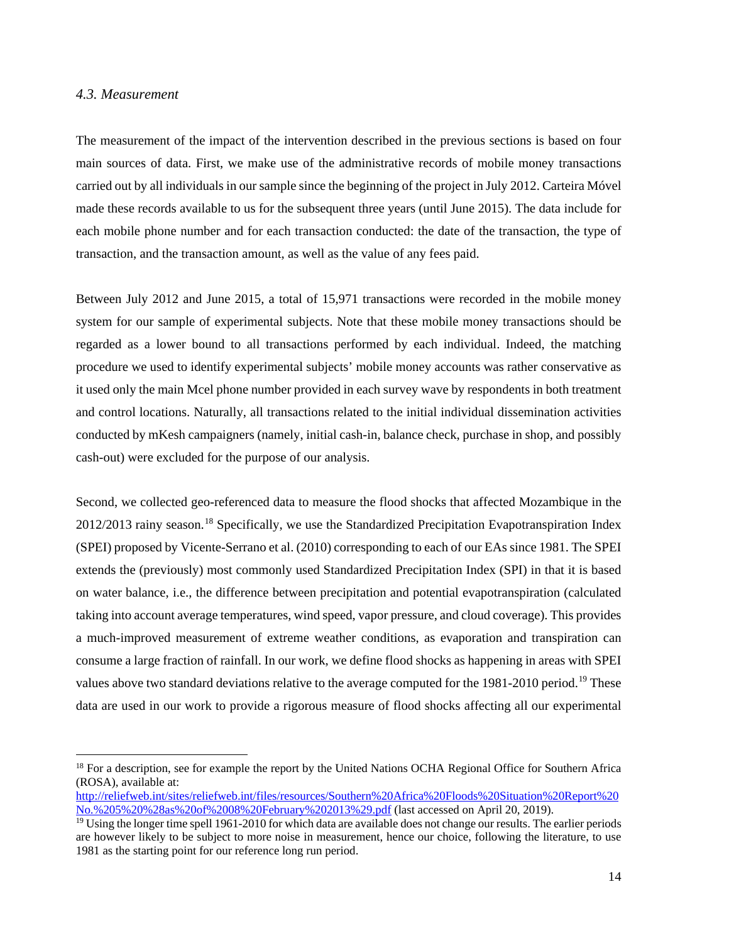## *4.3. Measurement*

The measurement of the impact of the intervention described in the previous sections is based on four main sources of data. First, we make use of the administrative records of mobile money transactions carried out by all individuals in our sample since the beginning of the project in July 2012. Carteira Móvel made these records available to us for the subsequent three years (until June 2015). The data include for each mobile phone number and for each transaction conducted: the date of the transaction, the type of transaction, and the transaction amount, as well as the value of any fees paid.

Between July 2012 and June 2015, a total of 15,971 transactions were recorded in the mobile money system for our sample of experimental subjects. Note that these mobile money transactions should be regarded as a lower bound to all transactions performed by each individual. Indeed, the matching procedure we used to identify experimental subjects' mobile money accounts was rather conservative as it used only the main Mcel phone number provided in each survey wave by respondents in both treatment and control locations. Naturally, all transactions related to the initial individual dissemination activities conducted by mKesh campaigners (namely, initial cash-in, balance check, purchase in shop, and possibly cash-out) were excluded for the purpose of our analysis.

Second, we collected geo-referenced data to measure the flood shocks that affected Mozambique in the 2012/2013 rainy season.<sup>[18](#page-13-0)</sup> Specifically, we use the Standardized Precipitation Evapotranspiration Index (SPEI) proposed by Vicente-Serrano et al. (2010) corresponding to each of our EAs since 1981. The SPEI extends the (previously) most commonly used Standardized Precipitation Index (SPI) in that it is based on water balance, i.e., the difference between precipitation and potential evapotranspiration (calculated taking into account average temperatures, wind speed, vapor pressure, and cloud coverage). This provides a much-improved measurement of extreme weather conditions, as evaporation and transpiration can consume a large fraction of rainfall. In our work, we define flood shocks as happening in areas with SPEI values above two standard deviations relative to the average computed for the [19](#page-13-1)81-2010 period.<sup>19</sup> These data are used in our work to provide a rigorous measure of flood shocks affecting all our experimental

<span id="page-13-0"></span><sup>&</sup>lt;sup>18</sup> For a description, see for example the report by the United Nations OCHA Regional Office for Southern Africa (ROSA), available at:

[http://reliefweb.int/sites/reliefweb.int/files/resources/Southern%20Africa%20Floods%20Situation%20Report%20](http://reliefweb.int/sites/reliefweb.int/files/resources/Southern%20Africa%20Floods%20Situation%20Report%20No.%205%20%28as%20of%2008%20February%202013%29.pdf) [No.%205%20%28as%20of%2008%20February%202013%29.pdf](http://reliefweb.int/sites/reliefweb.int/files/resources/Southern%20Africa%20Floods%20Situation%20Report%20No.%205%20%28as%20of%2008%20February%202013%29.pdf) (last accessed on April 20, 2019).

<span id="page-13-1"></span> $19$  Using the longer time spell 1961-2010 for which data are available does not change our results. The earlier periods are however likely to be subject to more noise in measurement, hence our choice, following the literature, to use 1981 as the starting point for our reference long run period.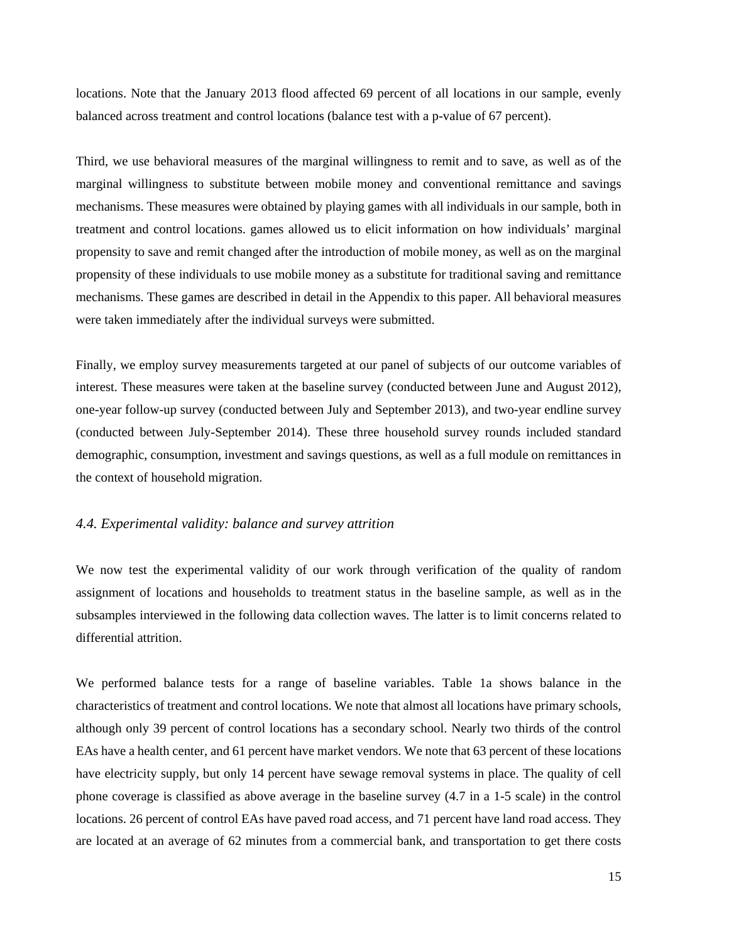locations. Note that the January 2013 flood affected 69 percent of all locations in our sample, evenly balanced across treatment and control locations (balance test with a p-value of 67 percent).

Third, we use behavioral measures of the marginal willingness to remit and to save, as well as of the marginal willingness to substitute between mobile money and conventional remittance and savings mechanisms. These measures were obtained by playing games with all individuals in our sample, both in treatment and control locations. games allowed us to elicit information on how individuals' marginal propensity to save and remit changed after the introduction of mobile money, as well as on the marginal propensity of these individuals to use mobile money as a substitute for traditional saving and remittance mechanisms. These games are described in detail in the Appendix to this paper. All behavioral measures were taken immediately after the individual surveys were submitted.

Finally, we employ survey measurements targeted at our panel of subjects of our outcome variables of interest. These measures were taken at the baseline survey (conducted between June and August 2012), one-year follow-up survey (conducted between July and September 2013), and two-year endline survey (conducted between July-September 2014). These three household survey rounds included standard demographic, consumption, investment and savings questions, as well as a full module on remittances in the context of household migration.

## *4.4. Experimental validity: balance and survey attrition*

We now test the experimental validity of our work through verification of the quality of random assignment of locations and households to treatment status in the baseline sample, as well as in the subsamples interviewed in the following data collection waves. The latter is to limit concerns related to differential attrition.

We performed balance tests for a range of baseline variables. Table 1a shows balance in the characteristics of treatment and control locations. We note that almost all locations have primary schools, although only 39 percent of control locations has a secondary school. Nearly two thirds of the control EAs have a health center, and 61 percent have market vendors. We note that 63 percent of these locations have electricity supply, but only 14 percent have sewage removal systems in place. The quality of cell phone coverage is classified as above average in the baseline survey (4.7 in a 1-5 scale) in the control locations. 26 percent of control EAs have paved road access, and 71 percent have land road access. They are located at an average of 62 minutes from a commercial bank, and transportation to get there costs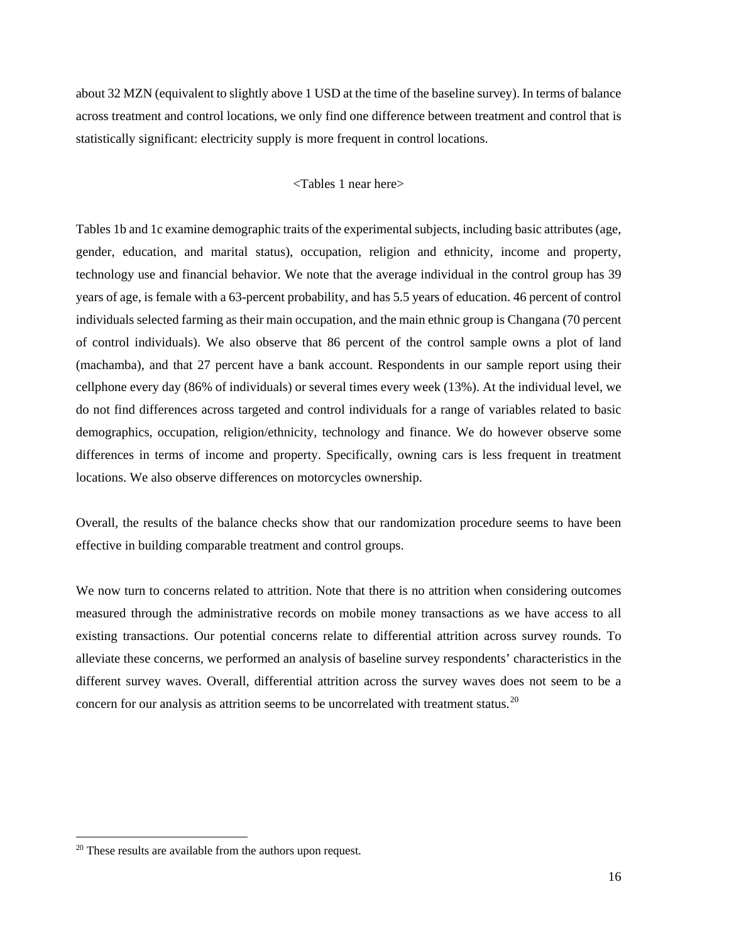about 32 MZN (equivalent to slightly above 1 USD at the time of the baseline survey). In terms of balance across treatment and control locations, we only find one difference between treatment and control that is statistically significant: electricity supply is more frequent in control locations.

## <Tables 1 near here>

Tables 1b and 1c examine demographic traits of the experimental subjects, including basic attributes (age, gender, education, and marital status), occupation, religion and ethnicity, income and property, technology use and financial behavior. We note that the average individual in the control group has 39 years of age, is female with a 63-percent probability, and has 5.5 years of education. 46 percent of control individuals selected farming as their main occupation, and the main ethnic group is Changana (70 percent of control individuals). We also observe that 86 percent of the control sample owns a plot of land (machamba), and that 27 percent have a bank account. Respondents in our sample report using their cellphone every day (86% of individuals) or several times every week (13%). At the individual level, we do not find differences across targeted and control individuals for a range of variables related to basic demographics, occupation, religion/ethnicity, technology and finance. We do however observe some differences in terms of income and property. Specifically, owning cars is less frequent in treatment locations. We also observe differences on motorcycles ownership.

Overall, the results of the balance checks show that our randomization procedure seems to have been effective in building comparable treatment and control groups.

We now turn to concerns related to attrition. Note that there is no attrition when considering outcomes measured through the administrative records on mobile money transactions as we have access to all existing transactions. Our potential concerns relate to differential attrition across survey rounds. To alleviate these concerns, we performed an analysis of baseline survey respondents' characteristics in the different survey waves. Overall, differential attrition across the survey waves does not seem to be a concern for our analysis as attrition seems to be uncorrelated with treatment status.<sup>[20](#page-15-0)</sup>

<span id="page-15-0"></span><sup>&</sup>lt;sup>20</sup> These results are available from the authors upon request.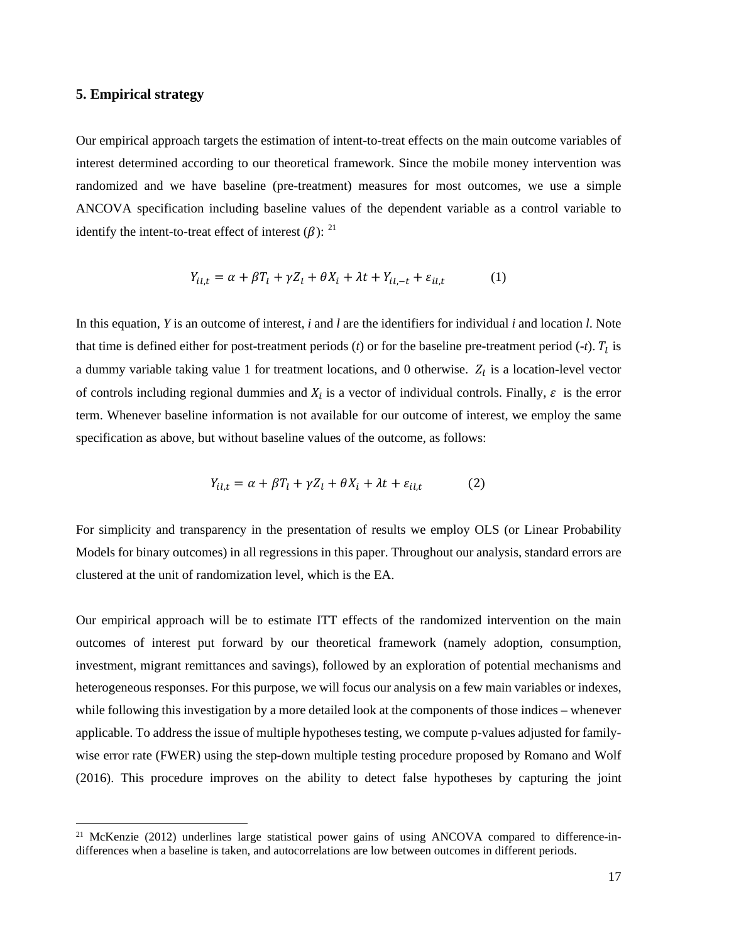## **5. Empirical strategy**

Our empirical approach targets the estimation of intent-to-treat effects on the main outcome variables of interest determined according to our theoretical framework. Since the mobile money intervention was randomized and we have baseline (pre-treatment) measures for most outcomes, we use a simple ANCOVA specification including baseline values of the dependent variable as a control variable to identify the intent-to-treat effect of interest  $(\beta)$ : <sup>[21](#page-16-0)</sup>

$$
Y_{il,t} = \alpha + \beta T_l + \gamma Z_l + \theta X_i + \lambda t + Y_{il,-t} + \varepsilon_{il,t} \tag{1}
$$

In this equation, *Y* is an outcome of interest, *i* and *l* are the identifiers for individual *i* and location *l*. Note that time is defined either for post-treatment periods  $(t)$  or for the baseline pre-treatment period  $(-t)$ .  $T_l$  is a dummy variable taking value 1 for treatment locations, and 0 otherwise.  $Z_l$  is a location-level vector of controls including regional dummies and  $X_i$  is a vector of individual controls. Finally,  $\varepsilon$  is the error term. Whenever baseline information is not available for our outcome of interest, we employ the same specification as above, but without baseline values of the outcome, as follows:

$$
Y_{il,t} = \alpha + \beta T_l + \gamma Z_l + \theta X_i + \lambda t + \varepsilon_{il,t}
$$
 (2)

For simplicity and transparency in the presentation of results we employ OLS (or Linear Probability Models for binary outcomes) in all regressions in this paper. Throughout our analysis, standard errors are clustered at the unit of randomization level, which is the EA.

Our empirical approach will be to estimate ITT effects of the randomized intervention on the main outcomes of interest put forward by our theoretical framework (namely adoption, consumption, investment, migrant remittances and savings), followed by an exploration of potential mechanisms and heterogeneous responses. For this purpose, we will focus our analysis on a few main variables or indexes, while following this investigation by a more detailed look at the components of those indices – whenever applicable. To address the issue of multiple hypotheses testing, we compute p-values adjusted for familywise error rate (FWER) using the step-down multiple testing procedure proposed by Romano and Wolf (2016). This procedure improves on the ability to detect false hypotheses by capturing the joint

<span id="page-16-0"></span><sup>&</sup>lt;sup>21</sup> McKenzie (2012) underlines large statistical power gains of using ANCOVA compared to difference-indifferences when a baseline is taken, and autocorrelations are low between outcomes in different periods.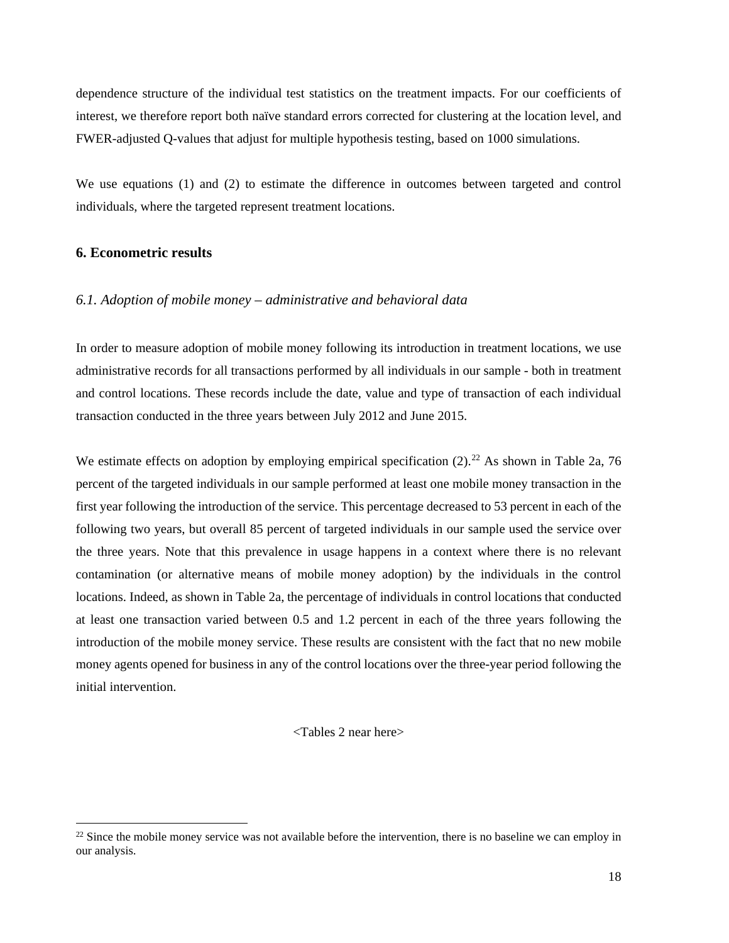dependence structure of the individual test statistics on the treatment impacts. For our coefficients of interest, we therefore report both naïve standard errors corrected for clustering at the location level, and FWER-adjusted Q-values that adjust for multiple hypothesis testing, based on 1000 simulations.

We use equations (1) and (2) to estimate the difference in outcomes between targeted and control individuals, where the targeted represent treatment locations.

## **6. Econometric results**

#### *6.1. Adoption of mobile money – administrative and behavioral data*

In order to measure adoption of mobile money following its introduction in treatment locations, we use administrative records for all transactions performed by all individuals in our sample - both in treatment and control locations. These records include the date, value and type of transaction of each individual transaction conducted in the three years between July 2012 and June 2015.

We estimate effects on adoption by employing empirical specification  $(2)$ .<sup>[22](#page-17-0)</sup> As shown in Table 2a, 76 percent of the targeted individuals in our sample performed at least one mobile money transaction in the first year following the introduction of the service. This percentage decreased to 53 percent in each of the following two years, but overall 85 percent of targeted individuals in our sample used the service over the three years. Note that this prevalence in usage happens in a context where there is no relevant contamination (or alternative means of mobile money adoption) by the individuals in the control locations. Indeed, as shown in Table 2a, the percentage of individuals in control locations that conducted at least one transaction varied between 0.5 and 1.2 percent in each of the three years following the introduction of the mobile money service. These results are consistent with the fact that no new mobile money agents opened for business in any of the control locations over the three-year period following the initial intervention.

<Tables 2 near here>

<span id="page-17-0"></span> $22$  Since the mobile money service was not available before the intervention, there is no baseline we can employ in our analysis.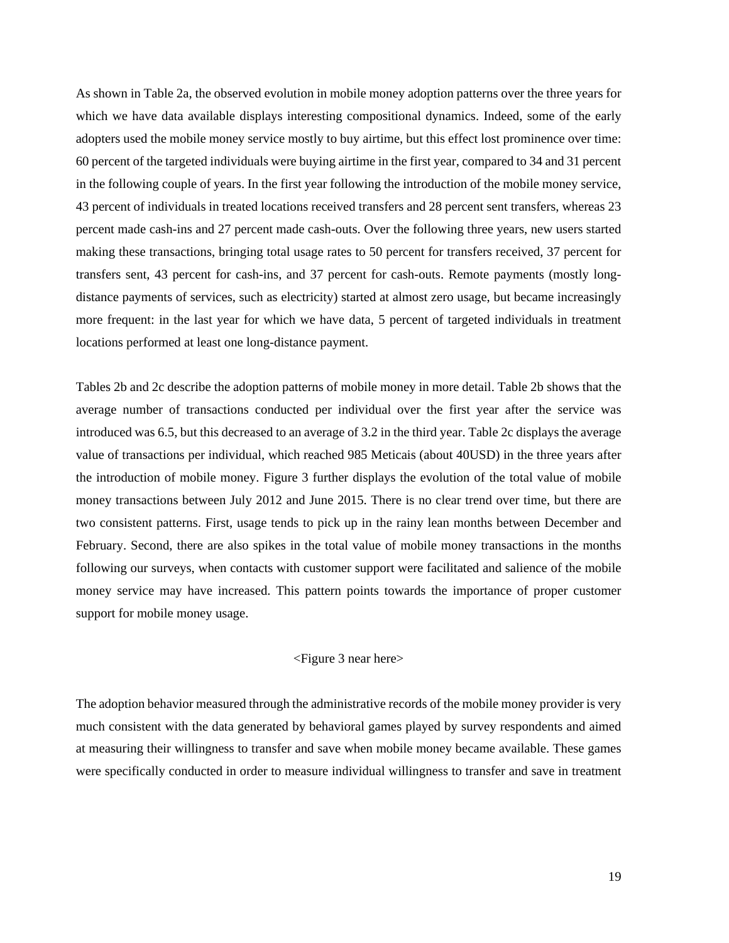As shown in Table 2a, the observed evolution in mobile money adoption patterns over the three years for which we have data available displays interesting compositional dynamics. Indeed, some of the early adopters used the mobile money service mostly to buy airtime, but this effect lost prominence over time: 60 percent of the targeted individuals were buying airtime in the first year, compared to 34 and 31 percent in the following couple of years. In the first year following the introduction of the mobile money service, 43 percent of individuals in treated locations received transfers and 28 percent sent transfers, whereas 23 percent made cash-ins and 27 percent made cash-outs. Over the following three years, new users started making these transactions, bringing total usage rates to 50 percent for transfers received, 37 percent for transfers sent, 43 percent for cash-ins, and 37 percent for cash-outs. Remote payments (mostly longdistance payments of services, such as electricity) started at almost zero usage, but became increasingly more frequent: in the last year for which we have data, 5 percent of targeted individuals in treatment locations performed at least one long-distance payment.

Tables 2b and 2c describe the adoption patterns of mobile money in more detail. Table 2b shows that the average number of transactions conducted per individual over the first year after the service was introduced was 6.5, but this decreased to an average of 3.2 in the third year. Table 2c displays the average value of transactions per individual, which reached 985 Meticais (about 40USD) in the three years after the introduction of mobile money. Figure 3 further displays the evolution of the total value of mobile money transactions between July 2012 and June 2015. There is no clear trend over time, but there are two consistent patterns. First, usage tends to pick up in the rainy lean months between December and February. Second, there are also spikes in the total value of mobile money transactions in the months following our surveys, when contacts with customer support were facilitated and salience of the mobile money service may have increased. This pattern points towards the importance of proper customer support for mobile money usage.

## <Figure 3 near here>

The adoption behavior measured through the administrative records of the mobile money provider is very much consistent with the data generated by behavioral games played by survey respondents and aimed at measuring their willingness to transfer and save when mobile money became available. These games were specifically conducted in order to measure individual willingness to transfer and save in treatment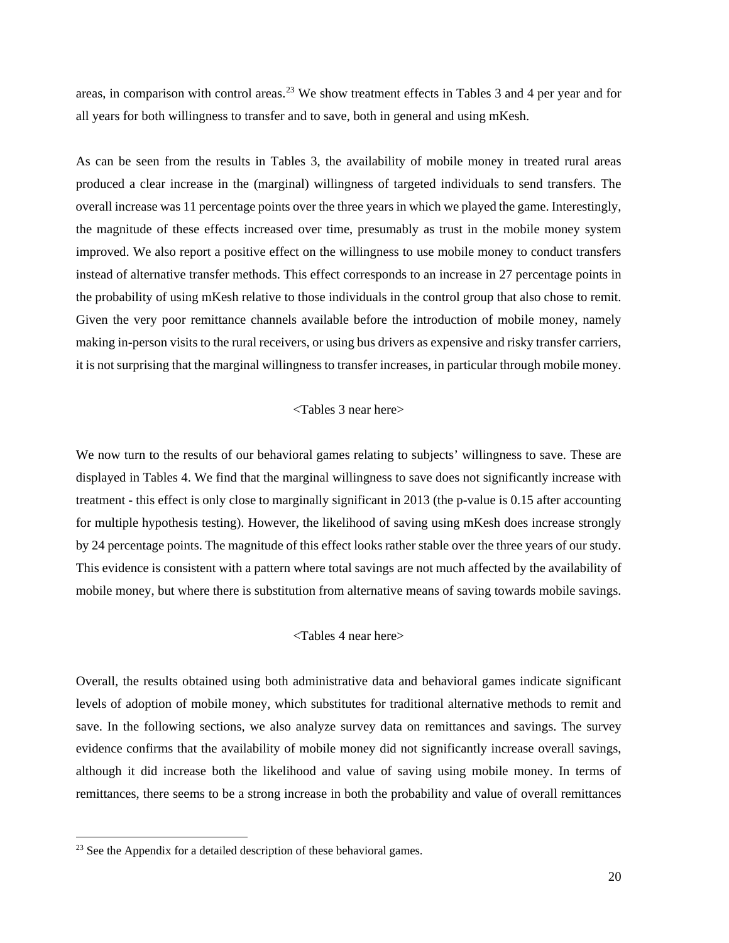areas, in comparison with control areas.<sup>[23](#page-19-0)</sup> We show treatment effects in Tables 3 and 4 per year and for all years for both willingness to transfer and to save, both in general and using mKesh.

As can be seen from the results in Tables 3, the availability of mobile money in treated rural areas produced a clear increase in the (marginal) willingness of targeted individuals to send transfers. The overall increase was 11 percentage points over the three years in which we played the game. Interestingly, the magnitude of these effects increased over time, presumably as trust in the mobile money system improved. We also report a positive effect on the willingness to use mobile money to conduct transfers instead of alternative transfer methods. This effect corresponds to an increase in 27 percentage points in the probability of using mKesh relative to those individuals in the control group that also chose to remit. Given the very poor remittance channels available before the introduction of mobile money, namely making in-person visits to the rural receivers, or using bus drivers as expensive and risky transfer carriers, it is not surprising that the marginal willingness to transfer increases, in particular through mobile money.

## <Tables 3 near here>

We now turn to the results of our behavioral games relating to subjects' willingness to save. These are displayed in Tables 4. We find that the marginal willingness to save does not significantly increase with treatment - this effect is only close to marginally significant in 2013 (the p-value is 0.15 after accounting for multiple hypothesis testing). However, the likelihood of saving using mKesh does increase strongly by 24 percentage points. The magnitude of this effect looks rather stable over the three years of our study. This evidence is consistent with a pattern where total savings are not much affected by the availability of mobile money, but where there is substitution from alternative means of saving towards mobile savings.

## <Tables 4 near here>

Overall, the results obtained using both administrative data and behavioral games indicate significant levels of adoption of mobile money, which substitutes for traditional alternative methods to remit and save. In the following sections, we also analyze survey data on remittances and savings. The survey evidence confirms that the availability of mobile money did not significantly increase overall savings, although it did increase both the likelihood and value of saving using mobile money. In terms of remittances, there seems to be a strong increase in both the probability and value of overall remittances

<span id="page-19-0"></span><sup>&</sup>lt;sup>23</sup> See the Appendix for a detailed description of these behavioral games.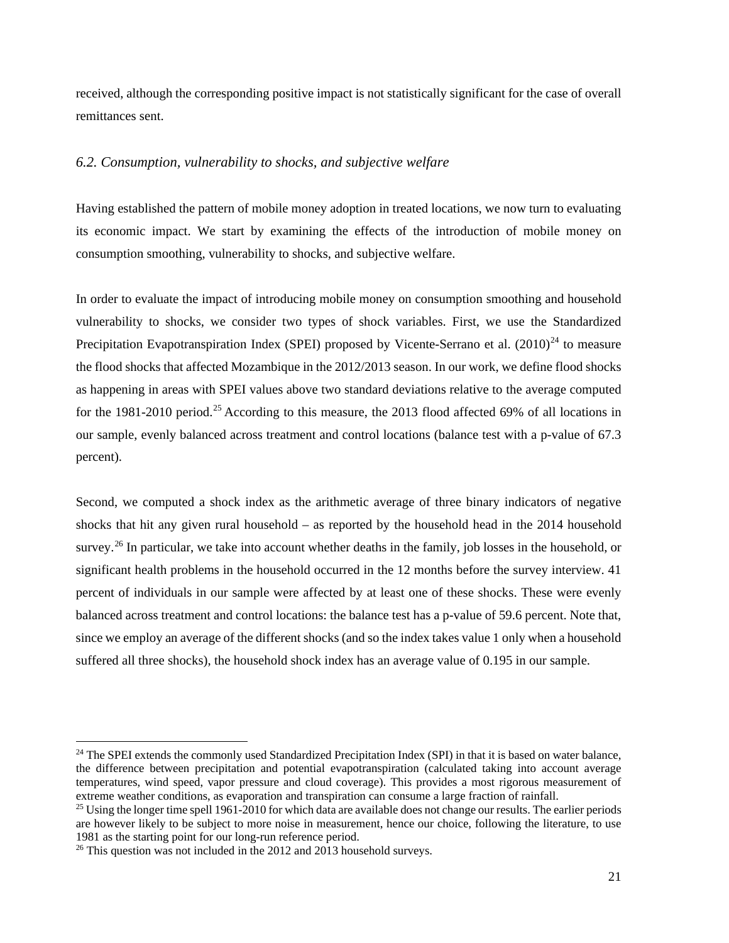received, although the corresponding positive impact is not statistically significant for the case of overall remittances sent.

## *6.2. Consumption, vulnerability to shocks, and subjective welfare*

Having established the pattern of mobile money adoption in treated locations, we now turn to evaluating its economic impact. We start by examining the effects of the introduction of mobile money on consumption smoothing, vulnerability to shocks, and subjective welfare.

In order to evaluate the impact of introducing mobile money on consumption smoothing and household vulnerability to shocks, we consider two types of shock variables. First, we use the Standardized Precipitation Evapotranspiration Index (SPEI) proposed by Vicente-Serrano et al.  $(2010)^{24}$  $(2010)^{24}$  $(2010)^{24}$  to measure the flood shocks that affected Mozambique in the 2012/2013 season. In our work, we define flood shocks as happening in areas with SPEI values above two standard deviations relative to the average computed for the 1981-2010 period.<sup>[25](#page-20-1)</sup> According to this measure, the 2013 flood affected 69% of all locations in our sample, evenly balanced across treatment and control locations (balance test with a p-value of 67.3 percent).

Second, we computed a shock index as the arithmetic average of three binary indicators of negative shocks that hit any given rural household – as reported by the household head in the 2014 household survey.<sup>[26](#page-20-2)</sup> In particular, we take into account whether deaths in the family, job losses in the household, or significant health problems in the household occurred in the 12 months before the survey interview. 41 percent of individuals in our sample were affected by at least one of these shocks. These were evenly balanced across treatment and control locations: the balance test has a p-value of 59.6 percent. Note that, since we employ an average of the different shocks (and so the index takes value 1 only when a household suffered all three shocks), the household shock index has an average value of 0.195 in our sample.

<span id="page-20-0"></span><sup>&</sup>lt;sup>24</sup> The SPEI extends the commonly used Standardized Precipitation Index (SPI) in that it is based on water balance, the difference between precipitation and potential evapotranspiration (calculated taking into account average temperatures, wind speed, vapor pressure and cloud coverage). This provides a most rigorous measurement of extreme weather conditions, as evaporation and transpiration can consume a large fraction of rainfall.

<span id="page-20-1"></span><sup>&</sup>lt;sup>25</sup> Using the longer time spell 1961-2010 for which data are available does not change our results. The earlier periods are however likely to be subject to more noise in measurement, hence our choice, following the literature, to use 1981 as the starting point for our long-run reference period.

<span id="page-20-2"></span><sup>&</sup>lt;sup>26</sup> This question was not included in the 2012 and 2013 household surveys.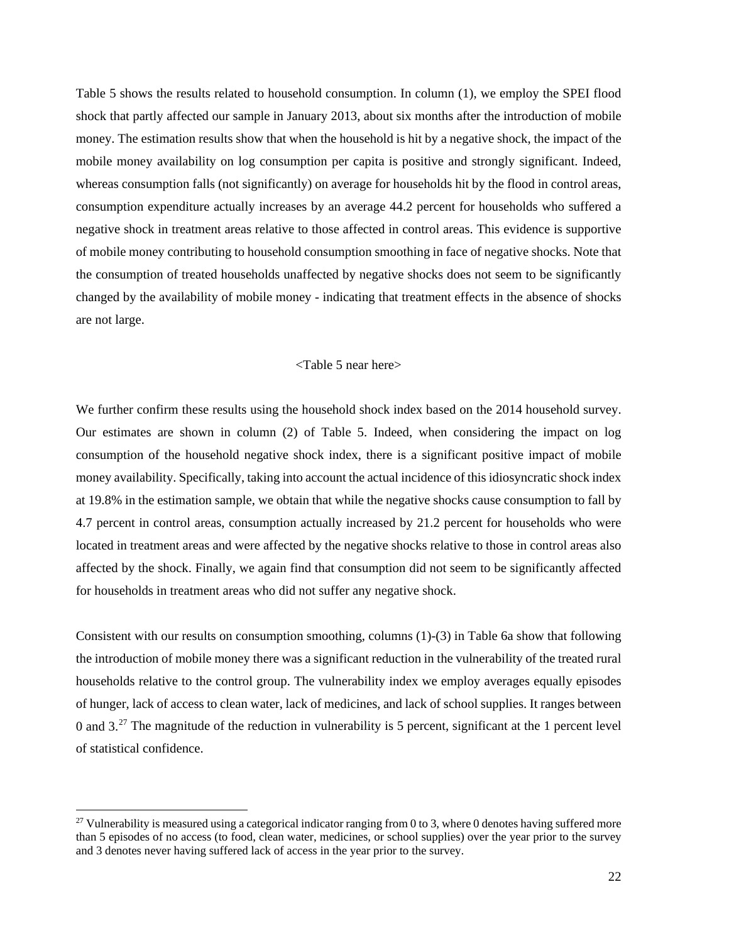Table 5 shows the results related to household consumption. In column (1), we employ the SPEI flood shock that partly affected our sample in January 2013, about six months after the introduction of mobile money. The estimation results show that when the household is hit by a negative shock, the impact of the mobile money availability on log consumption per capita is positive and strongly significant. Indeed, whereas consumption falls (not significantly) on average for households hit by the flood in control areas, consumption expenditure actually increases by an average 44.2 percent for households who suffered a negative shock in treatment areas relative to those affected in control areas. This evidence is supportive of mobile money contributing to household consumption smoothing in face of negative shocks. Note that the consumption of treated households unaffected by negative shocks does not seem to be significantly changed by the availability of mobile money - indicating that treatment effects in the absence of shocks are not large.

#### <Table 5 near here>

We further confirm these results using the household shock index based on the 2014 household survey. Our estimates are shown in column (2) of Table 5. Indeed, when considering the impact on log consumption of the household negative shock index, there is a significant positive impact of mobile money availability. Specifically, taking into account the actual incidence of this idiosyncratic shock index at 19.8% in the estimation sample, we obtain that while the negative shocks cause consumption to fall by 4.7 percent in control areas, consumption actually increased by 21.2 percent for households who were located in treatment areas and were affected by the negative shocks relative to those in control areas also affected by the shock. Finally, we again find that consumption did not seem to be significantly affected for households in treatment areas who did not suffer any negative shock.

Consistent with our results on consumption smoothing, columns (1)-(3) in Table 6a show that following the introduction of mobile money there was a significant reduction in the vulnerability of the treated rural households relative to the control group. The vulnerability index we employ averages equally episodes of hunger, lack of access to clean water, lack of medicines, and lack of school supplies. It ranges between 0 and  $3<sup>27</sup>$  $3<sup>27</sup>$  $3<sup>27</sup>$  The magnitude of the reduction in vulnerability is 5 percent, significant at the 1 percent level of statistical confidence.

<span id="page-21-0"></span><sup>&</sup>lt;sup>27</sup> Vulnerability is measured using a categorical indicator ranging from 0 to 3, where 0 denotes having suffered more than 5 episodes of no access (to food, clean water, medicines, or school supplies) over the year prior to the survey and 3 denotes never having suffered lack of access in the year prior to the survey.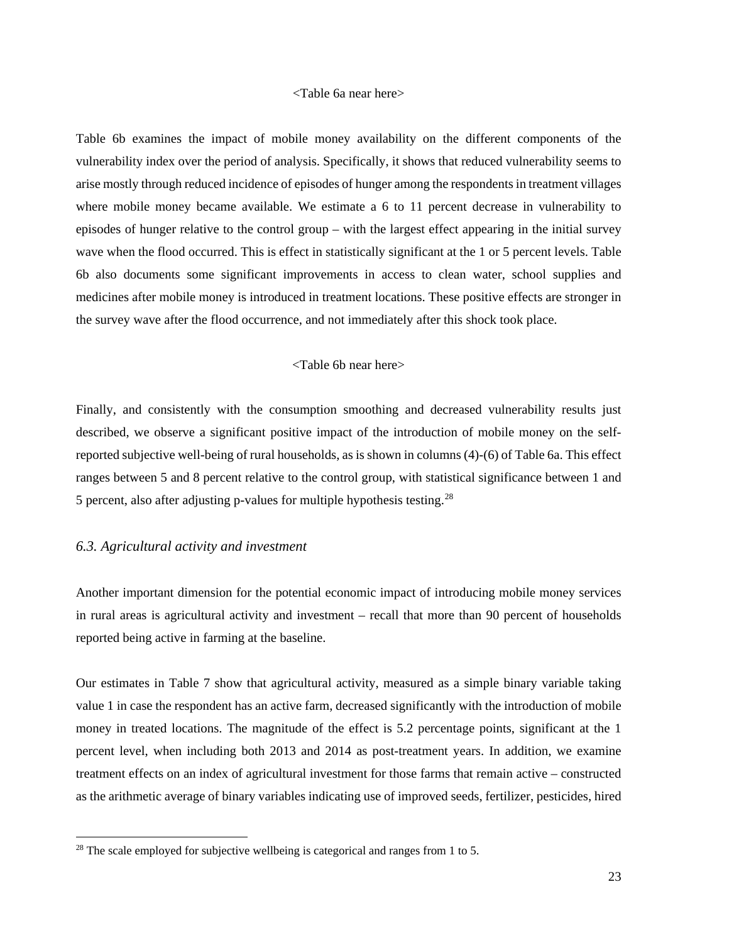#### <Table 6a near here>

Table 6b examines the impact of mobile money availability on the different components of the vulnerability index over the period of analysis. Specifically, it shows that reduced vulnerability seems to arise mostly through reduced incidence of episodes of hunger among the respondents in treatment villages where mobile money became available. We estimate a 6 to 11 percent decrease in vulnerability to episodes of hunger relative to the control group – with the largest effect appearing in the initial survey wave when the flood occurred. This is effect in statistically significant at the 1 or 5 percent levels. Table 6b also documents some significant improvements in access to clean water, school supplies and medicines after mobile money is introduced in treatment locations. These positive effects are stronger in the survey wave after the flood occurrence, and not immediately after this shock took place.

#### <Table 6b near here>

Finally, and consistently with the consumption smoothing and decreased vulnerability results just described, we observe a significant positive impact of the introduction of mobile money on the selfreported subjective well-being of rural households, as is shown in columns (4)-(6) of Table 6a. This effect ranges between 5 and 8 percent relative to the control group, with statistical significance between 1 and 5 percent, also after adjusting p-values for multiple hypothesis testing.<sup>[28](#page-22-0)</sup>

#### *6.3. Agricultural activity and investment*

Another important dimension for the potential economic impact of introducing mobile money services in rural areas is agricultural activity and investment – recall that more than 90 percent of households reported being active in farming at the baseline.

Our estimates in Table 7 show that agricultural activity, measured as a simple binary variable taking value 1 in case the respondent has an active farm, decreased significantly with the introduction of mobile money in treated locations. The magnitude of the effect is 5.2 percentage points, significant at the 1 percent level, when including both 2013 and 2014 as post-treatment years. In addition, we examine treatment effects on an index of agricultural investment for those farms that remain active – constructed as the arithmetic average of binary variables indicating use of improved seeds, fertilizer, pesticides, hired

<span id="page-22-0"></span> $28$  The scale employed for subjective wellbeing is categorical and ranges from 1 to 5.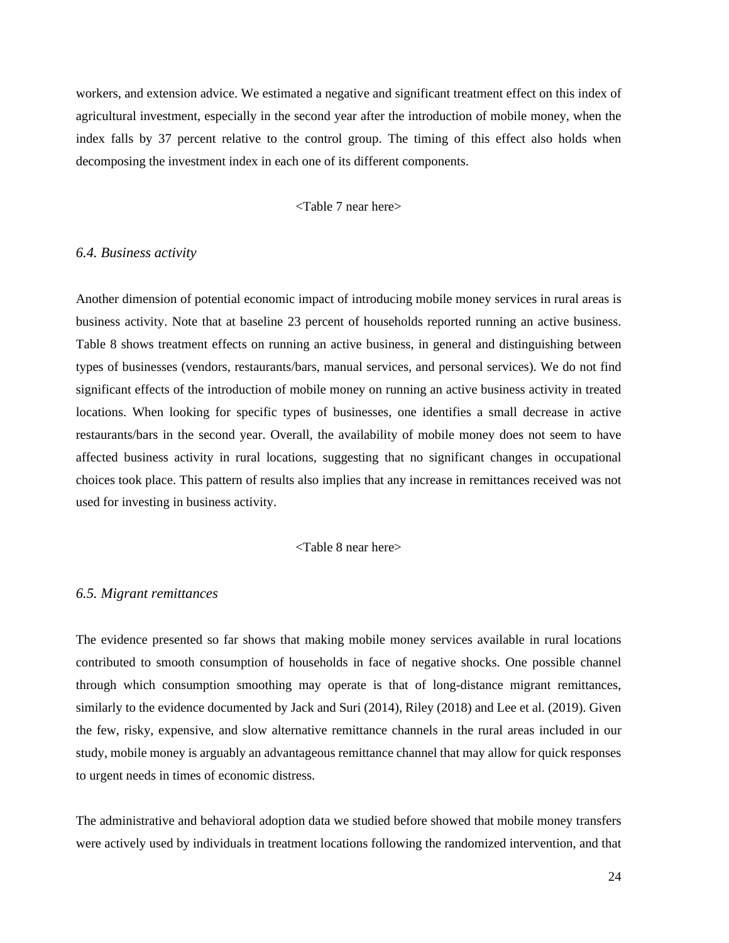workers, and extension advice. We estimated a negative and significant treatment effect on this index of agricultural investment, especially in the second year after the introduction of mobile money, when the index falls by 37 percent relative to the control group. The timing of this effect also holds when decomposing the investment index in each one of its different components.

## <Table 7 near here>

#### *6.4. Business activity*

Another dimension of potential economic impact of introducing mobile money services in rural areas is business activity. Note that at baseline 23 percent of households reported running an active business. Table 8 shows treatment effects on running an active business, in general and distinguishing between types of businesses (vendors, restaurants/bars, manual services, and personal services). We do not find significant effects of the introduction of mobile money on running an active business activity in treated locations. When looking for specific types of businesses, one identifies a small decrease in active restaurants/bars in the second year. Overall, the availability of mobile money does not seem to have affected business activity in rural locations, suggesting that no significant changes in occupational choices took place. This pattern of results also implies that any increase in remittances received was not used for investing in business activity.

#### <Table 8 near here>

#### *6.5. Migrant remittances*

The evidence presented so far shows that making mobile money services available in rural locations contributed to smooth consumption of households in face of negative shocks. One possible channel through which consumption smoothing may operate is that of long-distance migrant remittances, similarly to the evidence documented by Jack and Suri (2014), Riley (2018) and Lee et al. (2019). Given the few, risky, expensive, and slow alternative remittance channels in the rural areas included in our study, mobile money is arguably an advantageous remittance channel that may allow for quick responses to urgent needs in times of economic distress.

The administrative and behavioral adoption data we studied before showed that mobile money transfers were actively used by individuals in treatment locations following the randomized intervention, and that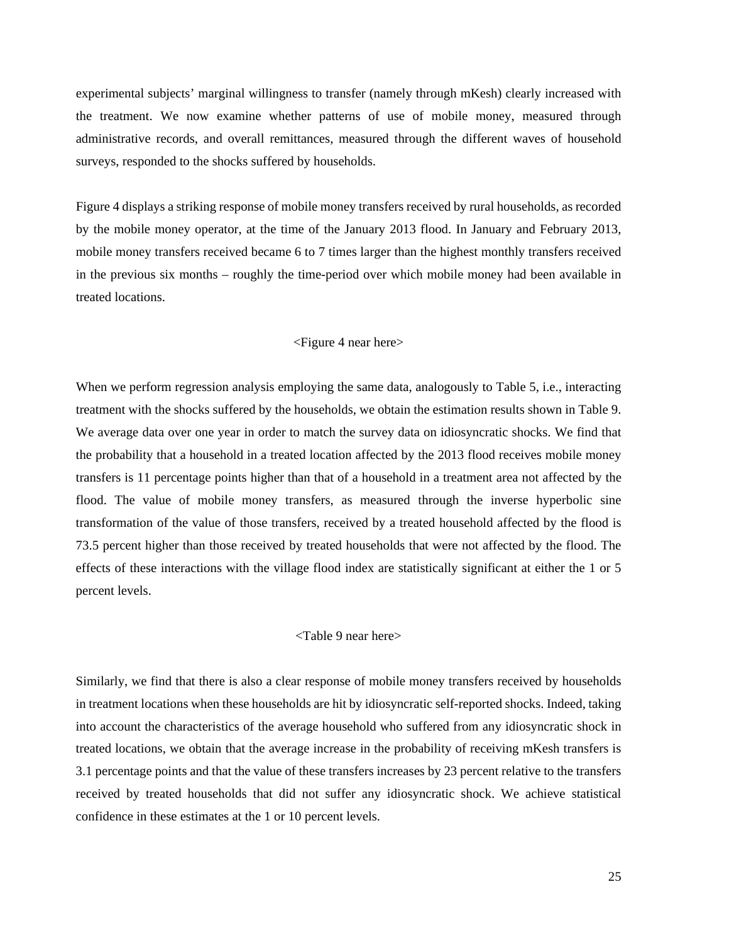experimental subjects' marginal willingness to transfer (namely through mKesh) clearly increased with the treatment. We now examine whether patterns of use of mobile money, measured through administrative records, and overall remittances, measured through the different waves of household surveys, responded to the shocks suffered by households.

Figure 4 displays a striking response of mobile money transfers received by rural households, as recorded by the mobile money operator, at the time of the January 2013 flood. In January and February 2013, mobile money transfers received became 6 to 7 times larger than the highest monthly transfers received in the previous six months – roughly the time-period over which mobile money had been available in treated locations.

#### <Figure 4 near here>

When we perform regression analysis employing the same data, analogously to Table 5, i.e., interacting treatment with the shocks suffered by the households, we obtain the estimation results shown in Table 9. We average data over one year in order to match the survey data on idiosyncratic shocks. We find that the probability that a household in a treated location affected by the 2013 flood receives mobile money transfers is 11 percentage points higher than that of a household in a treatment area not affected by the flood. The value of mobile money transfers, as measured through the inverse hyperbolic sine transformation of the value of those transfers, received by a treated household affected by the flood is 73.5 percent higher than those received by treated households that were not affected by the flood. The effects of these interactions with the village flood index are statistically significant at either the 1 or 5 percent levels.

## <Table 9 near here>

Similarly, we find that there is also a clear response of mobile money transfers received by households in treatment locations when these households are hit by idiosyncratic self-reported shocks. Indeed, taking into account the characteristics of the average household who suffered from any idiosyncratic shock in treated locations, we obtain that the average increase in the probability of receiving mKesh transfers is 3.1 percentage points and that the value of these transfers increases by 23 percent relative to the transfers received by treated households that did not suffer any idiosyncratic shock. We achieve statistical confidence in these estimates at the 1 or 10 percent levels.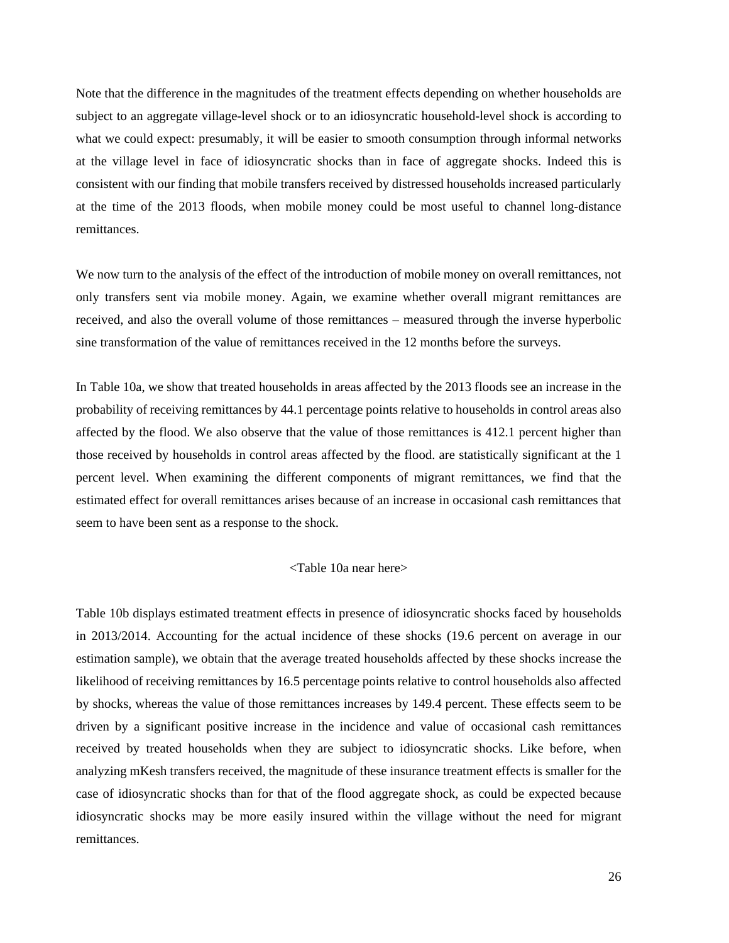Note that the difference in the magnitudes of the treatment effects depending on whether households are subject to an aggregate village-level shock or to an idiosyncratic household-level shock is according to what we could expect: presumably, it will be easier to smooth consumption through informal networks at the village level in face of idiosyncratic shocks than in face of aggregate shocks. Indeed this is consistent with our finding that mobile transfers received by distressed households increased particularly at the time of the 2013 floods, when mobile money could be most useful to channel long-distance remittances.

We now turn to the analysis of the effect of the introduction of mobile money on overall remittances, not only transfers sent via mobile money. Again, we examine whether overall migrant remittances are received, and also the overall volume of those remittances – measured through the inverse hyperbolic sine transformation of the value of remittances received in the 12 months before the surveys.

In Table 10a, we show that treated households in areas affected by the 2013 floods see an increase in the probability of receiving remittances by 44.1 percentage points relative to households in control areas also affected by the flood. We also observe that the value of those remittances is 412.1 percent higher than those received by households in control areas affected by the flood. are statistically significant at the 1 percent level. When examining the different components of migrant remittances, we find that the estimated effect for overall remittances arises because of an increase in occasional cash remittances that seem to have been sent as a response to the shock.

#### <Table 10a near here>

Table 10b displays estimated treatment effects in presence of idiosyncratic shocks faced by households in 2013/2014. Accounting for the actual incidence of these shocks (19.6 percent on average in our estimation sample), we obtain that the average treated households affected by these shocks increase the likelihood of receiving remittances by 16.5 percentage points relative to control households also affected by shocks, whereas the value of those remittances increases by 149.4 percent. These effects seem to be driven by a significant positive increase in the incidence and value of occasional cash remittances received by treated households when they are subject to idiosyncratic shocks. Like before, when analyzing mKesh transfers received, the magnitude of these insurance treatment effects is smaller for the case of idiosyncratic shocks than for that of the flood aggregate shock, as could be expected because idiosyncratic shocks may be more easily insured within the village without the need for migrant remittances.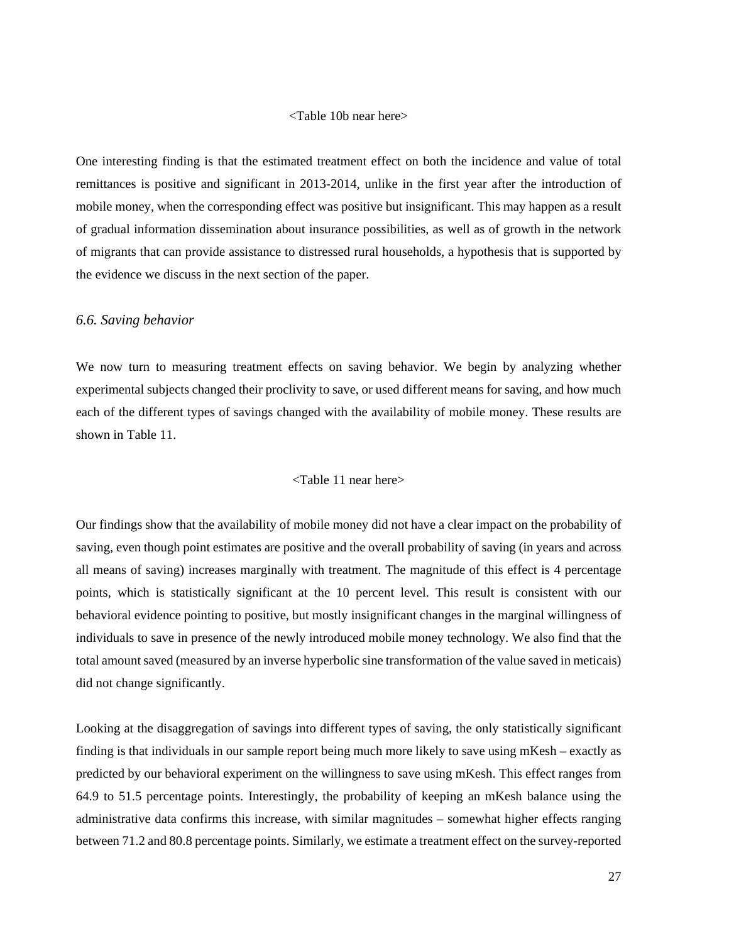#### <Table 10b near here>

One interesting finding is that the estimated treatment effect on both the incidence and value of total remittances is positive and significant in 2013-2014, unlike in the first year after the introduction of mobile money, when the corresponding effect was positive but insignificant. This may happen as a result of gradual information dissemination about insurance possibilities, as well as of growth in the network of migrants that can provide assistance to distressed rural households, a hypothesis that is supported by the evidence we discuss in the next section of the paper.

## *6.6. Saving behavior*

We now turn to measuring treatment effects on saving behavior. We begin by analyzing whether experimental subjects changed their proclivity to save, or used different means for saving, and how much each of the different types of savings changed with the availability of mobile money. These results are shown in Table 11.

## <Table 11 near here>

Our findings show that the availability of mobile money did not have a clear impact on the probability of saving, even though point estimates are positive and the overall probability of saving (in years and across all means of saving) increases marginally with treatment. The magnitude of this effect is 4 percentage points, which is statistically significant at the 10 percent level. This result is consistent with our behavioral evidence pointing to positive, but mostly insignificant changes in the marginal willingness of individuals to save in presence of the newly introduced mobile money technology. We also find that the total amount saved (measured by an inverse hyperbolic sine transformation of the value saved in meticais) did not change significantly.

Looking at the disaggregation of savings into different types of saving, the only statistically significant finding is that individuals in our sample report being much more likely to save using mKesh – exactly as predicted by our behavioral experiment on the willingness to save using mKesh. This effect ranges from 64.9 to 51.5 percentage points. Interestingly, the probability of keeping an mKesh balance using the administrative data confirms this increase, with similar magnitudes – somewhat higher effects ranging between 71.2 and 80.8 percentage points. Similarly, we estimate a treatment effect on the survey-reported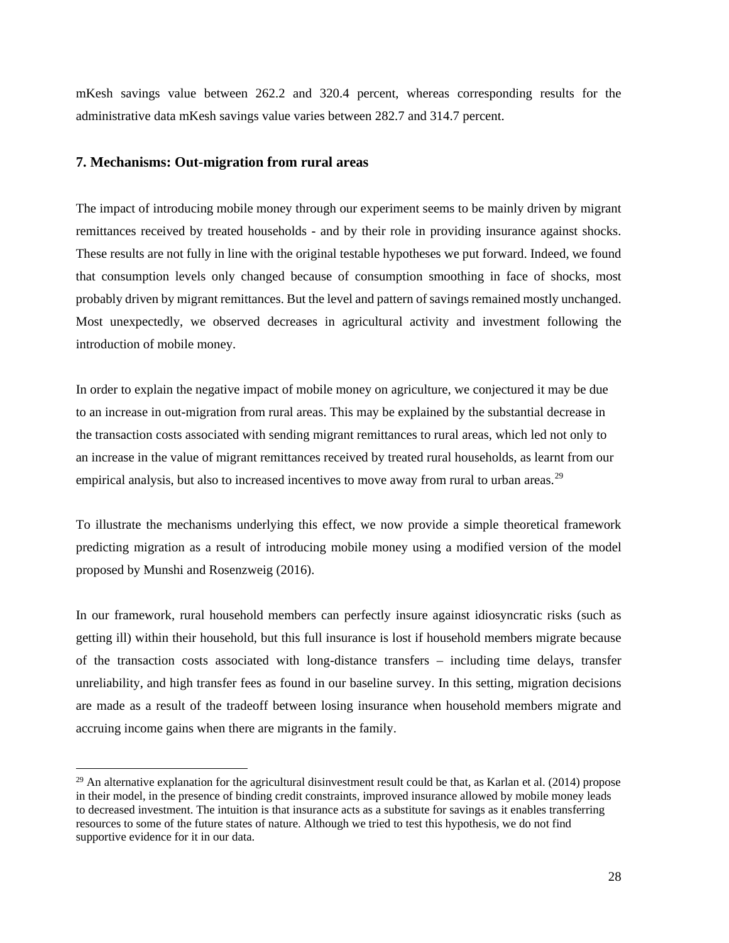mKesh savings value between 262.2 and 320.4 percent, whereas corresponding results for the administrative data mKesh savings value varies between 282.7 and 314.7 percent.

#### **7. Mechanisms: Out-migration from rural areas**

The impact of introducing mobile money through our experiment seems to be mainly driven by migrant remittances received by treated households - and by their role in providing insurance against shocks. These results are not fully in line with the original testable hypotheses we put forward. Indeed, we found that consumption levels only changed because of consumption smoothing in face of shocks, most probably driven by migrant remittances. But the level and pattern of savings remained mostly unchanged. Most unexpectedly, we observed decreases in agricultural activity and investment following the introduction of mobile money.

In order to explain the negative impact of mobile money on agriculture, we conjectured it may be due to an increase in out-migration from rural areas. This may be explained by the substantial decrease in the transaction costs associated with sending migrant remittances to rural areas, which led not only to an increase in the value of migrant remittances received by treated rural households, as learnt from our empirical analysis, but also to increased incentives to move away from rural to urban areas.<sup>[29](#page-27-0)</sup>

To illustrate the mechanisms underlying this effect, we now provide a simple theoretical framework predicting migration as a result of introducing mobile money using a modified version of the model proposed by Munshi and Rosenzweig (2016).

In our framework, rural household members can perfectly insure against idiosyncratic risks (such as getting ill) within their household, but this full insurance is lost if household members migrate because of the transaction costs associated with long-distance transfers – including time delays, transfer unreliability, and high transfer fees as found in our baseline survey. In this setting, migration decisions are made as a result of the tradeoff between losing insurance when household members migrate and accruing income gains when there are migrants in the family.

<span id="page-27-0"></span> $^{29}$  An alternative explanation for the agricultural disinvestment result could be that, as Karlan et al. (2014) propose in their model, in the presence of binding credit constraints, improved insurance allowed by mobile money leads to decreased investment. The intuition is that insurance acts as a substitute for savings as it enables transferring resources to some of the future states of nature. Although we tried to test this hypothesis, we do not find supportive evidence for it in our data.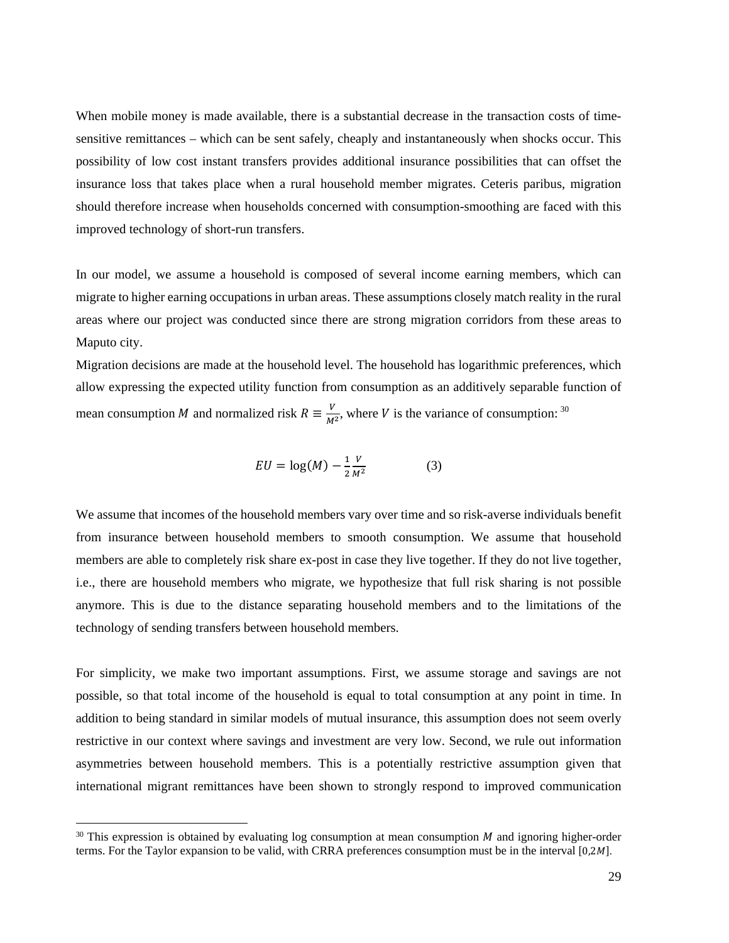When mobile money is made available, there is a substantial decrease in the transaction costs of timesensitive remittances – which can be sent safely, cheaply and instantaneously when shocks occur. This possibility of low cost instant transfers provides additional insurance possibilities that can offset the insurance loss that takes place when a rural household member migrates. Ceteris paribus, migration should therefore increase when households concerned with consumption-smoothing are faced with this improved technology of short-run transfers.

In our model, we assume a household is composed of several income earning members, which can migrate to higher earning occupations in urban areas. These assumptions closely match reality in the rural areas where our project was conducted since there are strong migration corridors from these areas to Maputo city.

Migration decisions are made at the household level. The household has logarithmic preferences, which allow expressing the expected utility function from consumption as an additively separable function of mean consumption *M* and normalized risk  $R = \frac{V}{M^2}$ , where *V* is the variance of consumption: <sup>[30](#page-28-0)</sup>

$$
EU = \log(M) - \frac{1}{2} \frac{V}{M^2} \tag{3}
$$

We assume that incomes of the household members vary over time and so risk-averse individuals benefit from insurance between household members to smooth consumption. We assume that household members are able to completely risk share ex-post in case they live together. If they do not live together, i.e., there are household members who migrate, we hypothesize that full risk sharing is not possible anymore. This is due to the distance separating household members and to the limitations of the technology of sending transfers between household members.

For simplicity, we make two important assumptions. First, we assume storage and savings are not possible, so that total income of the household is equal to total consumption at any point in time. In addition to being standard in similar models of mutual insurance, this assumption does not seem overly restrictive in our context where savings and investment are very low. Second, we rule out information asymmetries between household members. This is a potentially restrictive assumption given that international migrant remittances have been shown to strongly respond to improved communication

<span id="page-28-0"></span> $30$  This expression is obtained by evaluating log consumption at mean consumption  $M$  and ignoring higher-order terms. For the Taylor expansion to be valid, with CRRA preferences consumption must be in the interval [0,2M].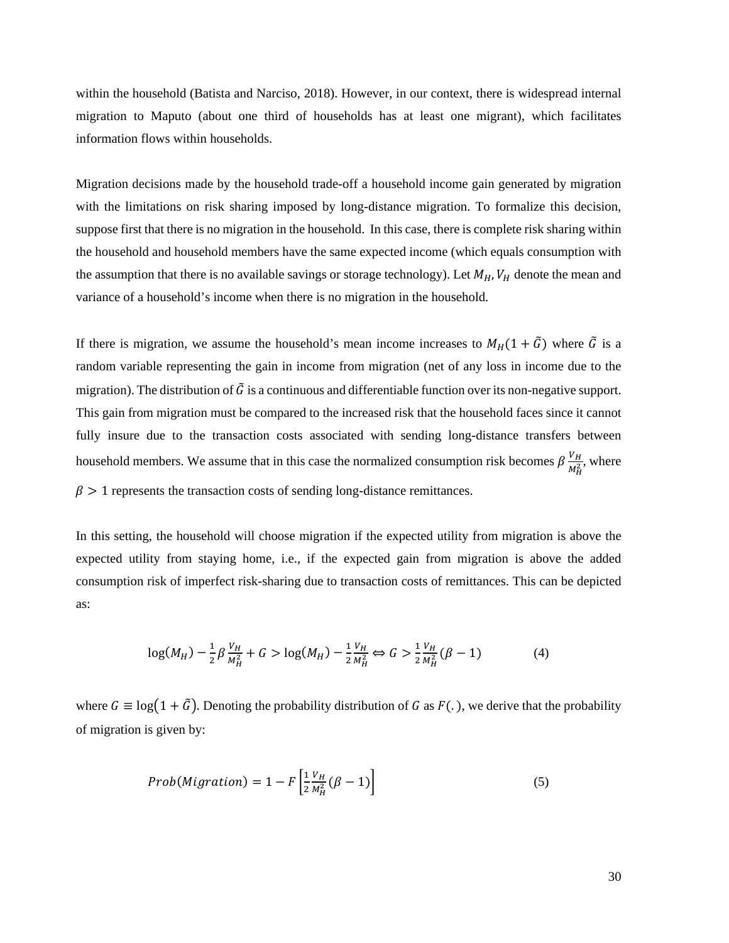within the household (Batista and Narciso, 2018). However, in our context, there is widespread internal migration to Maputo (about one third of households has at least one migrant), which facilitates information flows within households.

Migration decisions made by the household trade-off a household income gain generated by migration with the limitations on risk sharing imposed by long-distance migration. To formalize this decision, suppose first that there is no migration in the household. In this case, there is complete risk sharing within the household and household members have the same expected income (which equals consumption with the assumption that there is no available savings or storage technology). Let  $M_H$ ,  $V_H$  denote the mean and variance of a household's income when there is no migration in the household.

If there is migration, we assume the household's mean income increases to  $M_H(1 + \tilde{G})$  where  $\tilde{G}$  is a random variable representing the gain in income from migration (net of any loss in income due to the migration). The distribution of  $\tilde{G}$  is a continuous and differentiable function over its non-negative support. This gain from migration must be compared to the increased risk that the household faces since it cannot fully insure due to the transaction costs associated with sending long-distance transfers between household members. We assume that in this case the normalized consumption risk becomes  $\beta \frac{V_H}{M_H^2}$ , where  $\beta$  > 1 represents the transaction costs of sending long-distance remittances.

In this setting, the household will choose migration if the expected utility from migration is above the expected utility from staying home, i.e., if the expected gain from migration is above the added consumption risk of imperfect risk-sharing due to transaction costs of remittances. This can be depicted as:

$$
\log(M_H) - \frac{1}{2}\beta \frac{V_H}{M_H^2} + G > \log(M_H) - \frac{1}{2} \frac{V_H}{M_H^2} \Leftrightarrow G > \frac{1}{2} \frac{V_H}{M_H^2} (\beta - 1) \tag{4}
$$

where  $G \equiv \log(1 + \tilde{G})$ . Denoting the probability distribution of G as  $F(.)$ , we derive that the probability of migration is given by:

$$
Prob(Migration) = 1 - F\left[\frac{1}{2}\frac{V_H}{M_H^2}(\beta - 1)\right]
$$
\n(5)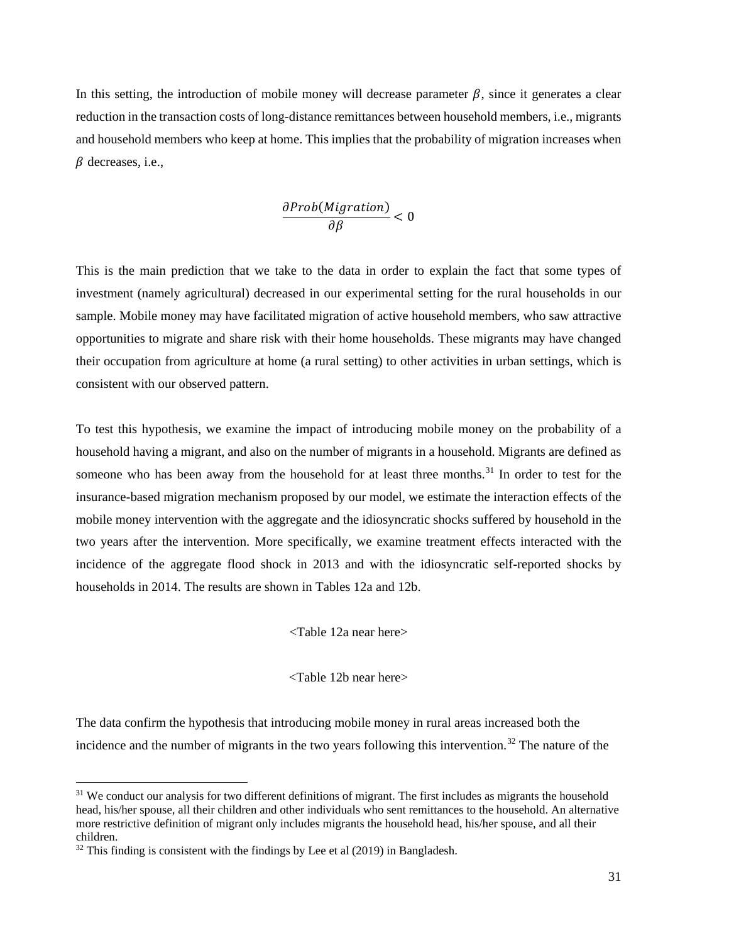In this setting, the introduction of mobile money will decrease parameter  $\beta$ , since it generates a clear reduction in the transaction costs of long-distance remittances between household members, i.e., migrants and household members who keep at home. This implies that the probability of migration increases when  $\beta$  decreases, i.e.,

$$
\frac{\partial Prob(Migration)}{\partial \beta} < 0
$$

This is the main prediction that we take to the data in order to explain the fact that some types of investment (namely agricultural) decreased in our experimental setting for the rural households in our sample. Mobile money may have facilitated migration of active household members, who saw attractive opportunities to migrate and share risk with their home households. These migrants may have changed their occupation from agriculture at home (a rural setting) to other activities in urban settings, which is consistent with our observed pattern.

To test this hypothesis, we examine the impact of introducing mobile money on the probability of a household having a migrant, and also on the number of migrants in a household. Migrants are defined as someone who has been away from the household for at least three months.<sup>[31](#page-30-0)</sup> In order to test for the insurance-based migration mechanism proposed by our model, we estimate the interaction effects of the mobile money intervention with the aggregate and the idiosyncratic shocks suffered by household in the two years after the intervention. More specifically, we examine treatment effects interacted with the incidence of the aggregate flood shock in 2013 and with the idiosyncratic self-reported shocks by households in 2014. The results are shown in Tables 12a and 12b.

<Table 12a near here>

<Table 12b near here>

The data confirm the hypothesis that introducing mobile money in rural areas increased both the incidence and the number of migrants in the two years following this intervention.<sup>[32](#page-30-1)</sup> The nature of the

<span id="page-30-0"></span><sup>&</sup>lt;sup>31</sup> We conduct our analysis for two different definitions of migrant. The first includes as migrants the household head, his/her spouse, all their children and other individuals who sent remittances to the household. An alternative more restrictive definition of migrant only includes migrants the household head, his/her spouse, and all their children.

<span id="page-30-1"></span> $32$  This finding is consistent with the findings by Lee et al (2019) in Bangladesh.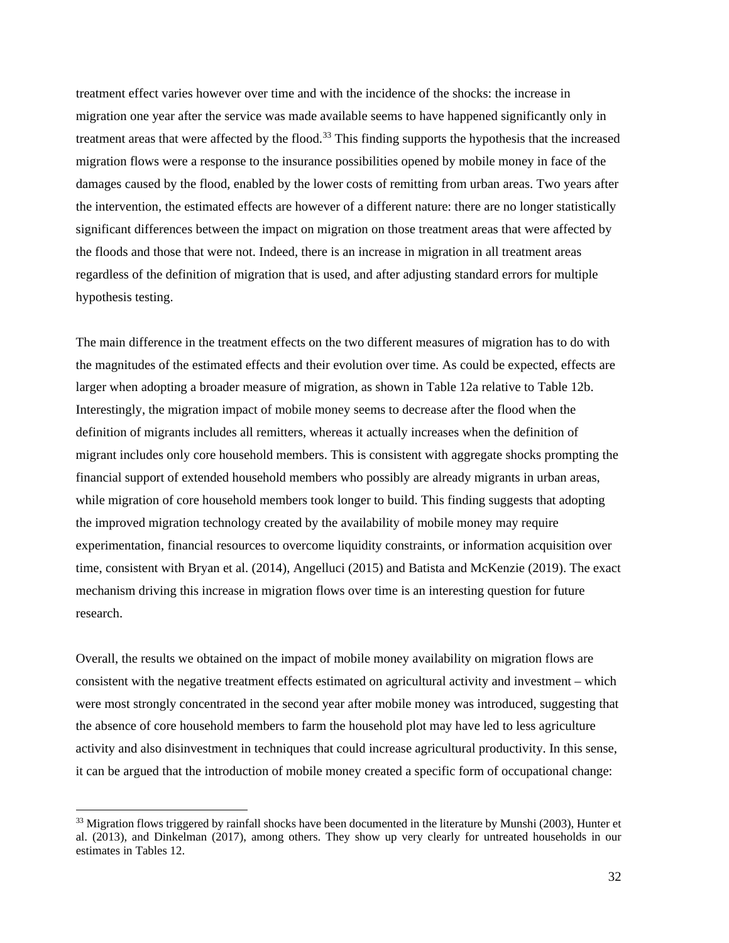treatment effect varies however over time and with the incidence of the shocks: the increase in migration one year after the service was made available seems to have happened significantly only in treatment areas that were affected by the flood.<sup>[33](#page-31-0)</sup> This finding supports the hypothesis that the increased migration flows were a response to the insurance possibilities opened by mobile money in face of the damages caused by the flood, enabled by the lower costs of remitting from urban areas. Two years after the intervention, the estimated effects are however of a different nature: there are no longer statistically significant differences between the impact on migration on those treatment areas that were affected by the floods and those that were not. Indeed, there is an increase in migration in all treatment areas regardless of the definition of migration that is used, and after adjusting standard errors for multiple hypothesis testing.

The main difference in the treatment effects on the two different measures of migration has to do with the magnitudes of the estimated effects and their evolution over time. As could be expected, effects are larger when adopting a broader measure of migration, as shown in Table 12a relative to Table 12b. Interestingly, the migration impact of mobile money seems to decrease after the flood when the definition of migrants includes all remitters, whereas it actually increases when the definition of migrant includes only core household members. This is consistent with aggregate shocks prompting the financial support of extended household members who possibly are already migrants in urban areas, while migration of core household members took longer to build. This finding suggests that adopting the improved migration technology created by the availability of mobile money may require experimentation, financial resources to overcome liquidity constraints, or information acquisition over time, consistent with Bryan et al. (2014), Angelluci (2015) and Batista and McKenzie (2019). The exact mechanism driving this increase in migration flows over time is an interesting question for future research.

Overall, the results we obtained on the impact of mobile money availability on migration flows are consistent with the negative treatment effects estimated on agricultural activity and investment – which were most strongly concentrated in the second year after mobile money was introduced, suggesting that the absence of core household members to farm the household plot may have led to less agriculture activity and also disinvestment in techniques that could increase agricultural productivity. In this sense, it can be argued that the introduction of mobile money created a specific form of occupational change:

<span id="page-31-0"></span><sup>&</sup>lt;sup>33</sup> Migration flows triggered by rainfall shocks have been documented in the literature by Munshi (2003), Hunter et al. (2013), and Dinkelman (2017), among others. They show up very clearly for untreated households in our estimates in Tables 12.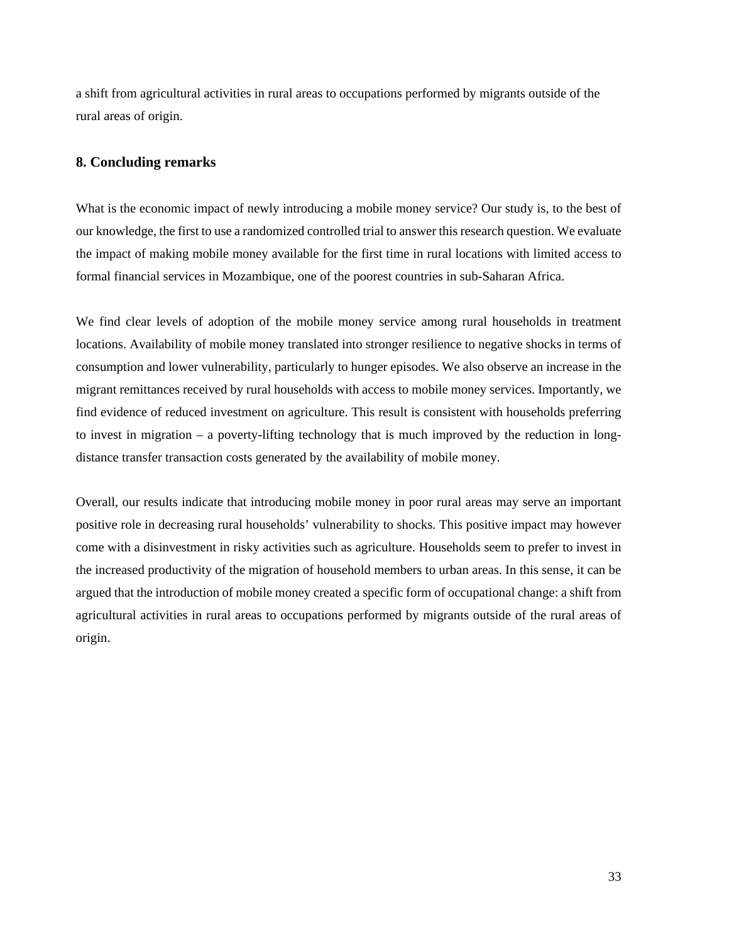a shift from agricultural activities in rural areas to occupations performed by migrants outside of the rural areas of origin.

## **8. Concluding remarks**

What is the economic impact of newly introducing a mobile money service? Our study is, to the best of our knowledge, the first to use a randomized controlled trial to answer this research question. We evaluate the impact of making mobile money available for the first time in rural locations with limited access to formal financial services in Mozambique, one of the poorest countries in sub-Saharan Africa.

We find clear levels of adoption of the mobile money service among rural households in treatment locations. Availability of mobile money translated into stronger resilience to negative shocks in terms of consumption and lower vulnerability, particularly to hunger episodes. We also observe an increase in the migrant remittances received by rural households with access to mobile money services. Importantly, we find evidence of reduced investment on agriculture. This result is consistent with households preferring to invest in migration – a poverty-lifting technology that is much improved by the reduction in longdistance transfer transaction costs generated by the availability of mobile money.

Overall, our results indicate that introducing mobile money in poor rural areas may serve an important positive role in decreasing rural households' vulnerability to shocks. This positive impact may however come with a disinvestment in risky activities such as agriculture. Households seem to prefer to invest in the increased productivity of the migration of household members to urban areas. In this sense, it can be argued that the introduction of mobile money created a specific form of occupational change: a shift from agricultural activities in rural areas to occupations performed by migrants outside of the rural areas of origin.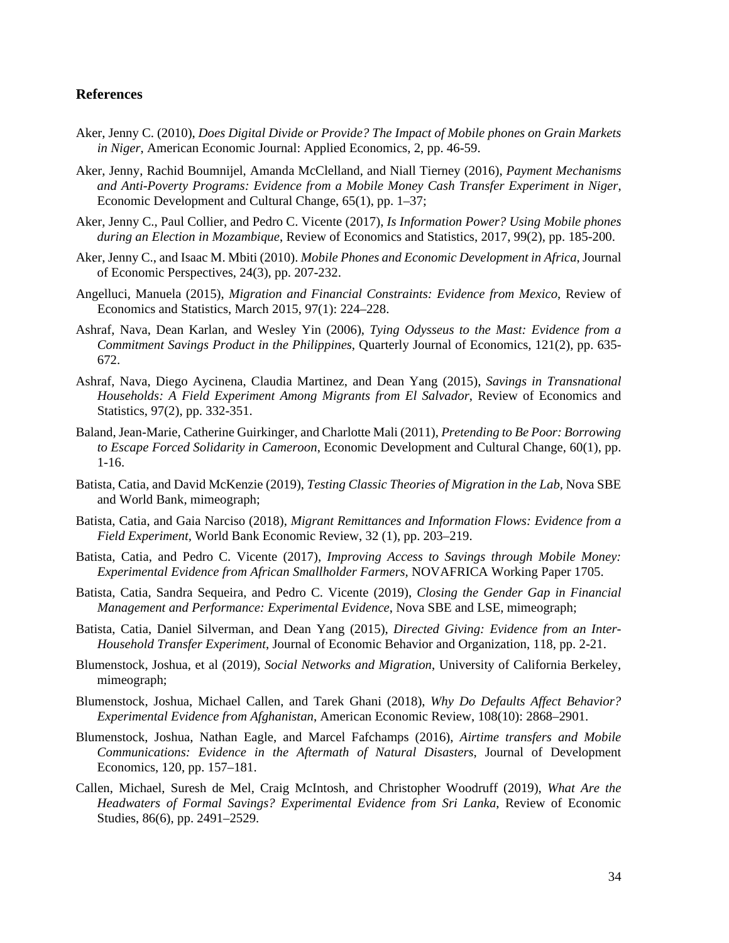## **References**

- Aker, Jenny C. (2010), *Does Digital Divide or Provide? The Impact of Mobile phones on Grain Markets in Niger*, American Economic Journal: Applied Economics, 2, pp. 46-59.
- Aker, Jenny, Rachid Boumnijel, Amanda McClelland, and Niall Tierney (2016), *Payment Mechanisms and Anti-Poverty Programs: Evidence from a Mobile Money Cash Transfer Experiment in Niger*, Economic Development and Cultural Change, 65(1), pp. 1–37;
- Aker, Jenny C., Paul Collier, and Pedro C. Vicente (2017), *Is Information Power? Using Mobile phones during an Election in Mozambique*, Review of Economics and Statistics, 2017, 99(2), pp. 185-200.
- Aker, Jenny C., and Isaac M. Mbiti (2010). *Mobile Phones and Economic Development in Africa*, Journal of Economic Perspectives, 24(3), pp. 207-232.
- Angelluci, Manuela (2015), *Migration and Financial Constraints: Evidence from Mexico*, Review of Economics and Statistics, March 2015, 97(1): 224–228.
- Ashraf, Nava, Dean Karlan, and Wesley Yin (2006), *Tying Odysseus to the Mast: Evidence from a Commitment Savings Product in the Philippines*, Quarterly Journal of Economics, 121(2), pp. 635- 672.
- Ashraf, Nava, Diego Aycinena, Claudia Martinez, and Dean Yang (2015), *Savings in Transnational Households: A Field Experiment Among Migrants from El Salvador*, Review of Economics and Statistics, 97(2), pp. 332-351.
- Baland, Jean-Marie, Catherine Guirkinger, and Charlotte Mali (2011), *Pretending to Be Poor: Borrowing to Escape Forced Solidarity in Cameroon*, Economic Development and Cultural Change, 60(1), pp. 1-16.
- Batista, Catia, and David McKenzie (2019), *Testing Classic Theories of Migration in the Lab,* Nova SBE and World Bank, mimeograph;
- Batista, Catia, and Gaia Narciso (2018), *Migrant Remittances and Information Flows: Evidence from a Field Experiment,* World Bank Economic Review, 32 (1), pp. 203–219.
- Batista, Catia, and Pedro C. Vicente (2017), *Improving Access to Savings through Mobile Money: Experimental Evidence from African Smallholder Farmers,* NOVAFRICA Working Paper 1705.
- Batista, Catia, Sandra Sequeira, and Pedro C. Vicente (2019), *Closing the Gender Gap in Financial Management and Performance: Experimental Evidence*, Nova SBE and LSE, mimeograph;
- Batista, Catia, Daniel Silverman, and Dean Yang (2015), *Directed Giving: Evidence from an Inter-Household Transfer Experiment*, Journal of Economic Behavior and Organization, 118, pp. 2-21.
- Blumenstock, Joshua, et al (2019), *Social Networks and Migration*, University of California Berkeley, mimeograph;
- Blumenstock, Joshua, Michael Callen, and Tarek Ghani (2018), *Why Do Defaults Affect Behavior? Experimental Evidence from Afghanistan*, American Economic Review, 108(10): 2868–2901.
- Blumenstock, Joshua, Nathan Eagle, and Marcel Fafchamps (2016), *Airtime transfers and Mobile Communications: Evidence in the Aftermath of Natural Disasters*, Journal of Development Economics, 120, pp. 157–181.
- Callen, Michael, Suresh de Mel, Craig McIntosh, and Christopher Woodruff (2019), *What Are the Headwaters of Formal Savings? Experimental Evidence from Sri Lanka*, Review of Economic Studies, 86(6), pp. 2491–2529.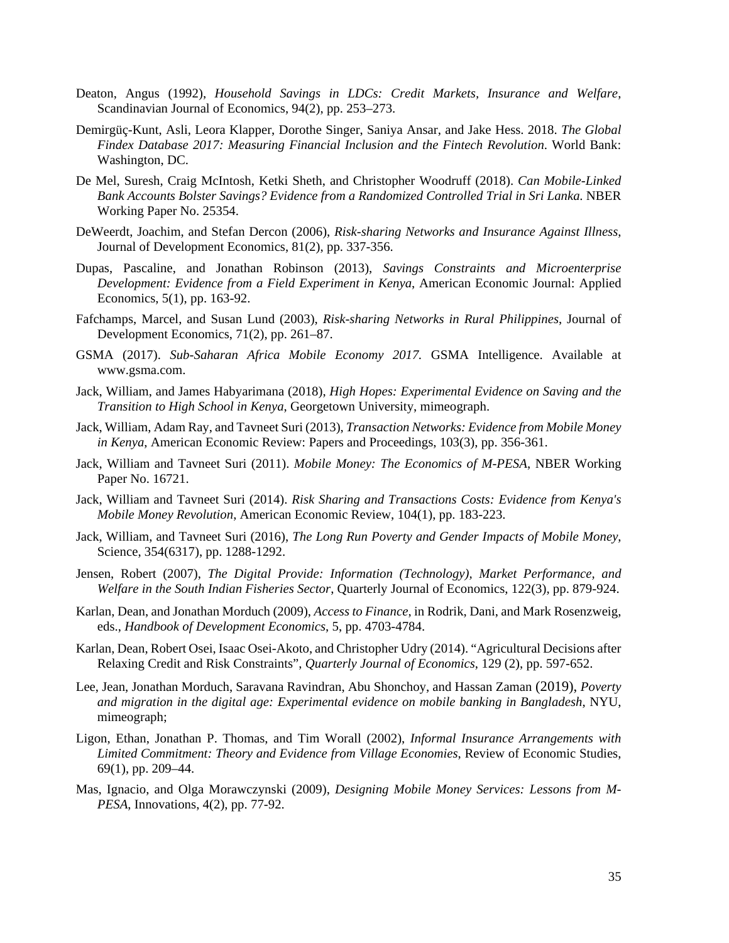- Deaton, Angus (1992), *Household Savings in LDCs: Credit Markets, Insurance and Welfare*, Scandinavian Journal of Economics, 94(2), pp. 253–273.
- Demirgüç-Kunt, Asli, Leora Klapper, Dorothe Singer, Saniya Ansar, and Jake Hess. 2018. *The Global Findex Database 2017: Measuring Financial Inclusion and the Fintech Revolution*. World Bank: Washington, DC.
- De Mel, Suresh, Craig McIntosh, Ketki Sheth, and Christopher Woodruff (2018). *Can Mobile-Linked Bank Accounts Bolster Savings? Evidence from a Randomized Controlled Trial in Sri Lanka.* NBER Working Paper No. 25354.
- DeWeerdt, Joachim, and Stefan Dercon (2006), *Risk-sharing Networks and Insurance Against Illness*, Journal of Development Economics, 81(2), pp. 337-356.
- Dupas, Pascaline, and Jonathan Robinson (2013), *Savings Constraints and Microenterprise Development: Evidence from a Field Experiment in Kenya*, American Economic Journal: Applied Economics, 5(1), pp. 163-92.
- Fafchamps, Marcel, and Susan Lund (2003), *Risk-sharing Networks in Rural Philippines*, Journal of Development Economics, 71(2), pp. 261–87.
- GSMA (2017). *Sub-Saharan Africa Mobile Economy 2017.* GSMA Intelligence. Available at www.gsma.com.
- Jack, William, and James Habyarimana (2018), *High Hopes: Experimental Evidence on Saving and the Transition to High School in Kenya*, Georgetown University, mimeograph.
- Jack, William, Adam Ray, and Tavneet Suri (2013), *Transaction Networks: Evidence from Mobile Money in Kenya*, American Economic Review: Papers and Proceedings, 103(3), pp. 356-361.
- Jack, William and Tavneet Suri (2011). *Mobile Money: The Economics of M-PESA*, NBER Working Paper No. 16721.
- Jack, William and Tavneet Suri (2014). *Risk Sharing and Transactions Costs: Evidence from Kenya's Mobile Money Revolution*, American Economic Review, 104(1), pp. 183-223.
- Jack, William, and Tavneet Suri (2016), *The Long Run Poverty and Gender Impacts of Mobile Money*, Science, 354(6317), pp. 1288-1292.
- Jensen, Robert (2007), *The Digital Provide: Information (Technology), Market Performance, and Welfare in the South Indian Fisheries Sector*, Quarterly Journal of Economics, 122(3), pp. 879-924.
- Karlan, Dean, and Jonathan Morduch (2009), *Access to Finance*, in Rodrik, Dani, and Mark Rosenzweig, eds., *Handbook of Development Economics*, 5, pp. 4703-4784.
- Karlan, Dean, Robert Osei, Isaac Osei-Akoto, and Christopher Udry (2014). "Agricultural Decisions after Relaxing Credit and Risk Constraints", *Quarterly Journal of Economics*, 129 (2), pp. 597-652.
- Lee, Jean, Jonathan Morduch, Saravana Ravindran, Abu Shonchoy, and Hassan Zaman (2019), *Poverty and migration in the digital age: Experimental evidence on mobile banking in Bangladesh*, NYU, mimeograph;
- Ligon, Ethan, Jonathan P. Thomas, and Tim Worall (2002), *Informal Insurance Arrangements with Limited Commitment: Theory and Evidence from Village Economies*, Review of Economic Studies, 69(1), pp. 209–44.
- Mas, Ignacio, and Olga Morawczynski (2009), *Designing Mobile Money Services: Lessons from M-PESA*, Innovations, 4(2), pp. 77-92.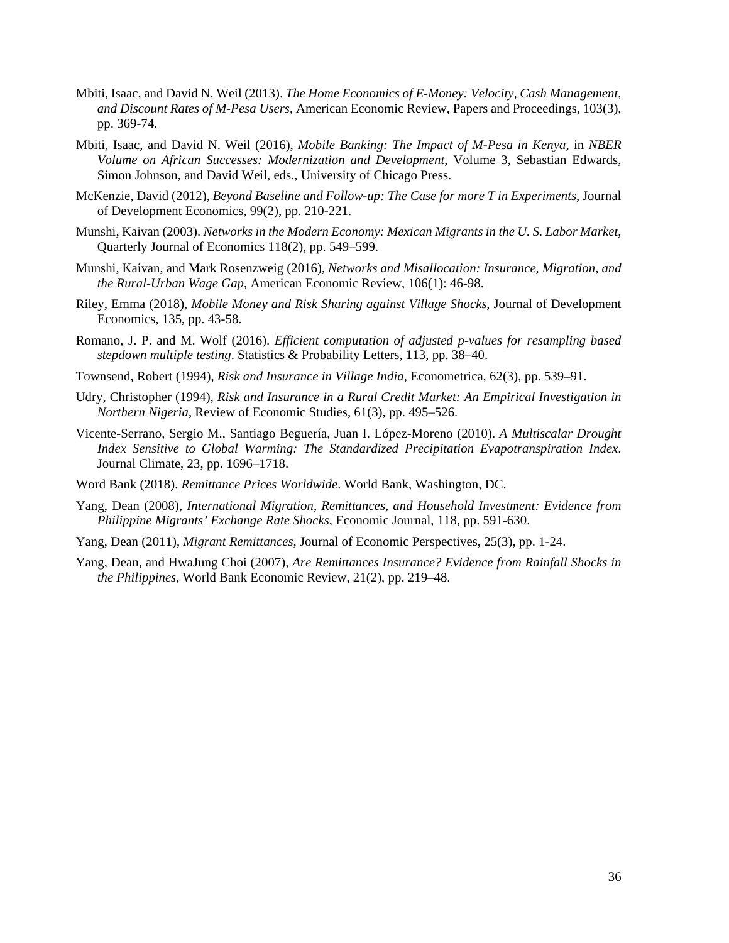- Mbiti, Isaac, and David N. Weil (2013). *The Home Economics of E-Money: Velocity, Cash Management, and Discount Rates of M-Pesa Users*, American Economic Review, Papers and Proceedings, 103(3), pp. 369-74.
- Mbiti, Isaac, and David N. Weil (2016), *Mobile Banking: The Impact of M-Pesa in Kenya*, in *NBER Volume on African Successes: Modernization and Development*, Volume 3, Sebastian Edwards, Simon Johnson, and David Weil, eds., University of Chicago Press.
- McKenzie, David (2012), *Beyond Baseline and Follow-up: The Case for more T in Experiments*, Journal of Development Economics*,* 99(2), pp. 210-221.
- Munshi, Kaivan (2003). *Networks in the Modern Economy: Mexican Migrants in the U. S. Labor Market*, Quarterly Journal of Economics 118(2), pp. 549–599.
- Munshi, Kaivan, and Mark Rosenzweig (2016), *Networks and Misallocation: Insurance, Migration, and the Rural-Urban Wage Gap*, American Economic Review, 106(1): 46-98.
- Riley, Emma (2018), *Mobile Money and Risk Sharing against Village Shocks*, Journal of Development Economics, 135, pp. 43-58.
- Romano, J. P. and M. Wolf (2016). *Efficient computation of adjusted p-values for resampling based stepdown multiple testing*. Statistics & Probability Letters, 113, pp. 38–40.
- Townsend, Robert (1994), *Risk and Insurance in Village India*, Econometrica, 62(3), pp. 539–91.
- Udry, Christopher (1994), *Risk and Insurance in a Rural Credit Market: An Empirical Investigation in Northern Nigeria*, Review of Economic Studies, 61(3), pp. 495–526.
- Vicente-Serrano, Sergio M., Santiago Beguería, Juan I. López-Moreno (2010). *A Multiscalar Drought Index Sensitive to Global Warming: The Standardized Precipitation Evapotranspiration Index*. Journal Climate, 23, pp. 1696–1718.
- Word Bank (2018). *Remittance Prices Worldwide*. World Bank, Washington, DC.
- Yang, Dean (2008), *International Migration, Remittances, and Household Investment: Evidence from Philippine Migrants' Exchange Rate Shocks*, Economic Journal, 118, pp. 591-630.
- Yang, Dean (2011), *Migrant Remittances*, Journal of Economic Perspectives, 25(3), pp. 1-24.
- Yang, Dean, and HwaJung Choi (2007), *Are Remittances Insurance? Evidence from Rainfall Shocks in the Philippines*, World Bank Economic Review, 21(2), pp. 219–48.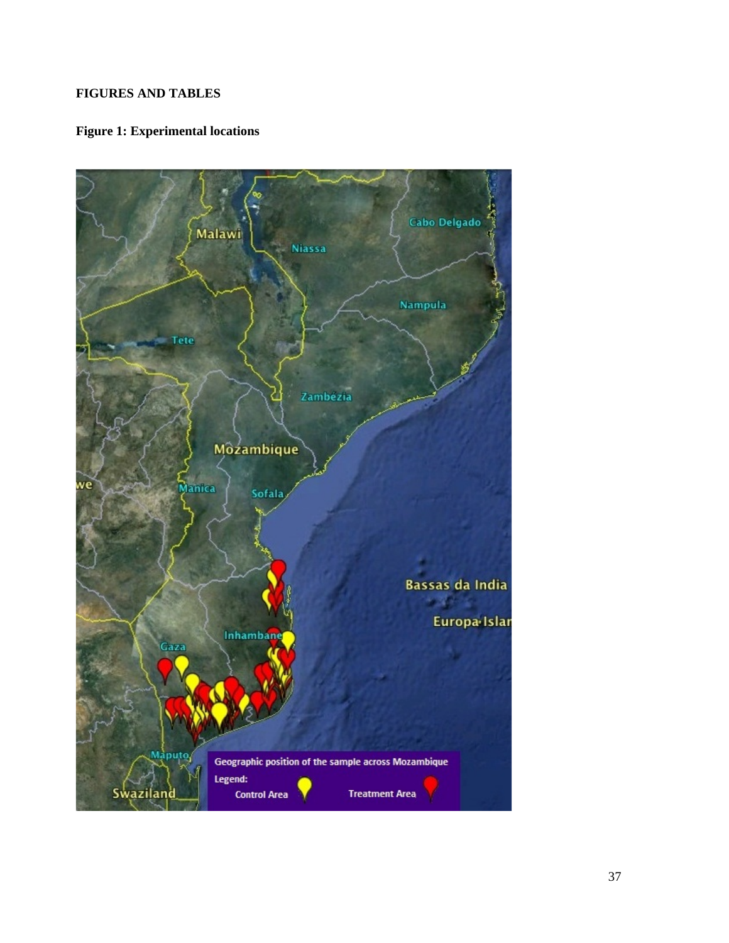## **FIGURES AND TABLES**

## **Figure 1: Experimental locations**

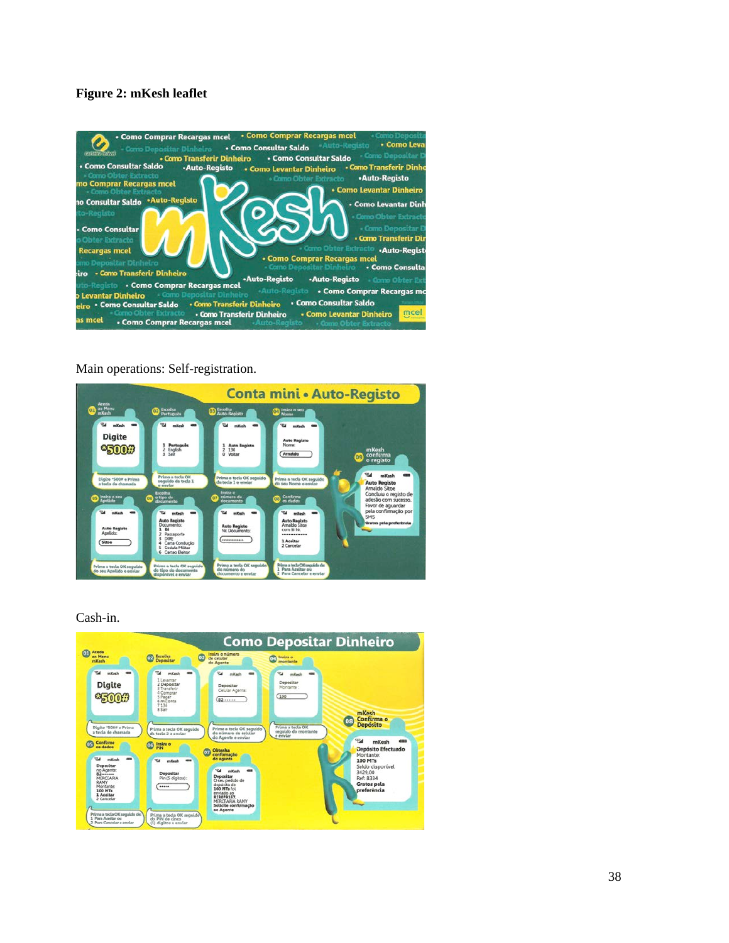## **Figure 2: mKesh leaflet**



#### Main operations: Self-registration.



Cash-in.

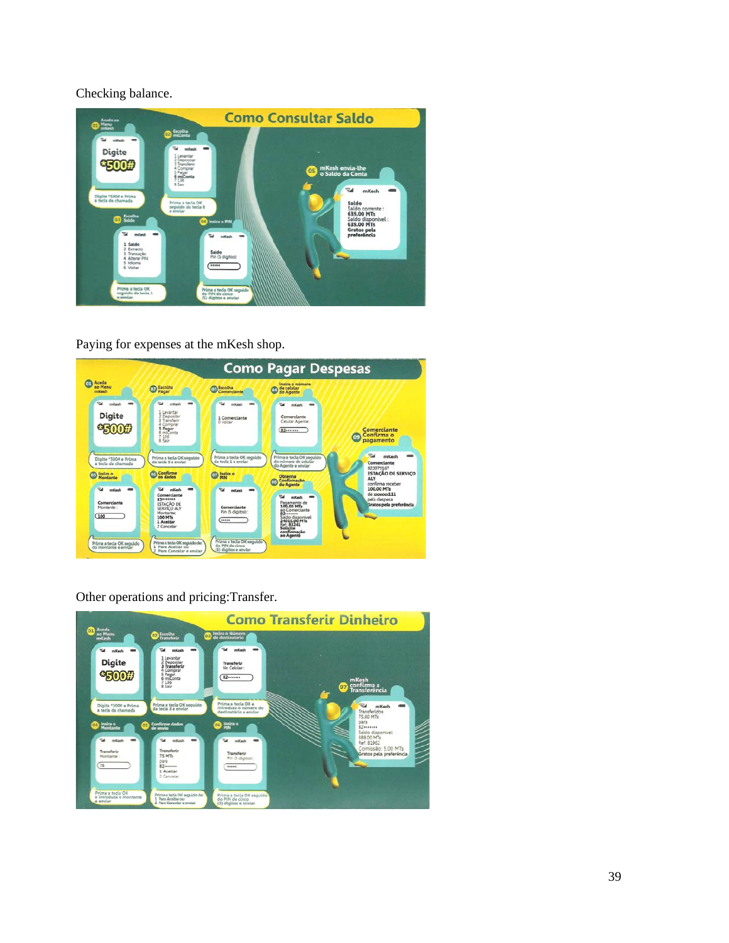Checking balance.



Paying for expenses at the mKesh shop.



Other operations and pricing:Transfer.

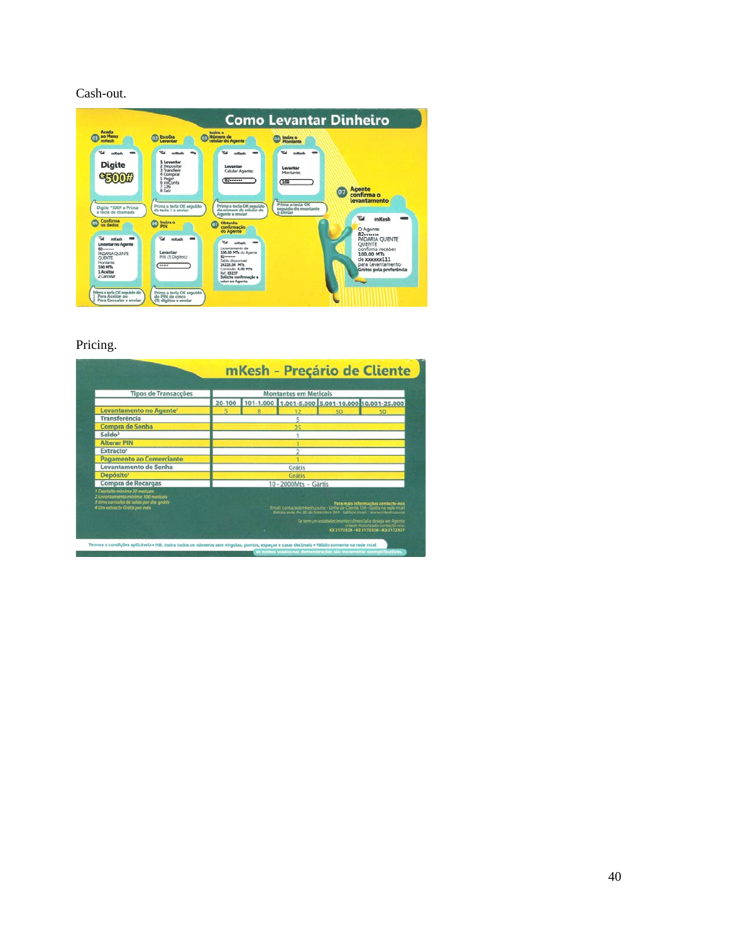Cash-out.

| Aceda<br>an Menu<br>mitesh                                                                                                                                               | <b>Escolha</b><br>Lewantar                                                                                                                                                      | Indira o<br>Número de<br>celular do Agente                                                                                                                                                                                                            | Insira o<br><b>Montante</b>                                                                         |                                                                                                                                                             |
|--------------------------------------------------------------------------------------------------------------------------------------------------------------------------|---------------------------------------------------------------------------------------------------------------------------------------------------------------------------------|-------------------------------------------------------------------------------------------------------------------------------------------------------------------------------------------------------------------------------------------------------|-----------------------------------------------------------------------------------------------------|-------------------------------------------------------------------------------------------------------------------------------------------------------------|
| <b>Tal</b><br>mKash<br><b>Digite</b><br><b>\$500#</b><br>Digite *500# e Prima<br>a tecla de chamada                                                                      | <b>Raf</b><br>enKesh<br>1 Lewandar<br>2 Depositar<br>3 Transferir<br>4 Comprar<br>5 Pagar<br>6 mill onta<br>$7136$<br>8 Sair<br>Prima a tecla OK sequido<br>da tecla 1 e enviar | mKesh<br>Levantar<br>Celular Agente:<br>62<br>Prima a tecla OK seguido<br>do número de celular do<br>Amente a enviar                                                                                                                                  | w<br>mKesh<br>Levantar<br>Montanter<br>(100)<br>Prima a tecla OK<br>seguido do montante<br>e enviar | <b>Agente</b><br>$\overline{0}$<br>confirma o<br>levantamento<br>$\mathcal{P}$<br>mKesh                                                                     |
| Confirme<br>OS.<br>os dados<br><b>Pad</b><br>millesh<br>Levantar no Agente:<br>82-<br>PADARIA OUENTE<br><b>OURNTE</b><br>Montanter<br>100 MTs<br>1 Aceltar<br>2 Cancelar | Instra o<br><b>OS</b><br>PIN<br>e.<br>mitash<br>Levantar<br>PIN (S Digitos):<br>*****                                                                                           | Ohtenha<br>$^{\circ}$<br>confirmação<br>do Agente<br>w<br>millesh<br>Levantamento de<br>100.00 MTs do Agente<br><b>E2++++++</b><br>Saldo disponivel:<br>24225.00 MTs<br>Comissão: 5.00 MTs<br>Ref: 83237<br>Solicite confirmação e<br>valor so Agente |                                                                                                     | O Agente<br>82<br>PADARIA OUENTE<br><b>OUENTE</b><br>confirma receber<br>100.00 MTs<br>de xxxxxxx111<br>para Levantamento<br>Gratos pela preferência<br>نست |

Pricing.

| <b>Tipos de Transacções</b>                                                                                                                  |  |   | <b>Montantes em Meticals</b> |  |                                                                                                                                                                                        |  |
|----------------------------------------------------------------------------------------------------------------------------------------------|--|---|------------------------------|--|----------------------------------------------------------------------------------------------------------------------------------------------------------------------------------------|--|
|                                                                                                                                              |  |   |                              |  | 20-100 101-1.000 1.001-5.000 5.001-10.000 10.001-25.000                                                                                                                                |  |
| Levantamento no Agente <sup>2</sup>                                                                                                          |  |   |                              |  |                                                                                                                                                                                        |  |
| <b>Transferência</b>                                                                                                                         |  |   | 5                            |  |                                                                                                                                                                                        |  |
| Compra de Senha                                                                                                                              |  |   |                              |  |                                                                                                                                                                                        |  |
| Saldo <sup>3</sup>                                                                                                                           |  |   |                              |  |                                                                                                                                                                                        |  |
| <b>Alterar PIN</b>                                                                                                                           |  |   |                              |  |                                                                                                                                                                                        |  |
| Extracto <sup>4</sup>                                                                                                                        |  |   |                              |  |                                                                                                                                                                                        |  |
| <b>Pagamento ao Comerciante</b>                                                                                                              |  |   |                              |  |                                                                                                                                                                                        |  |
| Levantamento de Senha                                                                                                                        |  |   | Grátis                       |  |                                                                                                                                                                                        |  |
| Depósito <sup>1</sup>                                                                                                                        |  |   | <b>Grátis</b>                |  |                                                                                                                                                                                        |  |
| Compra de Recargas                                                                                                                           |  |   | 10 - 2000Mts - Gártis        |  |                                                                                                                                                                                        |  |
| Deposito minimo 20 meticals<br>2 Levantamento minimo 100 meticais<br>3 Uma consulta de soldo por die-gratis-<br>4 Um extracto Grátis por més |  |   |                              |  | Para mais informações contacto-nos<br>Email: contacto@mkesh.co.mz - Linha de Ciente 116 - Gratis na nede mcel<br>Balcão sede Av. 25 de Setenibro 384 - Edificio mcel - www.mkesh.co.mz |  |
|                                                                                                                                              |  | × |                              |  | Se tem um estabelecimento comercial e deseja ser Agente<br><b>H2 2172325 B2 2172326-82 2172327</b>                                                                                     |  |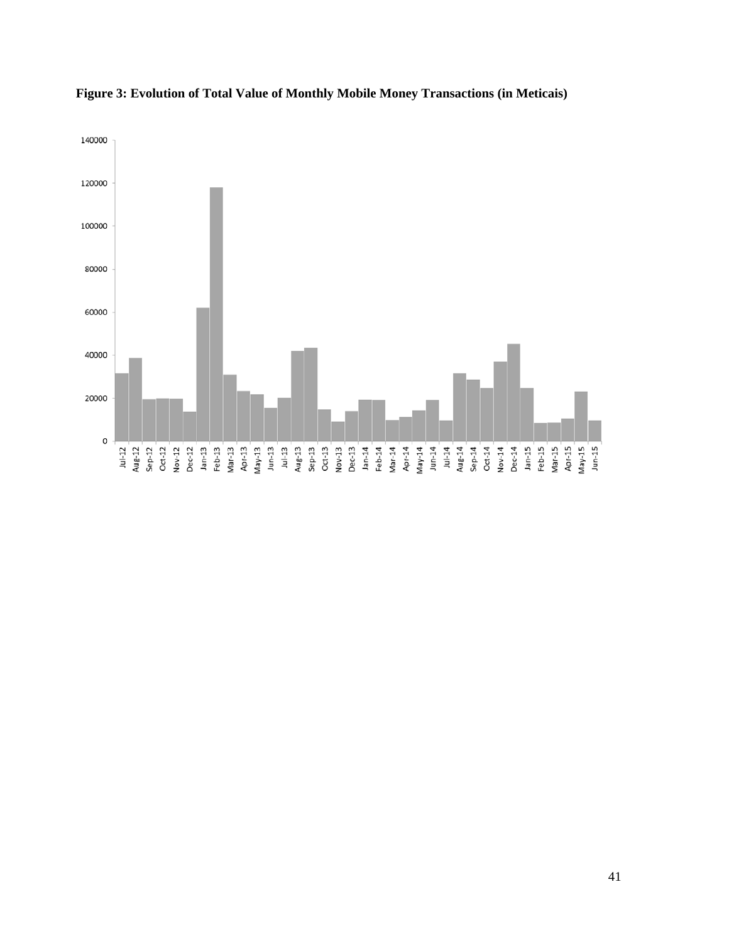

**Figure 3: Evolution of Total Value of Monthly Mobile Money Transactions (in Meticais)**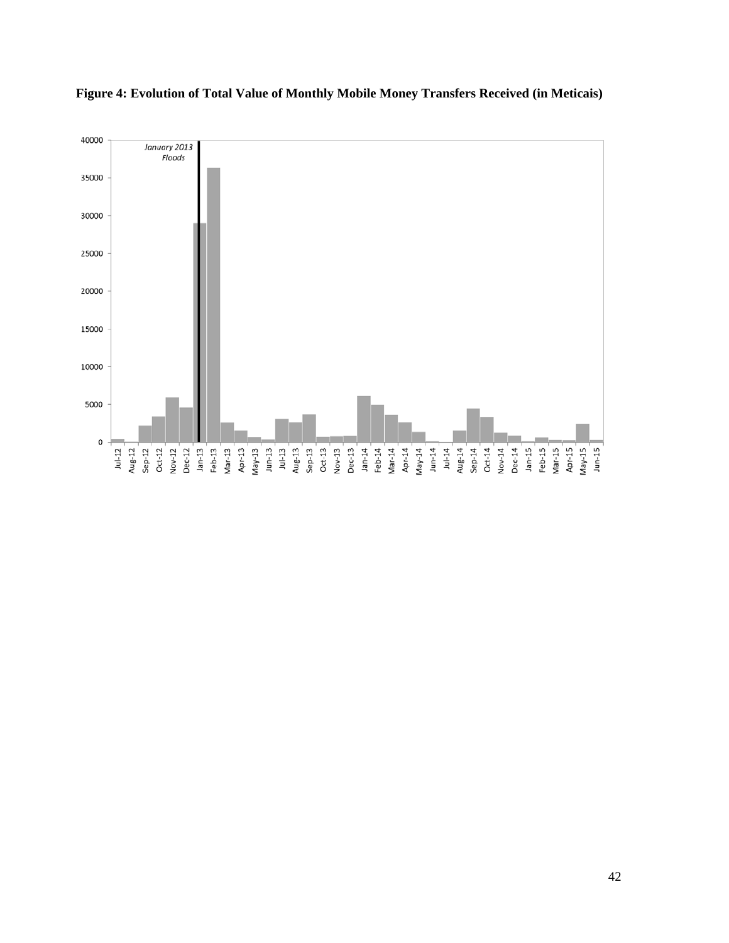

**Figure 4: Evolution of Total Value of Monthly Mobile Money Transfers Received (in Meticais)**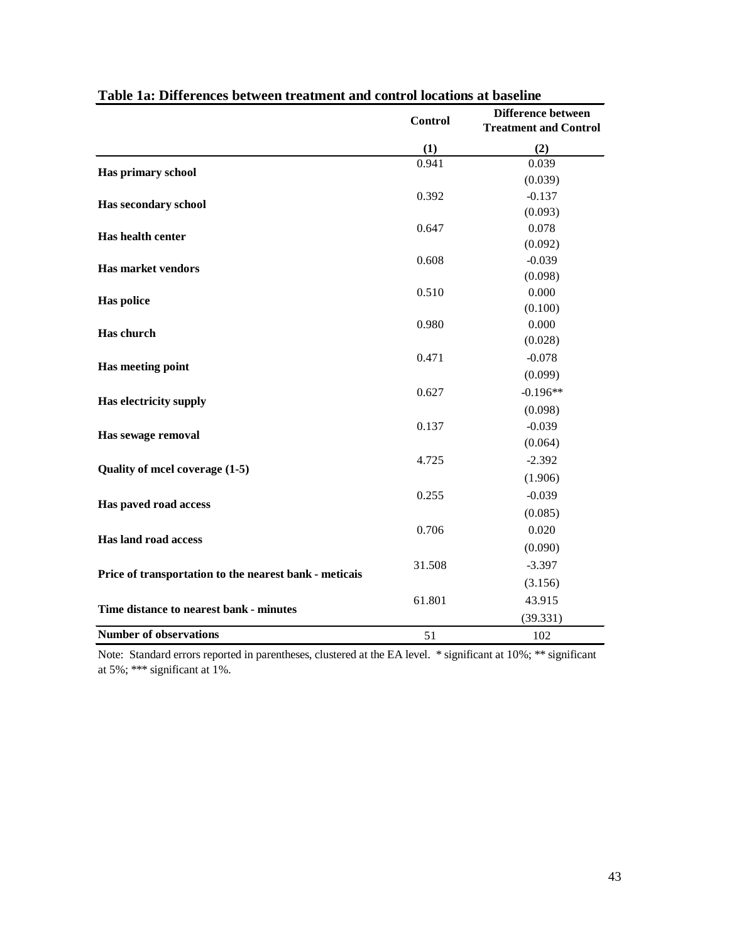|                                                                                                                                         | <b>Control</b> | <b>Difference between</b><br><b>Treatment and Control</b> |
|-----------------------------------------------------------------------------------------------------------------------------------------|----------------|-----------------------------------------------------------|
|                                                                                                                                         | (1)            | (2)                                                       |
|                                                                                                                                         | 0.941          | 0.039                                                     |
| Has primary school                                                                                                                      |                | (0.039)                                                   |
| Has secondary school                                                                                                                    | 0.392          | $-0.137$                                                  |
|                                                                                                                                         |                | (0.093)                                                   |
|                                                                                                                                         | 0.647          | 0.078                                                     |
| <b>Has health center</b><br><b>Has market vendors</b><br><b>Has police</b><br>Has church<br>Has meeting point<br>Has electricity supply |                | (0.092)                                                   |
|                                                                                                                                         | 0.608          | $-0.039$                                                  |
|                                                                                                                                         |                | (0.098)                                                   |
|                                                                                                                                         | 0.510          | 0.000                                                     |
|                                                                                                                                         |                | (0.100)                                                   |
|                                                                                                                                         | 0.980          | 0.000                                                     |
|                                                                                                                                         |                | (0.028)                                                   |
|                                                                                                                                         | 0.471          | $-0.078$                                                  |
|                                                                                                                                         |                | (0.099)                                                   |
|                                                                                                                                         | 0.627          | $-0.196**$                                                |
|                                                                                                                                         |                | (0.098)                                                   |
|                                                                                                                                         | 0.137          | $-0.039$                                                  |
| Has sewage removal                                                                                                                      |                | (0.064)                                                   |
|                                                                                                                                         | 4.725          | $-2.392$                                                  |
| Quality of mcel coverage (1-5)                                                                                                          |                | (1.906)                                                   |
|                                                                                                                                         | 0.255          | $-0.039$                                                  |
| Has paved road access                                                                                                                   |                | (0.085)                                                   |
|                                                                                                                                         | 0.706          | 0.020                                                     |
| Has land road access                                                                                                                    |                | (0.090)                                                   |
|                                                                                                                                         | 31.508         | $-3.397$                                                  |
| Price of transportation to the nearest bank - meticals                                                                                  |                | (3.156)                                                   |
|                                                                                                                                         | 61.801         | 43.915                                                    |
| Time distance to nearest bank - minutes                                                                                                 |                |                                                           |
| <b>Number of observations</b>                                                                                                           |                | (39.331)                                                  |
|                                                                                                                                         | 51             | 102                                                       |

| Table 1a: Differences between treatment and control locations at baseline |  |
|---------------------------------------------------------------------------|--|
|---------------------------------------------------------------------------|--|

Note: Standard errors reported in parentheses, clustered at the EA level. \* significant at 10%; \*\* significant at 5%; \*\*\* significant at 1%.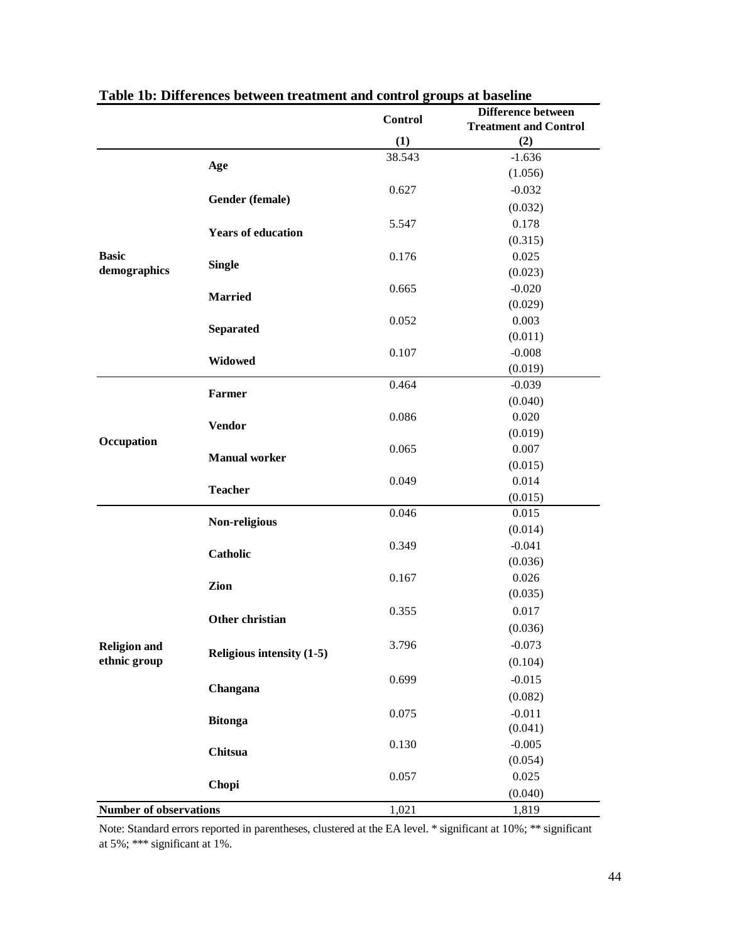|                               |                           |                                                                                                                                                                                                                                                                                                                                                                                                                                                                                                                                                                                                                                                                    | <b>Difference between</b> |
|-------------------------------|---------------------------|--------------------------------------------------------------------------------------------------------------------------------------------------------------------------------------------------------------------------------------------------------------------------------------------------------------------------------------------------------------------------------------------------------------------------------------------------------------------------------------------------------------------------------------------------------------------------------------------------------------------------------------------------------------------|---------------------------|
|                               |                           |                                                                                                                                                                                                                                                                                                                                                                                                                                                                                                                                                                                                                                                                    |                           |
|                               |                           |                                                                                                                                                                                                                                                                                                                                                                                                                                                                                                                                                                                                                                                                    |                           |
|                               | Age                       |                                                                                                                                                                                                                                                                                                                                                                                                                                                                                                                                                                                                                                                                    |                           |
|                               |                           |                                                                                                                                                                                                                                                                                                                                                                                                                                                                                                                                                                                                                                                                    |                           |
|                               | Gender (female)           |                                                                                                                                                                                                                                                                                                                                                                                                                                                                                                                                                                                                                                                                    |                           |
|                               |                           | <b>Control</b><br><b>Treatment and Control</b><br>(1)<br>(2)<br>38.543<br>$-1.636$<br>(1.056)<br>0.627<br>$-0.032$<br>(0.032)<br>0.178<br>5.547<br>(0.315)<br>0.176<br>0.025<br>(0.023)<br>0.665<br>$-0.020$<br>(0.029)<br>0.003<br>0.052<br>(0.011)<br>$-0.008$<br>0.107<br>(0.019)<br>0.464<br>$-0.039$<br>(0.040)<br>0.086<br>0.020<br>(0.019)<br>0.065<br>0.007<br>(0.015)<br>0.014<br>0.049<br>(0.015)<br>0.046<br>0.015<br>(0.014)<br>0.349<br>$-0.041$<br>(0.036)<br>0.167<br>0.026<br>(0.035)<br>0.355<br>0.017<br>(0.036)<br>3.796<br>$-0.073$<br>(0.104)<br>$-0.015$<br>0.699<br>(0.082)<br>$-0.011$<br>0.075<br>(0.041)<br>$-0.005$<br>0.130<br>(0.054) |                           |
|                               | <b>Years of education</b> |                                                                                                                                                                                                                                                                                                                                                                                                                                                                                                                                                                                                                                                                    |                           |
| <b>Basic</b>                  |                           |                                                                                                                                                                                                                                                                                                                                                                                                                                                                                                                                                                                                                                                                    |                           |
| demographics                  | <b>Single</b>             |                                                                                                                                                                                                                                                                                                                                                                                                                                                                                                                                                                                                                                                                    |                           |
|                               |                           |                                                                                                                                                                                                                                                                                                                                                                                                                                                                                                                                                                                                                                                                    |                           |
|                               | <b>Married</b>            |                                                                                                                                                                                                                                                                                                                                                                                                                                                                                                                                                                                                                                                                    |                           |
|                               |                           |                                                                                                                                                                                                                                                                                                                                                                                                                                                                                                                                                                                                                                                                    |                           |
|                               | <b>Separated</b>          |                                                                                                                                                                                                                                                                                                                                                                                                                                                                                                                                                                                                                                                                    |                           |
|                               |                           | 0.025<br>0.057                                                                                                                                                                                                                                                                                                                                                                                                                                                                                                                                                                                                                                                     |                           |
|                               | Widowed                   | (0.040)<br>1,021<br>1,819                                                                                                                                                                                                                                                                                                                                                                                                                                                                                                                                                                                                                                          |                           |
|                               |                           |                                                                                                                                                                                                                                                                                                                                                                                                                                                                                                                                                                                                                                                                    |                           |
| Occupation                    | <b>Farmer</b>             |                                                                                                                                                                                                                                                                                                                                                                                                                                                                                                                                                                                                                                                                    |                           |
|                               |                           |                                                                                                                                                                                                                                                                                                                                                                                                                                                                                                                                                                                                                                                                    |                           |
|                               | <b>Vendor</b>             |                                                                                                                                                                                                                                                                                                                                                                                                                                                                                                                                                                                                                                                                    |                           |
|                               |                           |                                                                                                                                                                                                                                                                                                                                                                                                                                                                                                                                                                                                                                                                    |                           |
|                               |                           |                                                                                                                                                                                                                                                                                                                                                                                                                                                                                                                                                                                                                                                                    |                           |
|                               | <b>Teacher</b>            |                                                                                                                                                                                                                                                                                                                                                                                                                                                                                                                                                                                                                                                                    |                           |
|                               |                           |                                                                                                                                                                                                                                                                                                                                                                                                                                                                                                                                                                                                                                                                    |                           |
|                               |                           |                                                                                                                                                                                                                                                                                                                                                                                                                                                                                                                                                                                                                                                                    |                           |
|                               |                           |                                                                                                                                                                                                                                                                                                                                                                                                                                                                                                                                                                                                                                                                    |                           |
|                               | <b>Catholic</b>           |                                                                                                                                                                                                                                                                                                                                                                                                                                                                                                                                                                                                                                                                    |                           |
|                               |                           |                                                                                                                                                                                                                                                                                                                                                                                                                                                                                                                                                                                                                                                                    |                           |
|                               | Zion                      |                                                                                                                                                                                                                                                                                                                                                                                                                                                                                                                                                                                                                                                                    |                           |
|                               |                           |                                                                                                                                                                                                                                                                                                                                                                                                                                                                                                                                                                                                                                                                    |                           |
|                               | Other christian           | <b>Manual worker</b><br>Non-religious<br>Religious intensity (1-5)                                                                                                                                                                                                                                                                                                                                                                                                                                                                                                                                                                                                 |                           |
|                               |                           |                                                                                                                                                                                                                                                                                                                                                                                                                                                                                                                                                                                                                                                                    |                           |
| <b>Religion and</b>           |                           |                                                                                                                                                                                                                                                                                                                                                                                                                                                                                                                                                                                                                                                                    |                           |
| ethnic group                  |                           |                                                                                                                                                                                                                                                                                                                                                                                                                                                                                                                                                                                                                                                                    |                           |
|                               |                           |                                                                                                                                                                                                                                                                                                                                                                                                                                                                                                                                                                                                                                                                    |                           |
|                               | Changana                  |                                                                                                                                                                                                                                                                                                                                                                                                                                                                                                                                                                                                                                                                    |                           |
|                               | <b>Bitonga</b>            |                                                                                                                                                                                                                                                                                                                                                                                                                                                                                                                                                                                                                                                                    |                           |
|                               |                           |                                                                                                                                                                                                                                                                                                                                                                                                                                                                                                                                                                                                                                                                    |                           |
|                               | Chitsua                   |                                                                                                                                                                                                                                                                                                                                                                                                                                                                                                                                                                                                                                                                    |                           |
|                               |                           |                                                                                                                                                                                                                                                                                                                                                                                                                                                                                                                                                                                                                                                                    |                           |
|                               | Chopi                     |                                                                                                                                                                                                                                                                                                                                                                                                                                                                                                                                                                                                                                                                    |                           |
|                               |                           |                                                                                                                                                                                                                                                                                                                                                                                                                                                                                                                                                                                                                                                                    |                           |
| <b>Number of observations</b> |                           |                                                                                                                                                                                                                                                                                                                                                                                                                                                                                                                                                                                                                                                                    |                           |

| Table 1b: Differences between treatment and control groups at baseline |  |  |  |
|------------------------------------------------------------------------|--|--|--|
|------------------------------------------------------------------------|--|--|--|

Note: Standard errors reported in parentheses, clustered at the EA level. \* significant at 10%; \*\* significant at 5%; \*\*\* significant at 1%.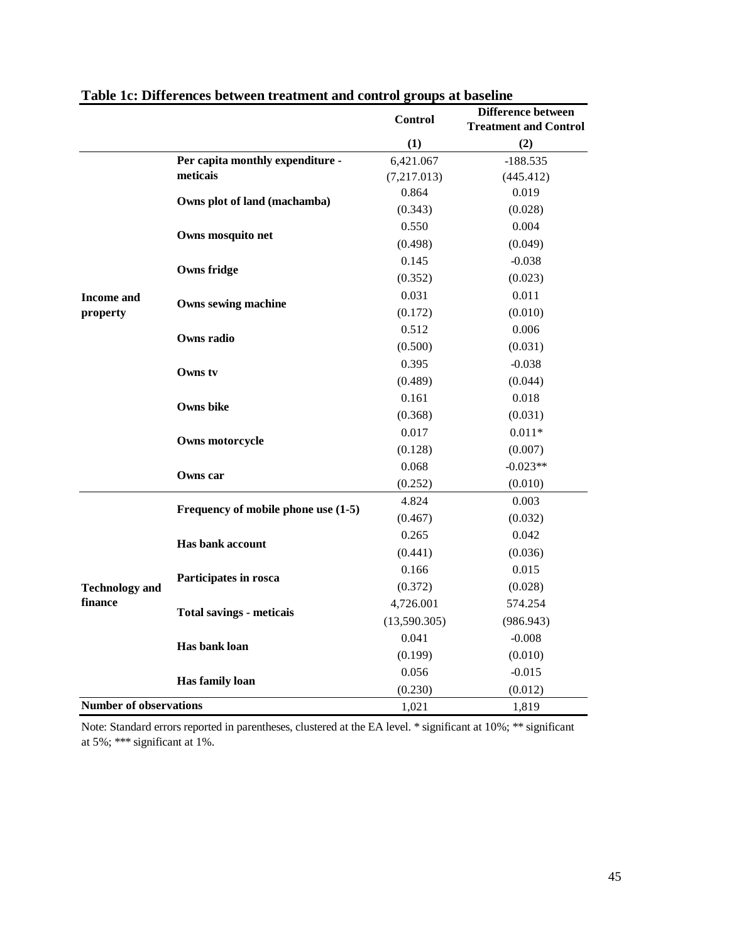|                               |                                                                                                                                                                                                                                                                                                        | <b>Control</b>                                                                                                                                                                                                                                                                                                                                                                                                                                                                                                                                                                                                                                                                                      | <b>Difference between</b><br><b>Treatment and Control</b> |
|-------------------------------|--------------------------------------------------------------------------------------------------------------------------------------------------------------------------------------------------------------------------------------------------------------------------------------------------------|-----------------------------------------------------------------------------------------------------------------------------------------------------------------------------------------------------------------------------------------------------------------------------------------------------------------------------------------------------------------------------------------------------------------------------------------------------------------------------------------------------------------------------------------------------------------------------------------------------------------------------------------------------------------------------------------------------|-----------------------------------------------------------|
|                               |                                                                                                                                                                                                                                                                                                        | (1)                                                                                                                                                                                                                                                                                                                                                                                                                                                                                                                                                                                                                                                                                                 | (2)                                                       |
|                               | Per capita monthly expenditure -                                                                                                                                                                                                                                                                       | 6,421.067                                                                                                                                                                                                                                                                                                                                                                                                                                                                                                                                                                                                                                                                                           | $-188.535$                                                |
|                               | meticais                                                                                                                                                                                                                                                                                               | (7,217.013)<br>(445.412)<br>0.864<br>0.019<br>(0.343)<br>(0.028)<br>0.550<br>0.004<br>(0.498)<br>(0.049)<br>0.145<br>$-0.038$<br>(0.352)<br>(0.023)<br>0.031<br>0.011<br>(0.172)<br>(0.010)<br>0.512<br>0.006<br>(0.500)<br>(0.031)<br>0.395<br>$-0.038$<br>(0.489)<br>(0.044)<br>0.161<br>0.018<br>(0.368)<br>(0.031)<br>0.017<br>$0.011*$<br>(0.128)<br>(0.007)<br>$-0.023**$<br>0.068<br>(0.252)<br>(0.010)<br>0.003<br>4.824<br>(0.467)<br>(0.032)<br>0.265<br>0.042<br>(0.441)<br>(0.036)<br>0.166<br>0.015<br>(0.372)<br>(0.028)<br>4,726.001<br>574.254<br>(13,590.305)<br>(986.943)<br>0.041<br>$-0.008$<br>(0.199)<br>(0.010)<br>0.056<br>$-0.015$<br>(0.230)<br>(0.012)<br>1,021<br>1,819 |                                                           |
|                               |                                                                                                                                                                                                                                                                                                        |                                                                                                                                                                                                                                                                                                                                                                                                                                                                                                                                                                                                                                                                                                     |                                                           |
|                               |                                                                                                                                                                                                                                                                                                        |                                                                                                                                                                                                                                                                                                                                                                                                                                                                                                                                                                                                                                                                                                     |                                                           |
|                               |                                                                                                                                                                                                                                                                                                        |                                                                                                                                                                                                                                                                                                                                                                                                                                                                                                                                                                                                                                                                                                     |                                                           |
|                               |                                                                                                                                                                                                                                                                                                        |                                                                                                                                                                                                                                                                                                                                                                                                                                                                                                                                                                                                                                                                                                     |                                                           |
|                               |                                                                                                                                                                                                                                                                                                        |                                                                                                                                                                                                                                                                                                                                                                                                                                                                                                                                                                                                                                                                                                     |                                                           |
|                               |                                                                                                                                                                                                                                                                                                        |                                                                                                                                                                                                                                                                                                                                                                                                                                                                                                                                                                                                                                                                                                     |                                                           |
| Income and                    |                                                                                                                                                                                                                                                                                                        |                                                                                                                                                                                                                                                                                                                                                                                                                                                                                                                                                                                                                                                                                                     |                                                           |
| property                      |                                                                                                                                                                                                                                                                                                        |                                                                                                                                                                                                                                                                                                                                                                                                                                                                                                                                                                                                                                                                                                     |                                                           |
|                               |                                                                                                                                                                                                                                                                                                        |                                                                                                                                                                                                                                                                                                                                                                                                                                                                                                                                                                                                                                                                                                     |                                                           |
|                               |                                                                                                                                                                                                                                                                                                        |                                                                                                                                                                                                                                                                                                                                                                                                                                                                                                                                                                                                                                                                                                     |                                                           |
|                               | Owns tv<br>Owns bike                                                                                                                                                                                                                                                                                   |                                                                                                                                                                                                                                                                                                                                                                                                                                                                                                                                                                                                                                                                                                     |                                                           |
|                               |                                                                                                                                                                                                                                                                                                        |                                                                                                                                                                                                                                                                                                                                                                                                                                                                                                                                                                                                                                                                                                     |                                                           |
|                               |                                                                                                                                                                                                                                                                                                        |                                                                                                                                                                                                                                                                                                                                                                                                                                                                                                                                                                                                                                                                                                     |                                                           |
|                               |                                                                                                                                                                                                                                                                                                        |                                                                                                                                                                                                                                                                                                                                                                                                                                                                                                                                                                                                                                                                                                     |                                                           |
|                               |                                                                                                                                                                                                                                                                                                        |                                                                                                                                                                                                                                                                                                                                                                                                                                                                                                                                                                                                                                                                                                     |                                                           |
|                               |                                                                                                                                                                                                                                                                                                        |                                                                                                                                                                                                                                                                                                                                                                                                                                                                                                                                                                                                                                                                                                     |                                                           |
|                               |                                                                                                                                                                                                                                                                                                        |                                                                                                                                                                                                                                                                                                                                                                                                                                                                                                                                                                                                                                                                                                     |                                                           |
|                               |                                                                                                                                                                                                                                                                                                        |                                                                                                                                                                                                                                                                                                                                                                                                                                                                                                                                                                                                                                                                                                     |                                                           |
|                               | Owns plot of land (machamba)<br>Owns mosquito net<br>Owns fridge<br>Owns sewing machine<br>Owns radio<br>Owns motorcycle<br>Owns car<br>Frequency of mobile phone use (1-5)<br><b>Has bank account</b><br>Participates in rosca<br><b>Total savings - meticals</b><br>Has bank loan<br>Has family loan |                                                                                                                                                                                                                                                                                                                                                                                                                                                                                                                                                                                                                                                                                                     |                                                           |
|                               |                                                                                                                                                                                                                                                                                                        |                                                                                                                                                                                                                                                                                                                                                                                                                                                                                                                                                                                                                                                                                                     |                                                           |
|                               |                                                                                                                                                                                                                                                                                                        |                                                                                                                                                                                                                                                                                                                                                                                                                                                                                                                                                                                                                                                                                                     |                                                           |
|                               |                                                                                                                                                                                                                                                                                                        |                                                                                                                                                                                                                                                                                                                                                                                                                                                                                                                                                                                                                                                                                                     |                                                           |
|                               |                                                                                                                                                                                                                                                                                                        |                                                                                                                                                                                                                                                                                                                                                                                                                                                                                                                                                                                                                                                                                                     |                                                           |
| <b>Technology and</b>         |                                                                                                                                                                                                                                                                                                        |                                                                                                                                                                                                                                                                                                                                                                                                                                                                                                                                                                                                                                                                                                     |                                                           |
| finance                       |                                                                                                                                                                                                                                                                                                        |                                                                                                                                                                                                                                                                                                                                                                                                                                                                                                                                                                                                                                                                                                     |                                                           |
|                               |                                                                                                                                                                                                                                                                                                        |                                                                                                                                                                                                                                                                                                                                                                                                                                                                                                                                                                                                                                                                                                     |                                                           |
|                               |                                                                                                                                                                                                                                                                                                        |                                                                                                                                                                                                                                                                                                                                                                                                                                                                                                                                                                                                                                                                                                     |                                                           |
|                               |                                                                                                                                                                                                                                                                                                        |                                                                                                                                                                                                                                                                                                                                                                                                                                                                                                                                                                                                                                                                                                     |                                                           |
|                               |                                                                                                                                                                                                                                                                                                        |                                                                                                                                                                                                                                                                                                                                                                                                                                                                                                                                                                                                                                                                                                     |                                                           |
|                               |                                                                                                                                                                                                                                                                                                        |                                                                                                                                                                                                                                                                                                                                                                                                                                                                                                                                                                                                                                                                                                     |                                                           |
| <b>Number of observations</b> |                                                                                                                                                                                                                                                                                                        |                                                                                                                                                                                                                                                                                                                                                                                                                                                                                                                                                                                                                                                                                                     |                                                           |

## **Table 1c: Differences between treatment and control groups at baseline**

Note: Standard errors reported in parentheses, clustered at the EA level. \* significant at 10%; \*\* significant at 5%; \*\*\* significant at 1%.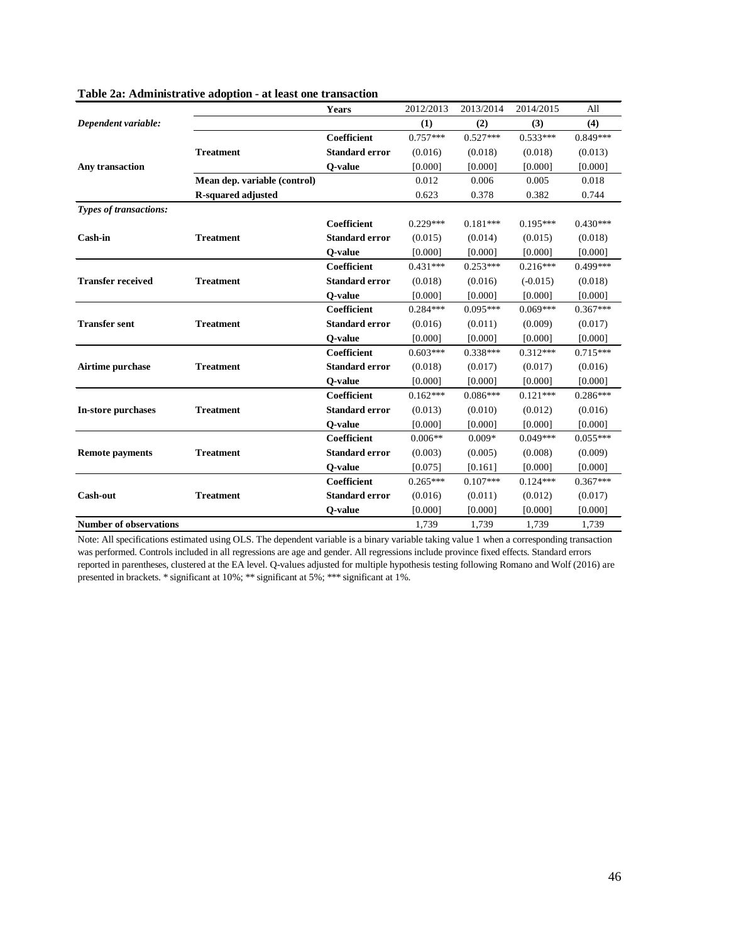|                               |                              | Years                 | 2012/2013  | 2013/2014  | 2014/2015  | All        |
|-------------------------------|------------------------------|-----------------------|------------|------------|------------|------------|
| Dependent variable:           |                              |                       | (1)        | (2)        | (3)        | (4)        |
|                               |                              | Coefficient           | $0.757***$ | $0.527***$ | $0.533***$ | $0.849***$ |
|                               | <b>Treatment</b>             | <b>Standard error</b> | (0.016)    | (0.018)    | (0.018)    | (0.013)    |
| Any transaction               |                              | Q-value               | [0.000]    | [0.000]    | [0.000]    | [0.000]    |
|                               | Mean dep. variable (control) |                       | 0.012      | 0.006      | 0.005      | 0.018      |
|                               | <b>R-squared adjusted</b>    |                       | 0.623      | 0.378      | 0.382      | 0.744      |
| <b>Types of transactions:</b> |                              |                       |            |            |            |            |
|                               |                              | Coefficient           | $0.229***$ | $0.181***$ | $0.195***$ | $0.430***$ |
| <b>Cash-in</b>                | <b>Treatment</b>             | <b>Standard error</b> | (0.015)    | (0.014)    | (0.015)    | (0.018)    |
|                               |                              | O-value               | [0.000]    | [0.000]    | [0.000]    | [0.000]    |
|                               |                              | Coefficient           | $0.431***$ | $0.253***$ | $0.216***$ | 0.499***   |
| <b>Transfer received</b>      | <b>Treatment</b>             | <b>Standard error</b> | (0.018)    | (0.016)    | $(-0.015)$ | (0.018)    |
|                               |                              | O-value               | [0.000]    | [0.000]    | [0.000]    | [0.000]    |
|                               |                              | Coefficient           | $0.284***$ | $0.095***$ | $0.069***$ | $0.367***$ |
| <b>Transfer sent</b>          | <b>Treatment</b>             | <b>Standard error</b> | (0.016)    | (0.011)    | (0.009)    | (0.017)    |
|                               |                              | O-value               | [0.000]    | [0.000]    | [0.000]    | [0.000]    |
|                               |                              | Coefficient           | $0.603***$ | $0.338***$ | $0.312***$ | $0.715***$ |
| Airtime purchase              | <b>Treatment</b>             | <b>Standard error</b> | (0.018)    | (0.017)    | (0.017)    | (0.016)    |
|                               |                              | O-value               | [0.000]    | [0.000]    | [0.000]    | [0.000]    |
|                               |                              | Coefficient           | $0.162***$ | $0.086***$ | $0.121***$ | $0.286***$ |
| In-store purchases            | <b>Treatment</b>             | <b>Standard error</b> | (0.013)    | (0.010)    | (0.012)    | (0.016)    |
|                               |                              | O-value               | [0.000]    | [0.000]    | [0.000]    | [0.000]    |
|                               |                              | Coefficient           | $0.006**$  | $0.009*$   | $0.049***$ | $0.055***$ |
| <b>Remote payments</b>        | <b>Treatment</b>             | <b>Standard error</b> | (0.003)    | (0.005)    | (0.008)    | (0.009)    |
|                               |                              | O-value               | [0.075]    | [0.161]    | [0.000]    | [0.000]    |
|                               |                              | Coefficient           | $0.265***$ | $0.107***$ | $0.124***$ | $0.367***$ |
| Cash-out                      | <b>Treatment</b>             | <b>Standard error</b> | (0.016)    | (0.011)    | (0.012)    | (0.017)    |
|                               |                              | Q-value               | [0.000]    | [0.000]    | [0.000]    | [0.000]    |
| <b>Number of observations</b> |                              |                       | 1,739      | 1,739      | 1,739      | 1,739      |

#### **Table 2a: Administrative adoption - at least one transaction**

Note: All specifications estimated using OLS. The dependent variable is a binary variable taking value 1 when a corresponding transaction was performed. Controls included in all regressions are age and gender. All regressions include province fixed effects. Standard errors reported in parentheses, clustered at the EA level. Q-values adjusted for multiple hypothesis testing following Romano and Wolf (2016) are presented in brackets. \* significant at 10%; \*\* significant at 5%; \*\*\* significant at 1%.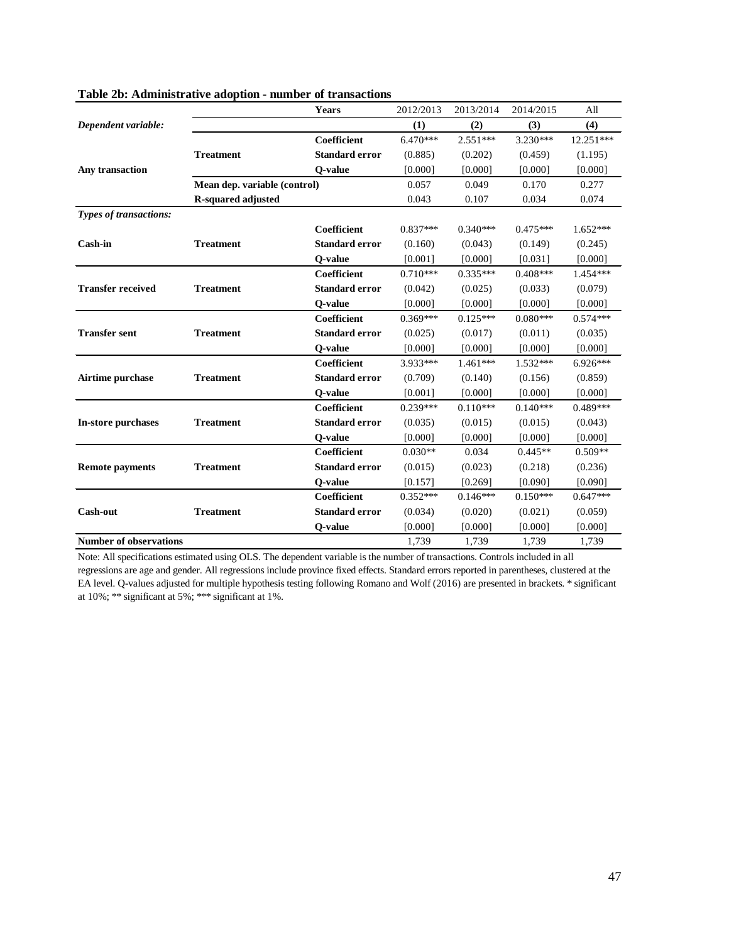|                               |                              | Years                 | 2012/2013  | 2013/2014  | 2014/2015  | All        |
|-------------------------------|------------------------------|-----------------------|------------|------------|------------|------------|
| Dependent variable:           |                              |                       | (1)        | (2)        | (3)        | (4)        |
|                               |                              | <b>Coefficient</b>    | $6.470***$ | $2.551***$ | $3.230***$ | 12.251***  |
|                               | <b>Treatment</b>             | <b>Standard error</b> | (0.885)    | (0.202)    | (0.459)    | (1.195)    |
| Any transaction               |                              | Q-value               | [0.000]    | [0.000]    | [0.000]    | [0.000]    |
|                               | Mean dep. variable (control) |                       | 0.057      | 0.049      | 0.170      | 0.277      |
|                               | <b>R-squared adjusted</b>    |                       | 0.043      | 0.107      | 0.034      | 0.074      |
| Types of transactions:        |                              |                       |            |            |            |            |
|                               |                              | <b>Coefficient</b>    | $0.837***$ | $0.340***$ | $0.475***$ | $1.652***$ |
| Cash-in                       | <b>Treatment</b>             | <b>Standard error</b> | (0.160)    | (0.043)    | (0.149)    | (0.245)    |
|                               |                              | O-value               | [0.001]    | [0.000]    | [0.031]    | [0.000]    |
|                               |                              | <b>Coefficient</b>    | $0.710***$ | $0.335***$ | $0.408***$ | 1.454***   |
| <b>Transfer received</b>      | <b>Treatment</b>             | <b>Standard error</b> | (0.042)    | (0.025)    | (0.033)    | (0.079)    |
|                               |                              | Q-value               | [0.000]    | [0.000]    | [0.000]    | [0.000]    |
|                               |                              | <b>Coefficient</b>    | $0.369***$ | $0.125***$ | $0.080***$ | $0.574***$ |
| <b>Transfer sent</b>          | <b>Treatment</b>             | <b>Standard error</b> | (0.025)    | (0.017)    | (0.011)    | (0.035)    |
|                               |                              | O-value               | [0.000]    | [0.000]    | [0.000]    | [0.000]    |
|                               |                              | <b>Coefficient</b>    | 3.933***   | 1.461***   | 1.532***   | 6.926***   |
| Airtime purchase              | <b>Treatment</b>             | <b>Standard error</b> | (0.709)    | (0.140)    | (0.156)    | (0.859)    |
|                               |                              | O-value               | [0.001]    | [0.000]    | [0.000]    | [0.000]    |
|                               |                              | <b>Coefficient</b>    | $0.239***$ | $0.110***$ | $0.140***$ | 0.489***   |
| In-store purchases            | <b>Treatment</b>             | <b>Standard error</b> | (0.035)    | (0.015)    | (0.015)    | (0.043)    |
|                               |                              | Q-value               | [0.000]    | [0.000]    | [0.000]    | [0.000]    |
|                               |                              | <b>Coefficient</b>    | $0.030**$  | 0.034      | $0.445**$  | $0.509**$  |
| <b>Remote payments</b>        | <b>Treatment</b>             | <b>Standard error</b> | (0.015)    | (0.023)    | (0.218)    | (0.236)    |
|                               |                              | O-value               | [0.157]    | [0.269]    | [0.090]    | [0.090]    |
|                               |                              | <b>Coefficient</b>    | $0.352***$ | $0.146***$ | $0.150***$ | $0.647***$ |
| <b>Cash-out</b>               | <b>Treatment</b>             | <b>Standard error</b> | (0.034)    | (0.020)    | (0.021)    | (0.059)    |
|                               |                              | Q-value               | [0.000]    | [0.000]    | [0.000]    | [0.000]    |
| <b>Number of observations</b> |                              |                       | 1.739      | 1.739      | 1.739      | 1.739      |

#### **Table 2b: Administrative adoption - number of transactions**

Note: All specifications estimated using OLS. The dependent variable is the number of transactions. Controls included in all regressions are age and gender. All regressions include province fixed effects. Standard errors reported in parentheses, clustered at the EA level. Q-values adjusted for multiple hypothesis testing following Romano and Wolf (2016) are presented in brackets. \* significant at 10%; \*\* significant at 5%; \*\*\* significant at 1%.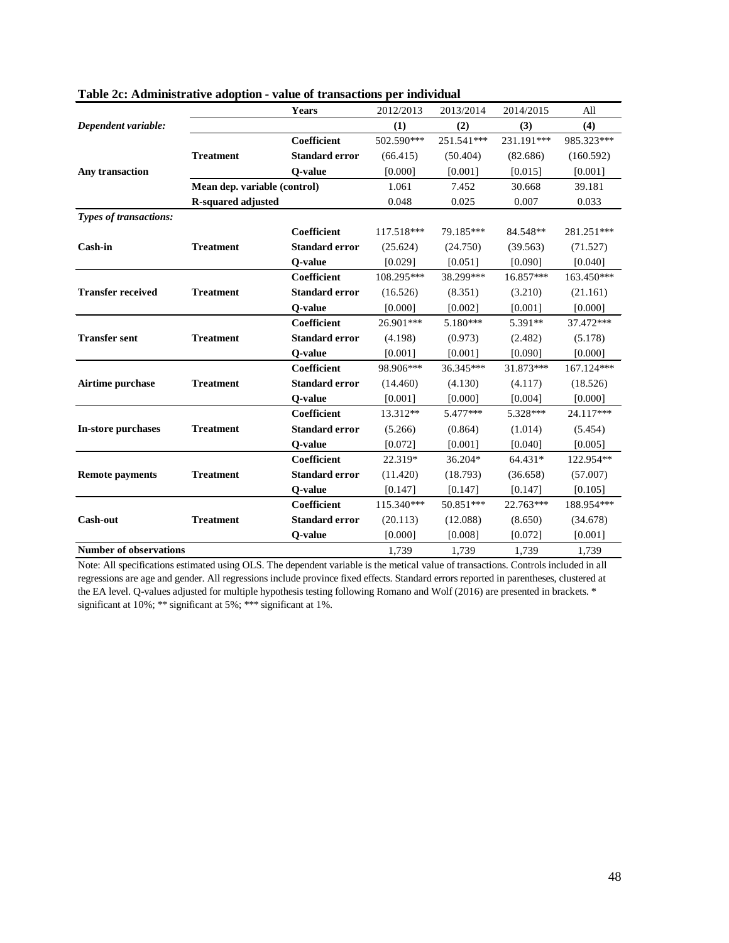|                               |                              | Years                 | 2012/2013  | 2013/2014  | 2014/2015  | All        |
|-------------------------------|------------------------------|-----------------------|------------|------------|------------|------------|
| Dependent variable:           |                              |                       | (1)        | (2)        | (3)        | (4)        |
|                               |                              | Coefficient           | 502.590*** | 251.541*** | 231.191*** | 985.323*** |
|                               | <b>Treatment</b>             | <b>Standard error</b> | (66.415)   | (50.404)   | (82.686)   | (160.592)  |
| Any transaction               |                              | Q-value               | [0.000]    | [0.001]    | [0.015]    | [0.001]    |
|                               | Mean dep. variable (control) |                       | 1.061      | 7.452      | 30.668     | 39.181     |
|                               | <b>R-squared adjusted</b>    |                       | 0.048      | 0.025      | 0.007      | 0.033      |
| Types of transactions:        |                              |                       |            |            |            |            |
|                               |                              | <b>Coefficient</b>    | 117.518*** | 79.185***  | 84.548**   | 281.251*** |
| <b>Cash-in</b>                | <b>Treatment</b>             | <b>Standard error</b> | (25.624)   | (24.750)   | (39.563)   | (71.527)   |
|                               |                              | Q-value               | [0.029]    | [0.051]    | [0.090]    | [0.040]    |
|                               |                              | <b>Coefficient</b>    | 108.295*** | 38.299***  | 16.857***  | 163.450*** |
| <b>Transfer received</b>      | <b>Treatment</b>             | <b>Standard error</b> | (16.526)   | (8.351)    | (3.210)    | (21.161)   |
|                               |                              | Q-value               | [0.000]    | [0.002]    | [0.001]    | [0.000]    |
|                               |                              | Coefficient           | 26.901***  | 5.180***   | 5.391**    | 37.472***  |
| <b>Transfer sent</b>          | <b>Treatment</b>             | <b>Standard error</b> | (4.198)    | (0.973)    | (2.482)    | (5.178)    |
|                               |                              | Q-value               | [0.001]    | [0.001]    | [0.090]    | [0.000]    |
|                               |                              | <b>Coefficient</b>    | 98.906***  | 36.345***  | 31.873***  | 167.124*** |
| Airtime purchase              | <b>Treatment</b>             | <b>Standard error</b> | (14.460)   | (4.130)    | (4.117)    | (18.526)   |
|                               |                              | O-value               | [0.001]    | [0.000]    | [0.004]    | [0.000]    |
|                               |                              | <b>Coefficient</b>    | 13.312**   | 5.477***   | 5.328***   | 24.117***  |
| In-store purchases            | <b>Treatment</b>             | <b>Standard error</b> | (5.266)    | (0.864)    | (1.014)    | (5.454)    |
|                               |                              | Q-value               | [0.072]    | [0.001]    | [0.040]    | [0.005]    |
|                               |                              | <b>Coefficient</b>    | 22.319*    | 36.204*    | 64.431*    | 122.954**  |
| <b>Remote payments</b>        | <b>Treatment</b>             | <b>Standard error</b> | (11.420)   | (18.793)   | (36.658)   | (57.007)   |
|                               |                              | O-value               | [0.147]    | [0.147]    | [0.147]    | [0.105]    |
|                               |                              | Coefficient           | 115.340*** | 50.851***  | 22.763***  | 188.954*** |
| <b>Cash-out</b>               | <b>Treatment</b>             | <b>Standard error</b> | (20.113)   | (12.088)   | (8.650)    | (34.678)   |
|                               |                              | Q-value               | [0.000]    | [0.008]    | [0.072]    | [0.001]    |
| <b>Number of observations</b> |                              |                       | 1.739      | 1,739      | 1.739      | 1.739      |

| Table 2c: Administrative adoption - value of transactions per individual |  |  |  |
|--------------------------------------------------------------------------|--|--|--|
|--------------------------------------------------------------------------|--|--|--|

Note: All specifications estimated using OLS. The dependent variable is the metical value of transactions. Controls included in all regressions are age and gender. All regressions include province fixed effects. Standard errors reported in parentheses, clustered at the EA level. Q-values adjusted for multiple hypothesis testing following Romano and Wolf (2016) are presented in brackets. \* significant at 10%; \*\* significant at 5%; \*\*\* significant at 1%.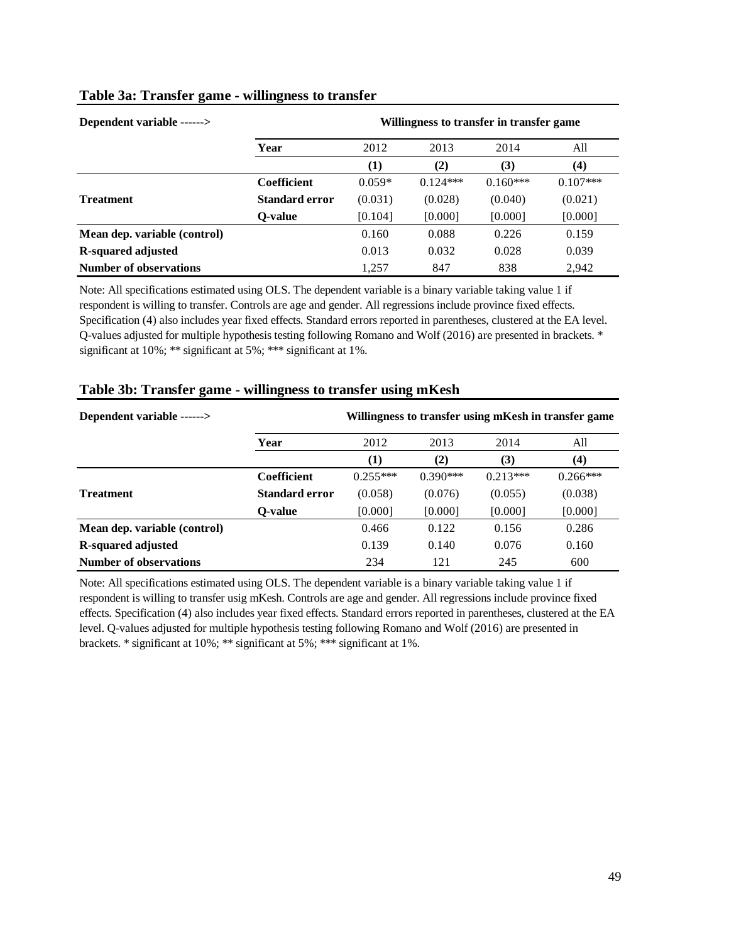| Dependent variable ------>    | Willingness to transfer in transfer game |          |            |            |            |  |  |
|-------------------------------|------------------------------------------|----------|------------|------------|------------|--|--|
|                               | Year                                     | 2012     | 2013       | 2014       | All        |  |  |
|                               |                                          | (1)      | (2)        | (3)        | (4)        |  |  |
|                               | <b>Coefficient</b>                       | $0.059*$ | $0.124***$ | $0.160***$ | $0.107***$ |  |  |
| <b>Treatment</b>              | <b>Standard error</b>                    | (0.031)  | (0.028)    | (0.040)    | (0.021)    |  |  |
|                               | O-value                                  | [0.104]  | [0.000]    | [0.000]    | [0.000]    |  |  |
| Mean dep. variable (control)  |                                          | 0.160    | 0.088      | 0.226      | 0.159      |  |  |
| <b>R-squared adjusted</b>     |                                          | 0.013    | 0.032      | 0.028      | 0.039      |  |  |
| <b>Number of observations</b> |                                          | 1,257    | 847        | 838        | 2.942      |  |  |

## **Table 3a: Transfer game - willingness to transfer**

Note: All specifications estimated using OLS. The dependent variable is a binary variable taking value 1 if respondent is willing to transfer. Controls are age and gender. All regressions include province fixed effects. Specification (4) also includes year fixed effects. Standard errors reported in parentheses, clustered at the EA level. Q-values adjusted for multiple hypothesis testing following Romano and Wolf (2016) are presented in brackets. \* significant at 10%; \*\* significant at 5%; \*\*\* significant at 1%.

| Dependent variable ------>    |                    |            |            |            | Willingness to transfer using mKesh in transfer game |
|-------------------------------|--------------------|------------|------------|------------|------------------------------------------------------|
|                               | Year               | 2012       | 2013       | 2014       | All                                                  |
|                               |                    | (1)        | (2)        | (3)        | (4)                                                  |
|                               | <b>Coefficient</b> | $0.255***$ | $0.390***$ | $0.213***$ | $0.266***$                                           |
| <b>Treatment</b>              | Standard error     | (0.058)    | (0.076)    | (0.055)    | (0.038)                                              |
|                               | O-value            | [0.000]    | [0.000]    | [0.000]    | [0.000]                                              |
| Mean dep. variable (control)  |                    | 0.466      | 0.122      | 0.156      | 0.286                                                |
| <b>R-squared adjusted</b>     |                    | 0.139      | 0.140      | 0.076      | 0.160                                                |
| <b>Number of observations</b> |                    | 234        | 121        | 245        | 600                                                  |

## **Table 3b: Transfer game - willingness to transfer using mKesh**

Note: All specifications estimated using OLS. The dependent variable is a binary variable taking value 1 if respondent is willing to transfer usig mKesh. Controls are age and gender. All regressions include province fixed effects. Specification (4) also includes year fixed effects. Standard errors reported in parentheses, clustered at the EA level. Q-values adjusted for multiple hypothesis testing following Romano and Wolf (2016) are presented in brackets. \* significant at 10%; \*\* significant at 5%; \*\*\* significant at 1%.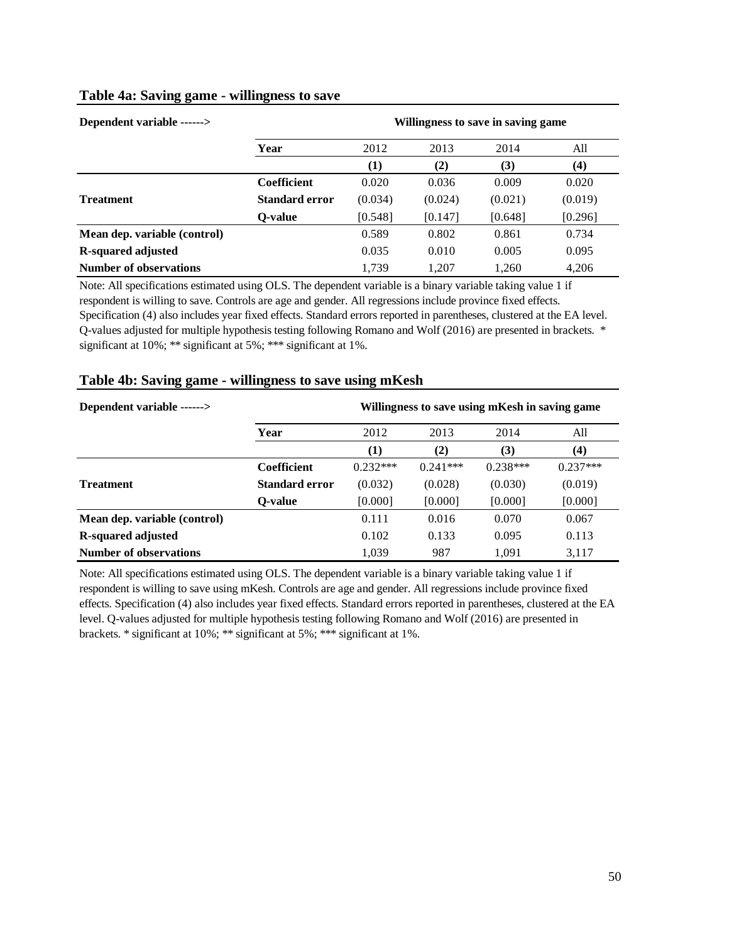| Dependent variable ------>    | Willingness to save in saving game |         |         |         |         |  |  |  |
|-------------------------------|------------------------------------|---------|---------|---------|---------|--|--|--|
|                               | Year                               | 2012    | 2013    | 2014    | All     |  |  |  |
|                               |                                    | (1)     | (2)     | (3)     | (4)     |  |  |  |
|                               | <b>Coefficient</b>                 | 0.020   | 0.036   | 0.009   | 0.020   |  |  |  |
| <b>Treatment</b>              | <b>Standard error</b>              | (0.034) | (0.024) | (0.021) | (0.019) |  |  |  |
|                               | O-value                            | [0.548] | [0.147] | [0.648] | [0.296] |  |  |  |
| Mean dep. variable (control)  |                                    | 0.589   | 0.802   | 0.861   | 0.734   |  |  |  |
| R-squared adjusted            |                                    | 0.035   | 0.010   | 0.005   | 0.095   |  |  |  |
| <b>Number of observations</b> |                                    | 1.739   | 1,207   | 1,260   | 4.206   |  |  |  |

## **Table 4a: Saving game - willingness to save**

Note: All specifications estimated using OLS. The dependent variable is a binary variable taking value 1 if respondent is willing to save. Controls are age and gender. All regressions include province fixed effects. Specification (4) also includes year fixed effects. Standard errors reported in parentheses, clustered at the EA level. Q-values adjusted for multiple hypothesis testing following Romano and Wolf (2016) are presented in brackets. \* significant at 10%; \*\* significant at 5%; \*\*\* significant at 1%.

| Dependent variable ------>    | Willingness to save using mKesh in saving game |            |            |            |            |  |  |
|-------------------------------|------------------------------------------------|------------|------------|------------|------------|--|--|
|                               | Year                                           | 2012       | 2013       | 2014       | All        |  |  |
|                               |                                                | (1)        | (2)        | (3)        | (4)        |  |  |
|                               | <b>Coefficient</b>                             | $0.232***$ | $0.241***$ | $0.238***$ | $0.237***$ |  |  |
| <b>Treatment</b>              | <b>Standard error</b>                          | (0.032)    | (0.028)    | (0.030)    | (0.019)    |  |  |
|                               | O-value                                        | [0.000]    | [0.000]    | [0.000]    | [0.000]    |  |  |
| Mean dep. variable (control)  |                                                | 0.111      | 0.016      | 0.070      | 0.067      |  |  |
| R-squared adjusted            |                                                | 0.102      | 0.133      | 0.095      | 0.113      |  |  |
| <b>Number of observations</b> |                                                | 1.039      | 987        | 1.091      | 3,117      |  |  |

## **Table 4b: Saving game - willingness to save using mKesh**

Note: All specifications estimated using OLS. The dependent variable is a binary variable taking value 1 if respondent is willing to save using mKesh. Controls are age and gender. All regressions include province fixed effects. Specification (4) also includes year fixed effects. Standard errors reported in parentheses, clustered at the EA level. Q-values adjusted for multiple hypothesis testing following Romano and Wolf (2016) are presented in brackets. \* significant at 10%; \*\* significant at 5%; \*\*\* significant at 1%.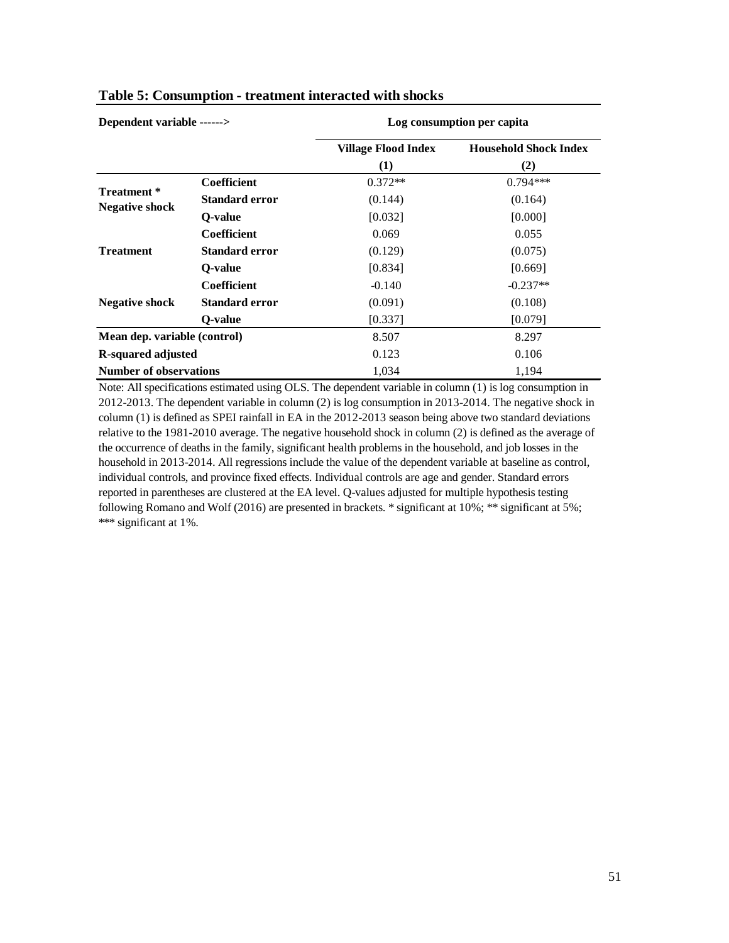| Dependent variable ------>           |                       |                            | Log consumption per capita   |
|--------------------------------------|-----------------------|----------------------------|------------------------------|
|                                      |                       | <b>Village Flood Index</b> | <b>Household Shock Index</b> |
|                                      |                       | (1)                        | (2)                          |
|                                      | Coefficient           | $0.372**$                  | $0.794***$                   |
| Treatment *<br><b>Negative shock</b> | <b>Standard error</b> | (0.144)                    | (0.164)                      |
|                                      | O-value               | [0.032]                    | [0.000]                      |
|                                      | <b>Coefficient</b>    | 0.069                      | 0.055                        |
| <b>Treatment</b>                     | <b>Standard error</b> | (0.129)                    | (0.075)                      |
|                                      | O-value               | [0.834]                    | [0.669]                      |
|                                      | <b>Coefficient</b>    | $-0.140$                   | $-0.237**$                   |
| <b>Negative shock</b>                | <b>Standard error</b> | (0.091)                    | (0.108)                      |
|                                      | O-value               | [0.337]                    | [0.079]                      |
| Mean dep. variable (control)         |                       | 8.507                      | 8.297                        |
| <b>R-squared adjusted</b>            |                       | 0.123                      | 0.106                        |
| <b>Number of observations</b>        |                       | 1,034                      | 1,194                        |

## **Table 5: Consumption - treatment interacted with shocks**

Note: All specifications estimated using OLS. The dependent variable in column (1) is log consumption in 2012-2013. The dependent variable in column (2) is log consumption in 2013-2014. The negative shock in column (1) is defined as SPEI rainfall in EA in the 2012-2013 season being above two standard deviations relative to the 1981-2010 average. The negative household shock in column (2) is defined as the average of the occurrence of deaths in the family, significant health problems in the household, and job losses in the household in 2013-2014. All regressions include the value of the dependent variable at baseline as control, individual controls, and province fixed effects. Individual controls are age and gender. Standard errors reported in parentheses are clustered at the EA level. Q-values adjusted for multiple hypothesis testing following Romano and Wolf (2016) are presented in brackets. \* significant at 10%; \*\* significant at 5%; \*\*\* significant at 1%.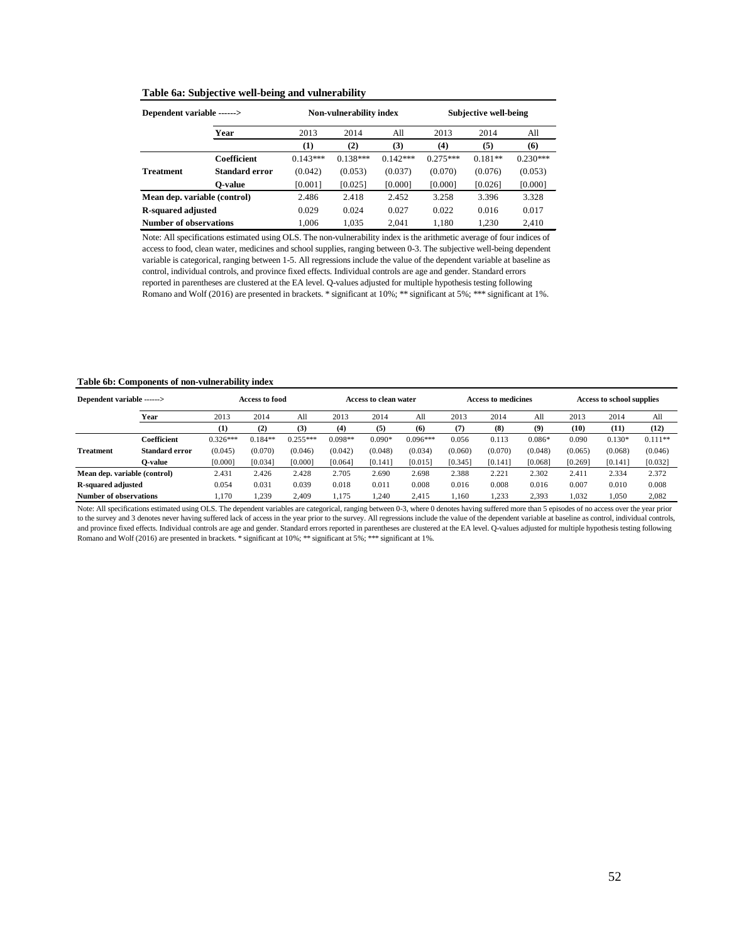#### **Table 6a: Subjective well-being and vulnerability**

| Dependent variable ------>   |                    |                     | Non-vulnerability index |            | Subjective well-being |           |            |  |
|------------------------------|--------------------|---------------------|-------------------------|------------|-----------------------|-----------|------------|--|
|                              | Year               | 2013<br>2014<br>All |                         | 2013       | 2014                  | All       |            |  |
|                              |                    | (1)                 | (2)                     | (3)        | (4)                   | (5)       | (6)        |  |
|                              | <b>Coefficient</b> | $0.143***$          | $0.138***$              | $0.142***$ | $0.275***$            | $0.181**$ | $0.230***$ |  |
| <b>Treatment</b>             | Standard error     | (0.042)             | (0.053)                 | (0.037)    | (0.070)               | (0.076)   | (0.053)    |  |
|                              | O-value            | [0.001]             | [0.025]                 | [0.000]    | [0.000]               | [0.026]   | [0.000]    |  |
| Mean dep. variable (control) |                    | 2.486               | 2.418                   | 2.452      | 3.258                 | 3.396     | 3.328      |  |
| <b>R-squared adjusted</b>    |                    | 0.029               | 0.024                   | 0.027      | 0.022                 | 0.016     | 0.017      |  |
| Number of observations       |                    | 1.006               | 1.035                   | 2.041      | 1.180                 | 1.230     | 2.410      |  |

Note: All specifications estimated using OLS. The non-vulnerability index is the arithmetic average of four indices of access to food, clean water, medicines and school supplies, ranging between 0-3. The subjective well-being dependent variable is categorical, ranging between 1-5. All regressions include the value of the dependent variable at baseline as control, individual controls, and province fixed effects. Individual controls are age and gender. Standard errors reported in parentheses are clustered at the EA level. Q-values adjusted for multiple hypothesis testing following Romano and Wolf (2016) are presented in brackets. \* significant at 10%; \*\* significant at 5%; \*\*\* significant at 1%.

#### **Table 6b: Components of non-vulnerability index**

| Dependent variable ------>   |                |            | Access to food |            | Access to clean water |          | <b>Access to medicines</b> |         | <b>Access to school supplies</b> |          |         |          |           |
|------------------------------|----------------|------------|----------------|------------|-----------------------|----------|----------------------------|---------|----------------------------------|----------|---------|----------|-----------|
|                              | Year           | 2013       | 2014           | All        | 2013                  | 2014     | All                        | 2013    | 2014                             | All      | 2013    | 2014     | All       |
|                              |                | (1)        | (2)            | (3)        | (4)                   | (5)      | (6)                        | (7)     | (8)                              | (9)      | (10)    | (11)     | (12)      |
|                              | Coefficient    | $0.326***$ | $0.184**$      | $0.255***$ | $0.098**$             | $0.090*$ | $0.096***$                 | 0.056   | 0.113                            | $0.086*$ | 0.090   | $0.130*$ | $0.111**$ |
| <b>Treatment</b>             | Standard error | (0.045)    | (0.070)        | (0.046)    | (0.042)               | (0.048)  | (0.034)                    | (0.060) | (0.070)                          | (0.048)  | (0.065) | (0.068)  | (0.046)   |
|                              | O-value        | [0.000]    | [0.034]        | [0.000]    | [0.064]               | [0.141]  | [0.015]                    | [0.345] | [0.141]                          | [0.068]  | [0.269] | [0.141]  | [0.032]   |
| Mean dep. variable (control) |                | 2.431      | 2.426          | 2.428      | 2.705                 | 2.690    | 2.698                      | 2.388   | 2.221                            | 2.302    | 2.411   | 2.334    | 2.372     |
| R-squared adjusted           |                | 0.054      | 0.031          | 0.039      | 0.018                 | 0.011    | 0.008                      | 0.016   | 0.008                            | 0.016    | 0.007   | 0.010    | 0.008     |
| Number of observations       |                | 1.170      | 1.239          | 2.409      | 1.175                 | .240     | 2.415                      | 1.160   | 1.233                            | 2,393    | 1.032   | 1,050    | 2,082     |

Note: All specifications estimated using OLS. The dependent variables are categorical, ranging between 0-3, where 0 denotes having suffered more than 5 episodes of no access over the year prior to the survey and 3 denotes never having suffered lack of access in the year prior to the survey. All regressions include the value of the dependent variable at baseline as control, individual controls, and province fixed effects. Individual controls are age and gender. Standard errors reported in parentheses are clustered at the EA level. Q-values adjusted for multiple hypothesis testing following Romano and Wolf (2016) are presented in brackets. \* significant at 10%; \*\* significant at 5%; \*\*\* significant at 1%.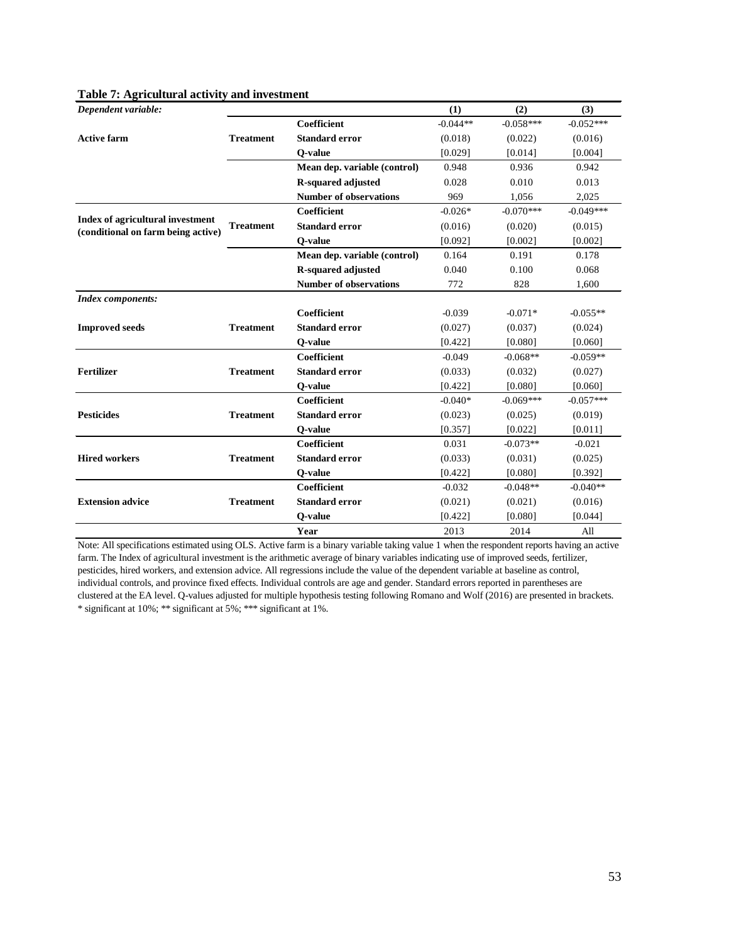*Dependent variable:* **(1) (2) (3) Coefficient** -0.044\*\* -0.058\*\*\* -0.052\*\*\* **Standard error** (0.018) (0.022) (0.016) **Q-value** [0.029] [0.014] [0.004] **Mean dep. variable (control)** 0.948 0.936 0.942 **R-squared adjusted** 0.028 0.010 0.013 **Number of observations** 969 1,056 2,025 **Coefficient**  $-0.026^*$   $-0.070^{***}$   $-0.049^{***}$ **Standard error** (0.016) (0.020) (0.015) **Q-value** [0.092] [0.002] [0.002] [0.002] **Mean dep. variable (control)** 0.164 0.191 0.178 **R-squared adjusted** 0.040 0.100 0.068 **Number of observations** 772 828 1,600 *Index components:* **Coefficient** -0.039 -0.071\* -0.055\*\* **Standard error** (0.027) (0.037) (0.024) **Q-value** [0.422] [0.080] [0.060] **Coefficient** -0.049 -0.068\*\* -0.059\*\* **Standard error** (0.033) (0.032) (0.027) **Q-value**  $[0.422]$   $[0.080]$   $[0.060]$ **Coefficient**  $-0.040^*$   $-0.069^{***}$   $-0.057^{***}$ **Standard error** (0.023) (0.025) (0.019) **Q-value** [0.357] [0.022] [0.011] **Coefficient** 0.031 -0.073\*\* -0.021 **Standard error** (0.033) (0.031) (0.025) **Q-value** [0.422] [0.080] [0.392] **Coefficient** -0.032 -0.048\*\* -0.040\*\* **Standard error** (0.021) (0.021) (0.016) **Q-value** [0.422] [0.080] [0.044] **Year** 2013 2014 All **Index of agricultural investment (conditional on farm being active) Active farm Extension advice Hired workers Pesticides Fertilizer Improved seeds Treatment Treatment Treatment Treatment Treatment Treatment Treatment**

Note: All specifications estimated using OLS. Active farm is a binary variable taking value 1 when the respondent reports having an active farm. The Index of agricultural investment is the arithmetic average of binary variables indicating use of improved seeds, fertilizer, pesticides, hired workers, and extension advice. All regressions include the value of the dependent variable at baseline as control, individual controls, and province fixed effects. Individual controls are age and gender. Standard errors reported in parentheses are clustered at the EA level. Q-values adjusted for multiple hypothesis testing following Romano and Wolf (2016) are presented in brackets. \* significant at 10%; \*\* significant at 5%; \*\*\* significant at 1%.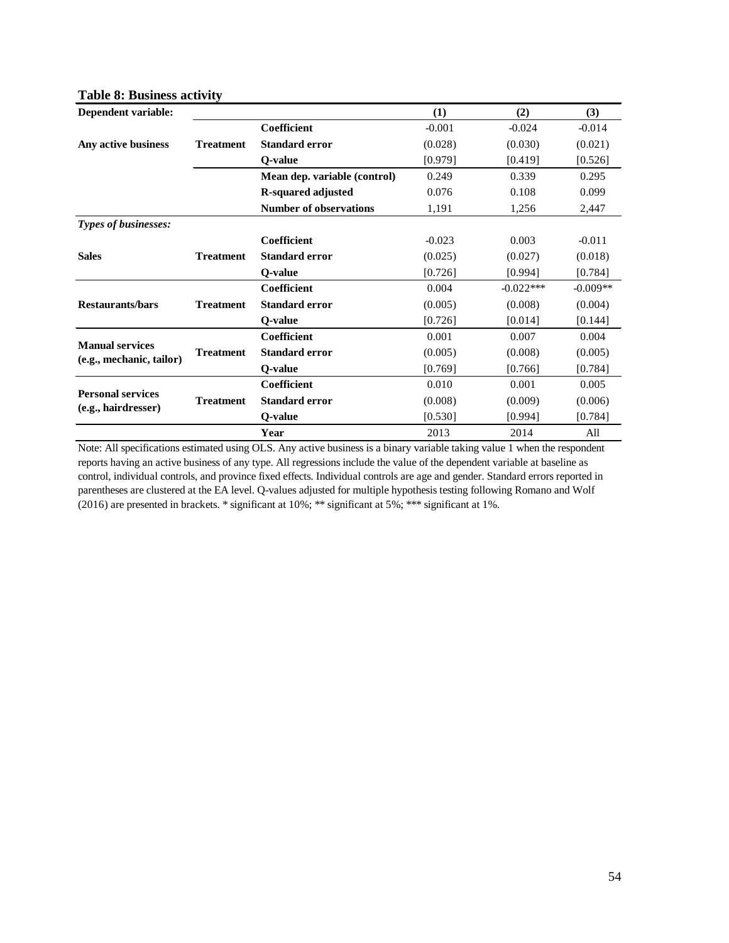| rabic o: Dashkss actricy |                  |                               |          |             |            |
|--------------------------|------------------|-------------------------------|----------|-------------|------------|
| Dependent variable:      |                  |                               | (1)      | (2)         | (3)        |
|                          |                  | <b>Coefficient</b>            | $-0.001$ | $-0.024$    | $-0.014$   |
| Any active business      | <b>Treatment</b> | <b>Standard error</b>         | (0.028)  | (0.030)     | (0.021)    |
|                          |                  | Q-value                       | [0.979]  | [0.419]     | [0.526]    |
|                          |                  | Mean dep. variable (control)  | 0.249    | 0.339       | 0.295      |
|                          |                  | R-squared adjusted            | 0.076    | 0.108       | 0.099      |
|                          |                  | <b>Number of observations</b> | 1,191    | 1,256       | 2,447      |
| Types of businesses:     |                  |                               |          |             |            |
|                          |                  | Coefficient                   | $-0.023$ | 0.003       | $-0.011$   |
| <b>Sales</b>             | <b>Treatment</b> | <b>Standard error</b>         | (0.025)  | (0.027)     | (0.018)    |
|                          |                  | O-value                       | [0.726]  | [0.994]     | [0.784]    |
|                          |                  | Coefficient                   | 0.004    | $-0.022***$ | $-0.009**$ |
| <b>Restaurants/bars</b>  | <b>Treatment</b> | <b>Standard error</b>         | (0.005)  | (0.008)     | (0.004)    |
|                          |                  | Q-value                       | [0.726]  | [0.014]     | [0.144]    |
| <b>Manual services</b>   |                  | <b>Coefficient</b>            | 0.001    | 0.007       | 0.004      |
| (e.g., mechanic, tailor) | <b>Treatment</b> | <b>Standard error</b>         | (0.005)  | (0.008)     | (0.005)    |
|                          |                  | O-value                       | [0.769]  | [0.766]     | [0.784]    |
| <b>Personal services</b> |                  | Coefficient                   | 0.010    | 0.001       | 0.005      |
| (e.g., hairdresser)      | <b>Treatment</b> | <b>Standard error</b>         | (0.008)  | (0.009)     | (0.006)    |
|                          |                  | Q-value                       | [0.530]  | [0.994]     | [0.784]    |
|                          |                  | Year                          | 2013     | 2014        | All        |

## **Table 8: Business activity**

Note: All specifications estimated using OLS. Any active business is a binary variable taking value 1 when the respondent reports having an active business of any type. All regressions include the value of the dependent variable at baseline as control, individual controls, and province fixed effects. Individual controls are age and gender. Standard errors reported in parentheses are clustered at the EA level. Q-values adjusted for multiple hypothesis testing following Romano and Wolf (2016) are presented in brackets. \* significant at 10%; \*\* significant at 5%; \*\*\* significant at 1%.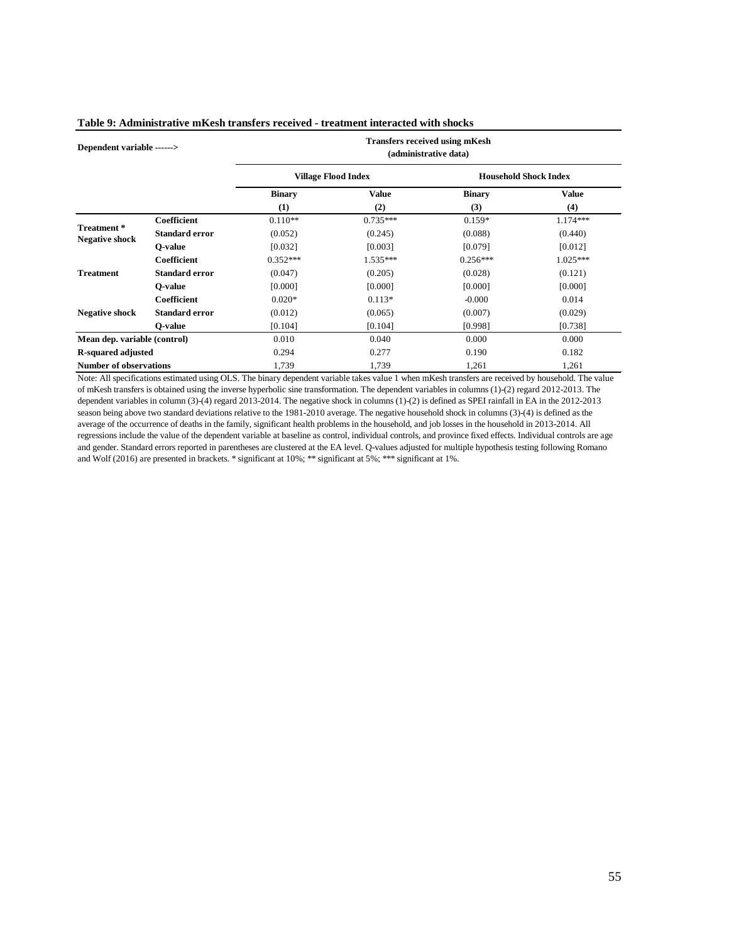| Dependent variable ------>           |                       | <b>Transfers received using mKesh</b><br>(administrative data) |                            |                |                              |  |  |  |
|--------------------------------------|-----------------------|----------------------------------------------------------------|----------------------------|----------------|------------------------------|--|--|--|
|                                      |                       |                                                                | <b>Village Flood Index</b> |                | <b>Household Shock Index</b> |  |  |  |
|                                      |                       | <b>Binary</b>                                                  | Value                      | <b>Binary</b>  | <b>Value</b>                 |  |  |  |
|                                      |                       | (1)                                                            | (2)                        | (3)            | (4)                          |  |  |  |
| Treatment *<br><b>Negative shock</b> | <b>Coefficient</b>    | $0.110**$                                                      | $0.735***$                 | $0.159*$       | 1.174***                     |  |  |  |
|                                      | <b>Standard error</b> | (0.052)                                                        | (0.245)                    | (0.088)        | (0.440)                      |  |  |  |
|                                      | O-value               | [0.032]                                                        | [0.003]                    | [0.079]        | [0.012]                      |  |  |  |
|                                      | Coefficient           | $0.352***$                                                     | $1.535***$                 | $0.256***$     | $1.025***$                   |  |  |  |
| <b>Treatment</b>                     | Standard error        | (0.047)                                                        | (0.205)                    | (0.028)        | (0.121)                      |  |  |  |
|                                      | O-value               | [0.000]                                                        | [0.000]                    | [0.000]        | [0.000]                      |  |  |  |
|                                      | Coefficient           | $0.020*$                                                       | $0.113*$                   | $-0.000$       | 0.014                        |  |  |  |
| <b>Negative shock</b>                | <b>Standard error</b> | (0.012)                                                        | (0.065)                    | (0.007)        | (0.029)                      |  |  |  |
|                                      | O-value               | [0.104]                                                        | [0.104]                    | [0.998]        | [0.738]                      |  |  |  |
| Mean dep. variable (control)         |                       | 0.010                                                          | 0.040                      | 0.000          | 0.000                        |  |  |  |
| <b>R-squared adjusted</b>            |                       | 0.294                                                          | 0.277                      | 0.182<br>0.190 |                              |  |  |  |
| <b>Number of observations</b>        |                       | 1,739                                                          | 1,739                      | 1,261          | 1,261                        |  |  |  |

#### **Table 9: Administrative mKesh transfers received - treatment interacted with shocks**

Note: All specifications estimated using OLS. The binary dependent variable takes value 1 when mKesh transfers are received by household. The value of mKesh transfers is obtained using the inverse hyperbolic sine transformation. The dependent variables in columns (1)-(2) regard 2012-2013. The dependent variables in column (3)-(4) regard 2013-2014. The negative shock in columns (1)-(2) is defined as SPEI rainfall in EA in the 2012-2013 season being above two standard deviations relative to the 1981-2010 average. The negative household shock in columns (3)-(4) is defined as the average of the occurrence of deaths in the family, significant health problems in the household, and job losses in the household in 2013-2014. All regressions include the value of the dependent variable at baseline as control, individual controls, and province fixed effects. Individual controls are age and gender. Standard errors reported in parentheses are clustered at the EA level. Q-values adjusted for multiple hypothesis testing following Romano and Wolf (2016) are presented in brackets. \* significant at 10%; \*\* significant at 5%; \*\*\* significant at 1%.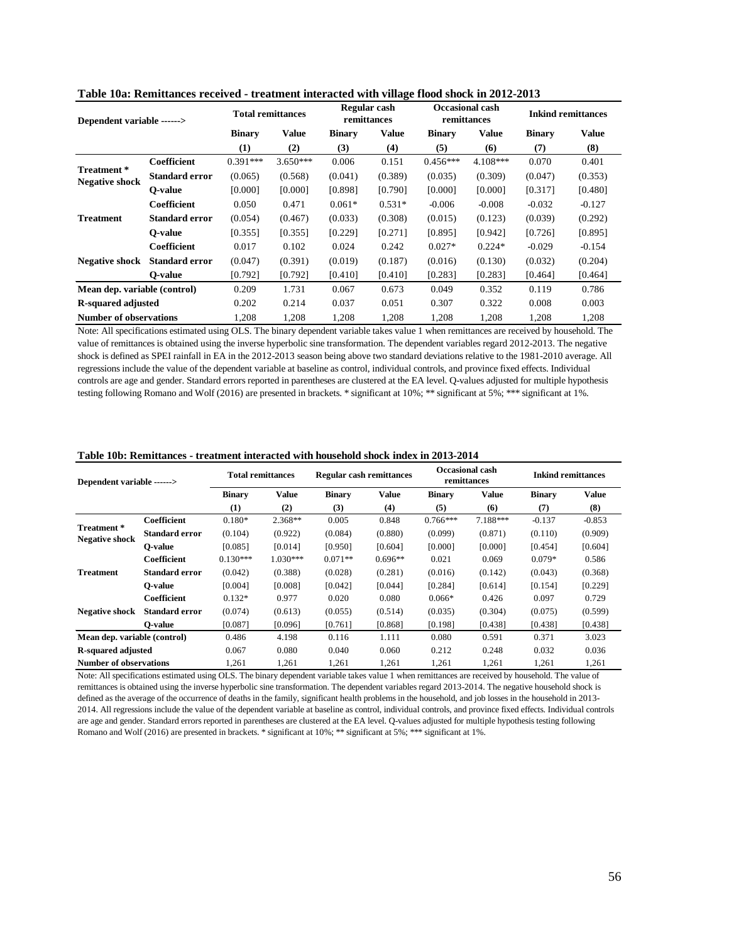| Dependent variable ------>          |                              | <b>Total remittances</b> |            | Regular cash<br>remittances |          | Occasional cash<br>remittances |            | <b>Inkind remittances</b> |          |
|-------------------------------------|------------------------------|--------------------------|------------|-----------------------------|----------|--------------------------------|------------|---------------------------|----------|
|                                     |                              | <b>Binary</b>            | Value      | <b>Binary</b>               | Value    | <b>Binary</b>                  | Value      | <b>Binary</b>             | Value    |
|                                     |                              | (1)                      | (2)        | (3)                         | (4)      | (5)                            | (6)        | (7)                       | (8)      |
|                                     | Coefficient                  | $0.391***$               | $3.650***$ | 0.006                       | 0.151    | $0.456***$                     | $4.108***$ | 0.070                     | 0.401    |
| Treatment*<br><b>Negative shock</b> | <b>Standard error</b>        | (0.065)                  | (0.568)    | (0.041)                     | (0.389)  | (0.035)                        | (0.309)    | (0.047)                   | (0.353)  |
|                                     | O-value                      | [0.000]                  | [0.000]    | [0.898]                     | [0.790]  | [0.000]                        | [0.000]    | [0.317]                   | [0.480]  |
|                                     | <b>Coefficient</b>           | 0.050                    | 0.471      | $0.061*$                    | $0.531*$ | $-0.006$                       | $-0.008$   | $-0.032$                  | $-0.127$ |
| <b>Treatment</b>                    | <b>Standard error</b>        | (0.054)                  | (0.467)    | (0.033)                     | (0.308)  | (0.015)                        | (0.123)    | (0.039)                   | (0.292)  |
|                                     | O-value                      | [0.355]                  | [0.355]    | [0.229]                     | [0.271]  | [0.895]                        | [0.942]    | [0.726]                   | [0.895]  |
|                                     | <b>Coefficient</b>           | 0.017                    | 0.102      | 0.024                       | 0.242    | $0.027*$                       | $0.224*$   | $-0.029$                  | $-0.154$ |
| <b>Negative shock</b>               | <b>Standard error</b>        | (0.047)                  | (0.391)    | (0.019)                     | (0.187)  | (0.016)                        | (0.130)    | (0.032)                   | (0.204)  |
|                                     | O-value                      | [0.792]                  | [0.792]    | [0.410]                     | [0.410]  | [0.283]                        | [0.283]    | [0.464]                   | [0.464]  |
|                                     | Mean dep. variable (control) |                          | 1.731      | 0.067                       | 0.673    | 0.049                          | 0.352      | 0.119                     | 0.786    |
| <b>R-squared adjusted</b>           |                              | 0.202                    | 0.214      | 0.037                       | 0.051    | 0.307                          | 0.322      | 0.008                     | 0.003    |
| <b>Number of observations</b>       |                              | 1.208                    | 1.208      | 1.208                       | 1.208    | 1,208                          | 1,208      | 1,208                     | 1,208    |

**Table 10a: Remittances received - treatment interacted with village flood shock in 2012-2013**

Note: All specifications estimated using OLS. The binary dependent variable takes value 1 when remittances are received by household. The value of remittances is obtained using the inverse hyperbolic sine transformation. The dependent variables regard 2012-2013. The negative shock is defined as SPEI rainfall in EA in the 2012-2013 season being above two standard deviations relative to the 1981-2010 average. All regressions include the value of the dependent variable at baseline as control, individual controls, and province fixed effects. Individual controls are age and gender. Standard errors reported in parentheses are clustered at the EA level. Q-values adjusted for multiple hypothesis testing following Romano and Wolf (2016) are presented in brackets. \* significant at 10%; \*\* significant at 5%; \*\*\* significant at 1%.

| Table 10b: Remittances - treatment interacted with household shock index in 2013-2014 |  |
|---------------------------------------------------------------------------------------|--|
|---------------------------------------------------------------------------------------|--|

| Dependent variable ------>          |                       | <b>Total remittances</b> |              | <b>Regular cash remittances</b> |              | <b>Occasional cash</b><br>remittances |          | <b>Inkind remittances</b> |              |
|-------------------------------------|-----------------------|--------------------------|--------------|---------------------------------|--------------|---------------------------------------|----------|---------------------------|--------------|
|                                     |                       | <b>Binary</b>            | <b>Value</b> | <b>Binary</b>                   | <b>Value</b> | <b>Binary</b>                         | Value    | <b>Binary</b>             | <b>Value</b> |
|                                     |                       | (1)                      | (2)          | (3)                             | (4)          | (5)                                   | (6)      | (7)                       | (8)          |
|                                     | Coefficient           | $0.180*$                 | $2.368**$    | 0.005                           | 0.848        | $0.766***$                            | 7.188*** | $-0.137$                  | $-0.853$     |
| Treatment*<br><b>Negative shock</b> | <b>Standard error</b> | (0.104)                  | (0.922)      | (0.084)                         | (0.880)      | (0.099)                               | (0.871)  | (0.110)                   | (0.909)      |
|                                     | O-value               | [0.085]                  | [0.014]      | [0.950]                         | [0.604]      | [0.000]                               | [0.000]  | [0.454]                   | [0.604]      |
| <b>Treatment</b>                    | Coefficient           | $0.130***$               | $1.030***$   | $0.071**$                       | $0.696**$    | 0.021                                 | 0.069    | $0.079*$                  | 0.586        |
|                                     | <b>Standard error</b> | (0.042)                  | (0.388)      | (0.028)                         | (0.281)      | (0.016)                               | (0.142)  | (0.043)                   | (0.368)      |
|                                     | O-value               | [0.004]                  | [0.008]      | [0.042]                         | [0.044]      | [0.284]                               | [0.614]  | [0.154]                   | [0.229]      |
|                                     | Coefficient           | $0.132*$                 | 0.977        | 0.020                           | 0.080        | $0.066*$                              | 0.426    | 0.097                     | 0.729        |
| <b>Negative shock</b>               | <b>Standard error</b> | (0.074)                  | (0.613)      | (0.055)                         | (0.514)      | (0.035)                               | (0.304)  | (0.075)                   | (0.599)      |
|                                     | O-value               | [0.087]                  | [0.096]      | [0.761]                         | [0.868]      | [0.198]                               | [0.438]  | [0.438]                   | [0.438]      |
| Mean dep. variable (control)        |                       | 0.486                    | 4.198        | 0.116                           | 1.111        | 0.080                                 | 0.591    | 0.371                     | 3.023        |
| <b>R-squared adjusted</b>           |                       | 0.067                    | 0.080        | 0.040                           | 0.060        | 0.212                                 | 0.248    | 0.032                     | 0.036        |
| <b>Number of observations</b>       |                       | 1,261                    | 1,261        | 1,261                           | 1,261        | 1,261                                 | 1,261    | 1,261                     | 1,261        |

Note: All specifications estimated using OLS. The binary dependent variable takes value 1 when remittances are received by household. The value of remittances is obtained using the inverse hyperbolic sine transformation. The dependent variables regard 2013-2014. The negative household shock is defined as the average of the occurrence of deaths in the family, significant health problems in the household, and job losses in the household in 2013- 2014. All regressions include the value of the dependent variable at baseline as control, individual controls, and province fixed effects. Individual controls are age and gender. Standard errors reported in parentheses are clustered at the EA level. Q-values adjusted for multiple hypothesis testing following Romano and Wolf (2016) are presented in brackets. \* significant at 10%; \*\* significant at 5%; \*\*\* significant at 1%.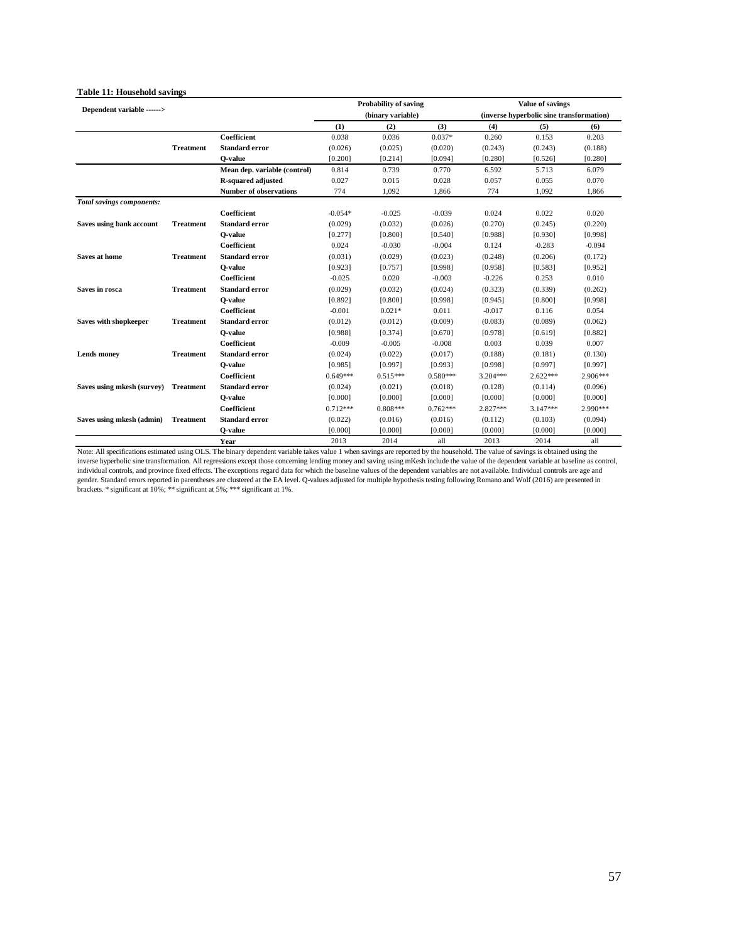| Dependent variable ------> |                  |                               | <b>Probability of saving</b> |            |            |                                          | Value of savings |          |
|----------------------------|------------------|-------------------------------|------------------------------|------------|------------|------------------------------------------|------------------|----------|
|                            |                  |                               | (binary variable)            |            |            | (inverse hyperbolic sine transformation) |                  |          |
|                            |                  |                               | (1)                          | (2)        | (3)        | (4)                                      | (5)              | (6)      |
|                            |                  | Coefficient                   | 0.038                        | 0.036      | $0.037*$   | 0.260                                    | 0.153            | 0.203    |
|                            | <b>Treatment</b> | <b>Standard error</b>         | (0.026)                      | (0.025)    | (0.020)    | (0.243)                                  | (0.243)          | (0.188)  |
|                            |                  | O-value                       | [0.200]                      | [0.214]    | [0.094]    | [0.280]                                  | [0.526]          | [0.280]  |
|                            |                  | Mean dep. variable (control)  | 0.814                        | 0.739      | 0.770      | 6.592                                    | 5.713            | 6.079    |
|                            |                  | R-squared adjusted            | 0.027                        | 0.015      | 0.028      | 0.057                                    | 0.055            | 0.070    |
|                            |                  | <b>Number of observations</b> | 774                          | 1,092      | 1,866      | 774                                      | 1,092            | 1,866    |
| Total savings components:  |                  |                               |                              |            |            |                                          |                  |          |
|                            |                  | Coefficient                   | $-0.054*$                    | $-0.025$   | $-0.039$   | 0.024                                    | 0.022            | 0.020    |
| Saves using bank account   | <b>Treatment</b> | <b>Standard error</b>         | (0.029)                      | (0.032)    | (0.026)    | (0.270)                                  | (0.245)          | (0.220)  |
|                            |                  | O-value                       | [0.277]                      | [0.800]    | [0.540]    | [0.988]                                  | [0.930]          | [0.998]  |
|                            |                  | Coefficient                   | 0.024                        | $-0.030$   | $-0.004$   | 0.124                                    | $-0.283$         | $-0.094$ |
| Saves at home              | <b>Treatment</b> | <b>Standard error</b>         | (0.031)                      | (0.029)    | (0.023)    | (0.248)                                  | (0.206)          | (0.172)  |
|                            |                  | O-value                       | [0.923]                      | [0.757]    | [0.998]    | [0.958]                                  | [0.583]          | [0.952]  |
|                            |                  | Coefficient                   | $-0.025$                     | 0.020      | $-0.003$   | $-0.226$                                 | 0.253            | 0.010    |
| Saves in rosca             | <b>Treatment</b> | <b>Standard error</b>         | (0.029)                      | (0.032)    | (0.024)    | (0.323)                                  | (0.339)          | (0.262)  |
|                            |                  | O-value                       | [0.892]                      | [0.800]    | [0.998]    | [0.945]                                  | [0.800]          | [0.998]  |
|                            |                  | Coefficient                   | $-0.001$                     | $0.021*$   | 0.011      | $-0.017$                                 | 0.116            | 0.054    |
| Saves with shopkeeper      | <b>Treatment</b> | <b>Standard error</b>         | (0.012)                      | (0.012)    | (0.009)    | (0.083)                                  | (0.089)          | (0.062)  |
|                            |                  | O-value                       | [0.988]                      | [0.374]    | [0.670]    | [0.978]                                  | [0.619]          | [0.882]  |
|                            |                  | Coefficient                   | $-0.009$                     | $-0.005$   | $-0.008$   | 0.003                                    | 0.039            | 0.007    |
| <b>Lends</b> money         | <b>Treatment</b> | <b>Standard error</b>         | (0.024)                      | (0.022)    | (0.017)    | (0.188)                                  | (0.181)          | (0.130)  |
|                            |                  | O-value                       | [0.985]                      | [0.997]    | [0.993]    | [0.998]                                  | [0.997]          | [0.997]  |
|                            |                  | Coefficient                   | $0.649***$                   | $0.515***$ | $0.580***$ | $3.204***$                               | $2.622***$       | 2.906*** |
| Saves using mkesh (survey) | <b>Treatment</b> | <b>Standard error</b>         | (0.024)                      | (0.021)    | (0.018)    | (0.128)                                  | (0.114)          | (0.096)  |
|                            |                  | O-value                       | [0.000]                      | [0.000]    | [0.000]    | [0.000]                                  | [0.000]          | [0.000]  |
|                            |                  | Coefficient                   | $0.712***$                   | $0.808***$ | $0.762***$ | 2.827***                                 | 3.147***         | 2.990*** |
| Saves using mkesh (admin)  | <b>Treatment</b> | <b>Standard error</b>         | (0.022)                      | (0.016)    | (0.016)    | (0.112)                                  | (0.103)          | (0.094)  |
|                            |                  | O-value                       | [0.000]                      | [0.000]    | [0.000]    | [0.000]                                  | [0.000]          | [0.000]  |
|                            |                  | Year                          | 2013                         | 2014       | all        | 2013                                     | 2014             | all      |

#### **Table 11: Household savings**

Note: All specifications estimated using OLS. The binary dependent variable takes value 1 when savings are reported by the household. The value of savings is obtained using the inverse hyperbolic sine transformation. All r gender. Standard errors reported in parentheses are clustered at the EA level. Q-values adjusted for multiple hypothesis testing following Romano and Wolf (2016) are presented in<br>brackets. \* significant at 10%; \*\* signific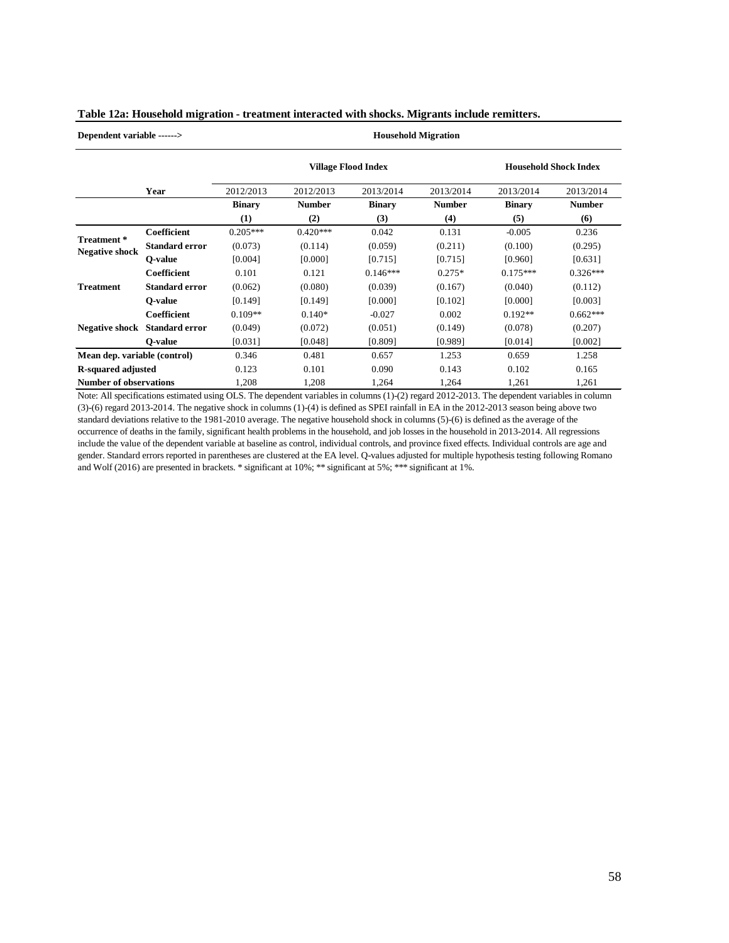| Table 12a: Household migration - treatment interacted with shocks. Migrants include remitters. |  |  |
|------------------------------------------------------------------------------------------------|--|--|
|                                                                                                |  |  |

**Dependent variable ------> Household Migration**

|                                     |                       |               | <b>Village Flood Index</b> | <b>Household Shock Index</b> |               |               |               |
|-------------------------------------|-----------------------|---------------|----------------------------|------------------------------|---------------|---------------|---------------|
|                                     | Year                  | 2012/2013     | 2012/2013                  | 2013/2014                    | 2013/2014     | 2013/2014     | 2013/2014     |
|                                     |                       | <b>Binary</b> | <b>Number</b>              | <b>Binary</b>                | <b>Number</b> | <b>Binary</b> | <b>Number</b> |
|                                     |                       | (1)           | (2)                        | (3)                          | (4)           | (5)           | (6)           |
|                                     | <b>Coefficient</b>    | $0.205***$    | $0.420***$                 | 0.042                        | 0.131         | $-0.005$      | 0.236         |
| Treatment*<br><b>Negative shock</b> | <b>Standard error</b> | (0.073)       | (0.114)                    | (0.059)                      | (0.211)       | (0.100)       | (0.295)       |
|                                     | O-value               | [0.004]       | [0.000]                    | [0.715]                      | [0.715]       | [0.960]       | [0.631]       |
|                                     | Coefficient           | 0.101         | 0.121                      | $0.146***$                   | $0.275*$      | $0.175***$    | $0.326***$    |
| <b>Treatment</b>                    | <b>Standard error</b> | (0.062)       | (0.080)                    | (0.039)                      | (0.167)       | (0.040)       | (0.112)       |
|                                     | O-value               | [0.149]       | [0.149]                    | [0.000]                      | [0.102]       | [0.000]       | [0.003]       |
|                                     | Coefficient           | $0.109**$     | $0.140*$                   | $-0.027$                     | 0.002         | $0.192**$     | $0.662***$    |
| <b>Negative shock</b>               | <b>Standard error</b> | (0.049)       | (0.072)                    | (0.051)                      | (0.149)       | (0.078)       | (0.207)       |
|                                     | O-value               | [0.031]       | [0.048]                    | [0.809]                      | [0.989]       | [0.014]       | [0.002]       |
| Mean dep. variable (control)        |                       | 0.346         | 0.481                      | 0.657                        | 1.253         | 0.659         | 1.258         |
| <b>R-squared adjusted</b>           |                       | 0.123         | 0.101                      | 0.090                        | 0.143         | 0.102         | 0.165         |
| <b>Number of observations</b>       |                       | 1,208         | 1,208                      | 1,264                        | 1,264         | 1,261         | 1,261         |

Note: All specifications estimated using OLS. The dependent variables in columns (1)-(2) regard 2012-2013. The dependent variables in column (3)-(6) regard 2013-2014. The negative shock in columns (1)-(4) is defined as SPEI rainfall in EA in the 2012-2013 season being above two standard deviations relative to the 1981-2010 average. The negative household shock in columns (5)-(6) is defined as the average of the occurrence of deaths in the family, significant health problems in the household, and job losses in the household in 2013-2014. All regressions include the value of the dependent variable at baseline as control, individual controls, and province fixed effects. Individual controls are age and gender. Standard errors reported in parentheses are clustered at the EA level. Q-values adjusted for multiple hypothesis testing following Romano and Wolf (2016) are presented in brackets. \* significant at 10%; \*\* significant at 5%; \*\*\* significant at 1%.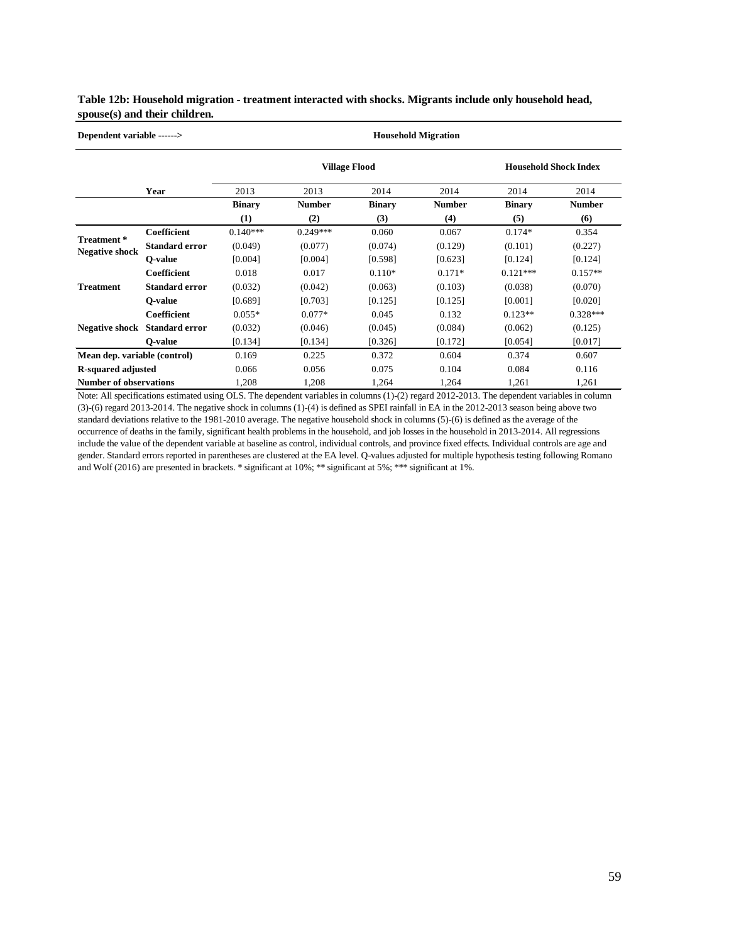#### **Table 12b: Household migration - treatment interacted with shocks. Migrants include only household head, spouse(s) and their children.**

| Dependent variable ------>          |                       |                      | <b>Household Migration</b> |               |               |                              |               |
|-------------------------------------|-----------------------|----------------------|----------------------------|---------------|---------------|------------------------------|---------------|
|                                     |                       | <b>Village Flood</b> |                            |               |               | <b>Household Shock Index</b> |               |
|                                     | Year                  | 2013                 | 2013                       | 2014          | 2014          | 2014                         | 2014          |
|                                     |                       | <b>Binary</b>        | <b>Number</b>              | <b>Binary</b> | <b>Number</b> | <b>Binary</b>                | <b>Number</b> |
|                                     |                       | (1)                  | (2)                        | (3)           | (4)           | (5)                          | (6)           |
|                                     | <b>Coefficient</b>    | $0.140***$           | $0.249***$                 | 0.060         | 0.067         | $0.174*$                     | 0.354         |
| Treatment*<br><b>Negative shock</b> | <b>Standard error</b> | (0.049)              | (0.077)                    | (0.074)       | (0.129)       | (0.101)                      | (0.227)       |
|                                     | O-value               | [0.004]              | [0.004]                    | [0.598]       | [0.623]       | [0.124]                      | [0.124]       |
|                                     | <b>Coefficient</b>    | 0.018                | 0.017                      | $0.110*$      | $0.171*$      | $0.121***$                   | $0.157**$     |
| <b>Treatment</b>                    | <b>Standard error</b> | (0.032)              | (0.042)                    | (0.063)       | (0.103)       | (0.038)                      | (0.070)       |
|                                     | O-value               | [0.689]              | [0.703]                    | [0.125]       | [0.125]       | [0.001]                      | [0.020]       |
|                                     | <b>Coefficient</b>    | $0.055*$             | $0.077*$                   | 0.045         | 0.132         | $0.123**$                    | $0.328***$    |
| <b>Negative shock</b>               | <b>Standard error</b> | (0.032)              | (0.046)                    | (0.045)       | (0.084)       | (0.062)                      | (0.125)       |
|                                     | O-value               | [0.134]              | [0.134]                    | [0.326]       | [0.172]       | [0.054]                      | [0.017]       |
| Mean dep. variable (control)        |                       | 0.169                | 0.225                      | 0.372         | 0.604         | 0.374                        | 0.607         |
| <b>R-squared adjusted</b>           |                       | 0.066                | 0.056                      | 0.075         | 0.104         | 0.084                        | 0.116         |
| <b>Number of observations</b>       |                       | 1,208                | 1,208                      | 1,264         | 1,264         | 1,261                        | 1,261         |

Note: All specifications estimated using OLS. The dependent variables in columns (1)-(2) regard 2012-2013. The dependent variables in column (3)-(6) regard 2013-2014. The negative shock in columns (1)-(4) is defined as SPEI rainfall in EA in the 2012-2013 season being above two standard deviations relative to the 1981-2010 average. The negative household shock in columns (5)-(6) is defined as the average of the occurrence of deaths in the family, significant health problems in the household, and job losses in the household in 2013-2014. All regressions include the value of the dependent variable at baseline as control, individual controls, and province fixed effects. Individual controls are age and gender. Standard errors reported in parentheses are clustered at the EA level. Q-values adjusted for multiple hypothesis testing following Romano and Wolf (2016) are presented in brackets. \* significant at 10%; \*\* significant at 5%; \*\*\* significant at 1%.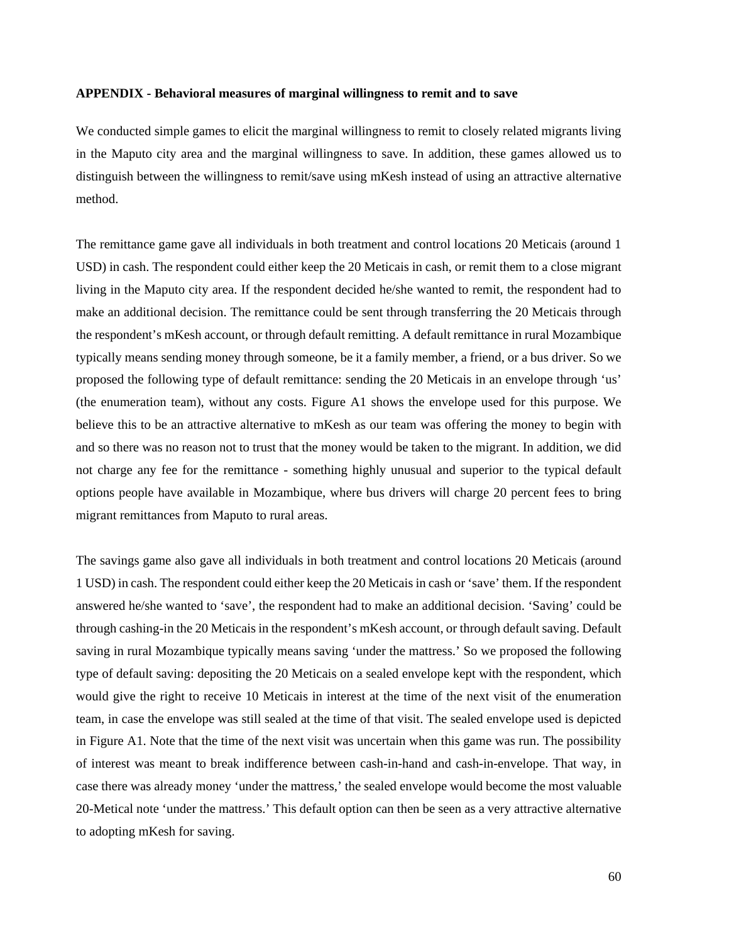#### **APPENDIX - Behavioral measures of marginal willingness to remit and to save**

We conducted simple games to elicit the marginal willingness to remit to closely related migrants living in the Maputo city area and the marginal willingness to save. In addition, these games allowed us to distinguish between the willingness to remit/save using mKesh instead of using an attractive alternative method.

The remittance game gave all individuals in both treatment and control locations 20 Meticais (around 1 USD) in cash. The respondent could either keep the 20 Meticais in cash, or remit them to a close migrant living in the Maputo city area. If the respondent decided he/she wanted to remit, the respondent had to make an additional decision. The remittance could be sent through transferring the 20 Meticais through the respondent's mKesh account, or through default remitting. A default remittance in rural Mozambique typically means sending money through someone, be it a family member, a friend, or a bus driver. So we proposed the following type of default remittance: sending the 20 Meticais in an envelope through 'us' (the enumeration team), without any costs. Figure A1 shows the envelope used for this purpose. We believe this to be an attractive alternative to mKesh as our team was offering the money to begin with and so there was no reason not to trust that the money would be taken to the migrant. In addition, we did not charge any fee for the remittance - something highly unusual and superior to the typical default options people have available in Mozambique, where bus drivers will charge 20 percent fees to bring migrant remittances from Maputo to rural areas.

The savings game also gave all individuals in both treatment and control locations 20 Meticais (around 1 USD) in cash. The respondent could either keep the 20 Meticais in cash or 'save' them. If the respondent answered he/she wanted to 'save', the respondent had to make an additional decision. 'Saving' could be through cashing-in the 20 Meticais in the respondent's mKesh account, or through default saving. Default saving in rural Mozambique typically means saving 'under the mattress.' So we proposed the following type of default saving: depositing the 20 Meticais on a sealed envelope kept with the respondent, which would give the right to receive 10 Meticais in interest at the time of the next visit of the enumeration team, in case the envelope was still sealed at the time of that visit. The sealed envelope used is depicted in Figure A1. Note that the time of the next visit was uncertain when this game was run. The possibility of interest was meant to break indifference between cash-in-hand and cash-in-envelope. That way, in case there was already money 'under the mattress,' the sealed envelope would become the most valuable 20-Metical note 'under the mattress.' This default option can then be seen as a very attractive alternative to adopting mKesh for saving.